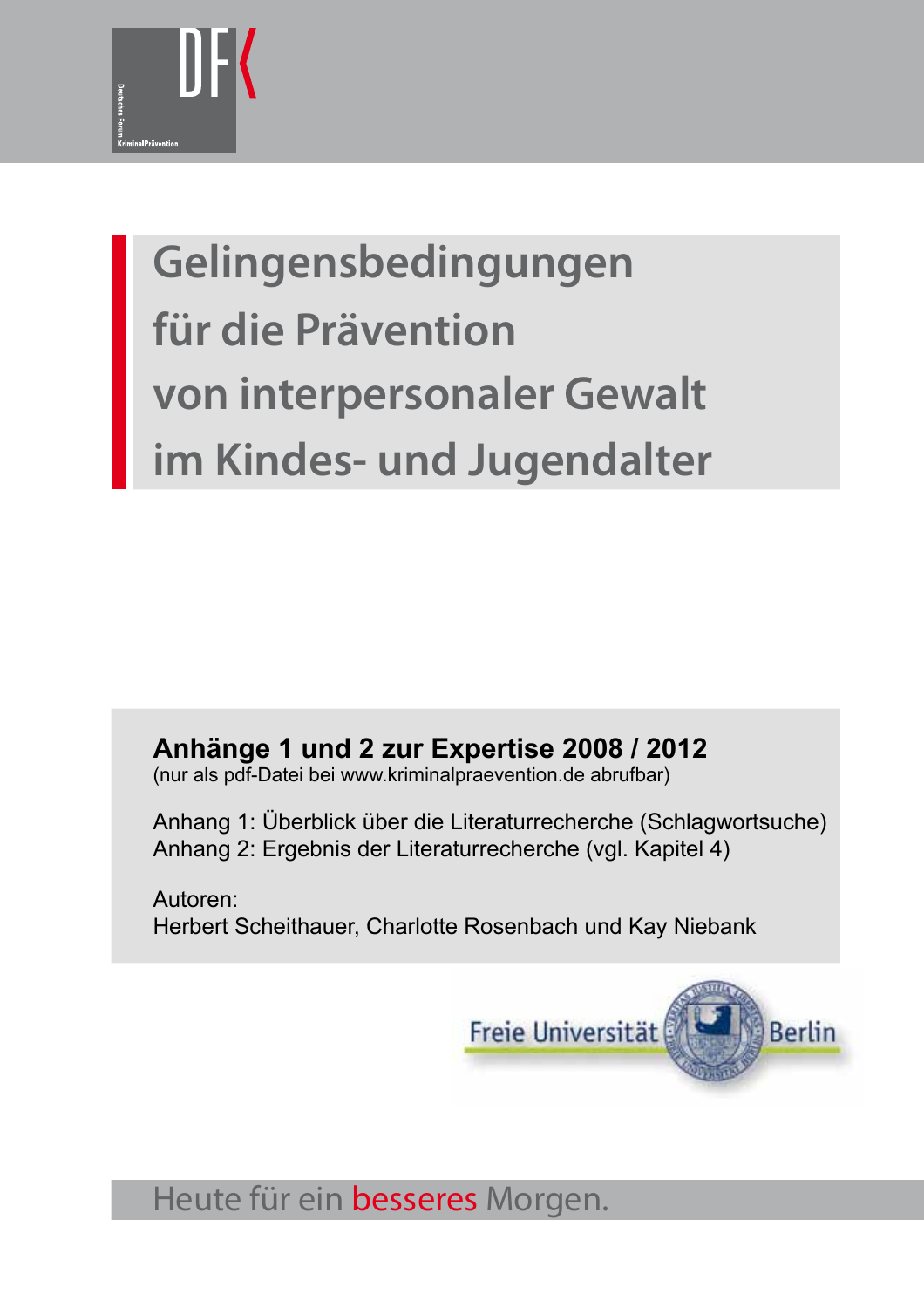

# **Gelingensbedingungen für die Prävention von interpersonaler Gewalt im Kindes- und Jugendalter**

**Anhänge 1 und 2 zur Expertise 2008 / 2012**

(nur als pdf-Datei bei www.kriminalpraevention.de abrufbar)

Anhang 1: Überblick über die Literaturrecherche (Schlagwortsuche) Anhang 2: Ergebnis der Literaturrecherche (vgl. Kapitel 4)

Autoren: Herbert Scheithauer, Charlotte Rosenbach und Kay Niebank



Heute für ein besseres Morgen.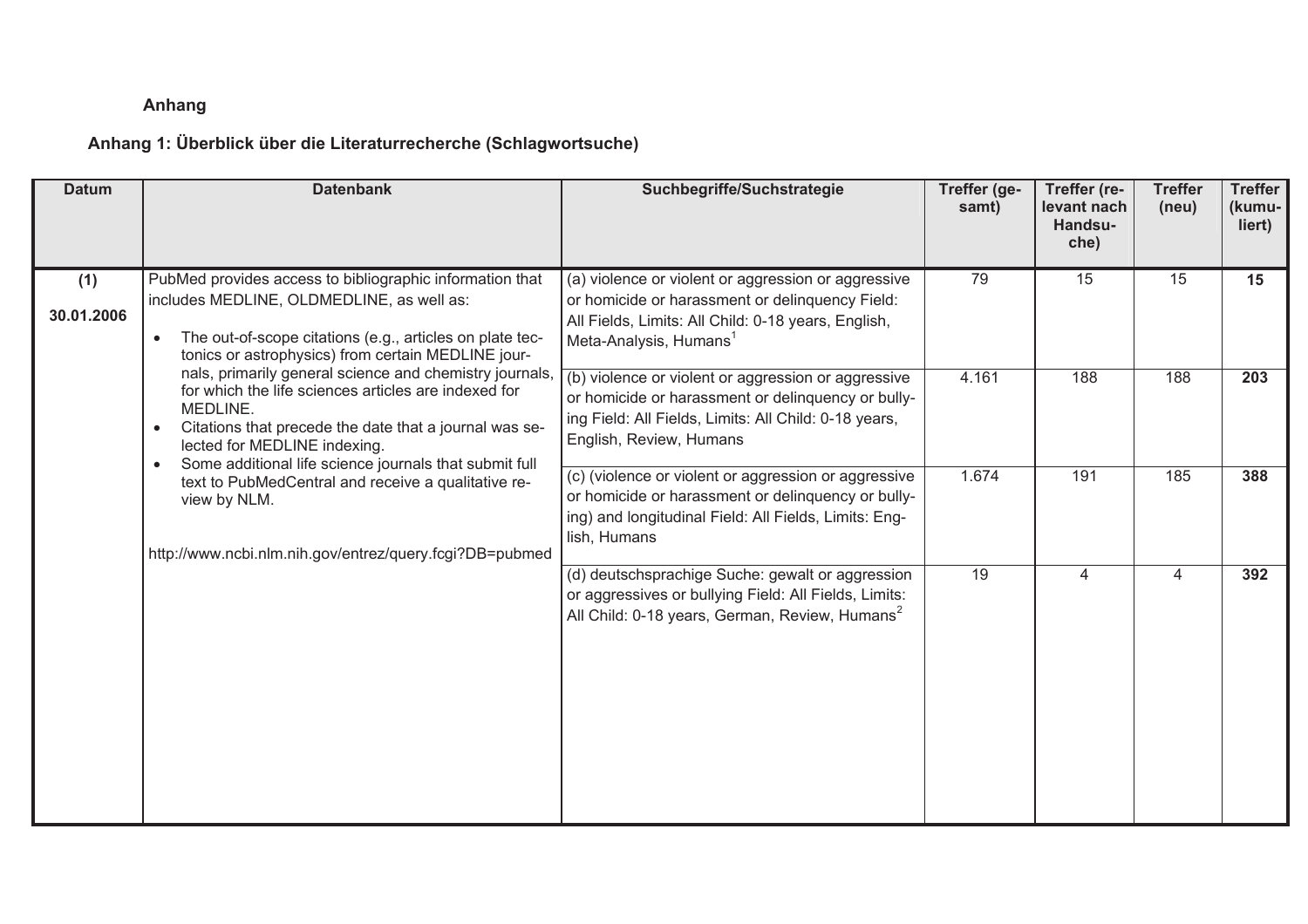### **8 Anhang**

## **Anhang 1: Überblick über die Literaturrecherche (Schlagwortsuche)**

| <b>Datum</b>      | <b>Datenbank</b>                                                                                                                                                                                                                                                                                                                                                                                                                                                                                                                                                                                                                                                       | Suchbegriffe/Suchstrategie                                                                                                                                                                          | Treffer (ge-<br>samt) | Treffer (re-<br>levant nach<br>Handsu-<br>che) | <b>Treffer</b><br>(new) | <b>Treffer</b><br>(kumu-<br>liert) |
|-------------------|------------------------------------------------------------------------------------------------------------------------------------------------------------------------------------------------------------------------------------------------------------------------------------------------------------------------------------------------------------------------------------------------------------------------------------------------------------------------------------------------------------------------------------------------------------------------------------------------------------------------------------------------------------------------|-----------------------------------------------------------------------------------------------------------------------------------------------------------------------------------------------------|-----------------------|------------------------------------------------|-------------------------|------------------------------------|
| (1)<br>30.01.2006 | PubMed provides access to bibliographic information that<br>includes MEDLINE, OLDMEDLINE, as well as:<br>The out-of-scope citations (e.g., articles on plate tec-<br>tonics or astrophysics) from certain MEDLINE jour-<br>nals, primarily general science and chemistry journals,<br>for which the life sciences articles are indexed for<br>MEDLINE.<br>Citations that precede the date that a journal was se-<br>$\bullet$<br>lected for MEDLINE indexing.<br>Some additional life science journals that submit full<br>$\bullet$<br>text to PubMedCentral and receive a qualitative re-<br>view by NLM.<br>http://www.ncbi.nlm.nih.gov/entrez/query.fcgi?DB=pubmed | (a) violence or violent or aggression or aggressive<br>or homicide or harassment or delinquency Field:<br>All Fields, Limits: All Child: 0-18 years, English,<br>Meta-Analysis, Humans <sup>1</sup> | 79                    | 15                                             | 15                      | 15                                 |
|                   |                                                                                                                                                                                                                                                                                                                                                                                                                                                                                                                                                                                                                                                                        | (b) violence or violent or aggression or aggressive<br>or homicide or harassment or delinquency or bully-<br>ing Field: All Fields, Limits: All Child: 0-18 years,<br>English, Review, Humans       | 4.161                 | 188                                            | 188                     | 203                                |
|                   |                                                                                                                                                                                                                                                                                                                                                                                                                                                                                                                                                                                                                                                                        | (c) (violence or violent or aggression or aggressive<br>or homicide or harassment or delinquency or bully-<br>ing) and longitudinal Field: All Fields, Limits: Eng-<br>lish, Humans                 | 1.674                 | 191                                            | 185                     | 388                                |
|                   |                                                                                                                                                                                                                                                                                                                                                                                                                                                                                                                                                                                                                                                                        | (d) deutschsprachige Suche: gewalt or aggression<br>or aggressives or bullying Field: All Fields, Limits:<br>All Child: 0-18 years, German, Review, Humans <sup>2</sup>                             | $\overline{19}$       | $\overline{4}$                                 | $\overline{4}$          | 392                                |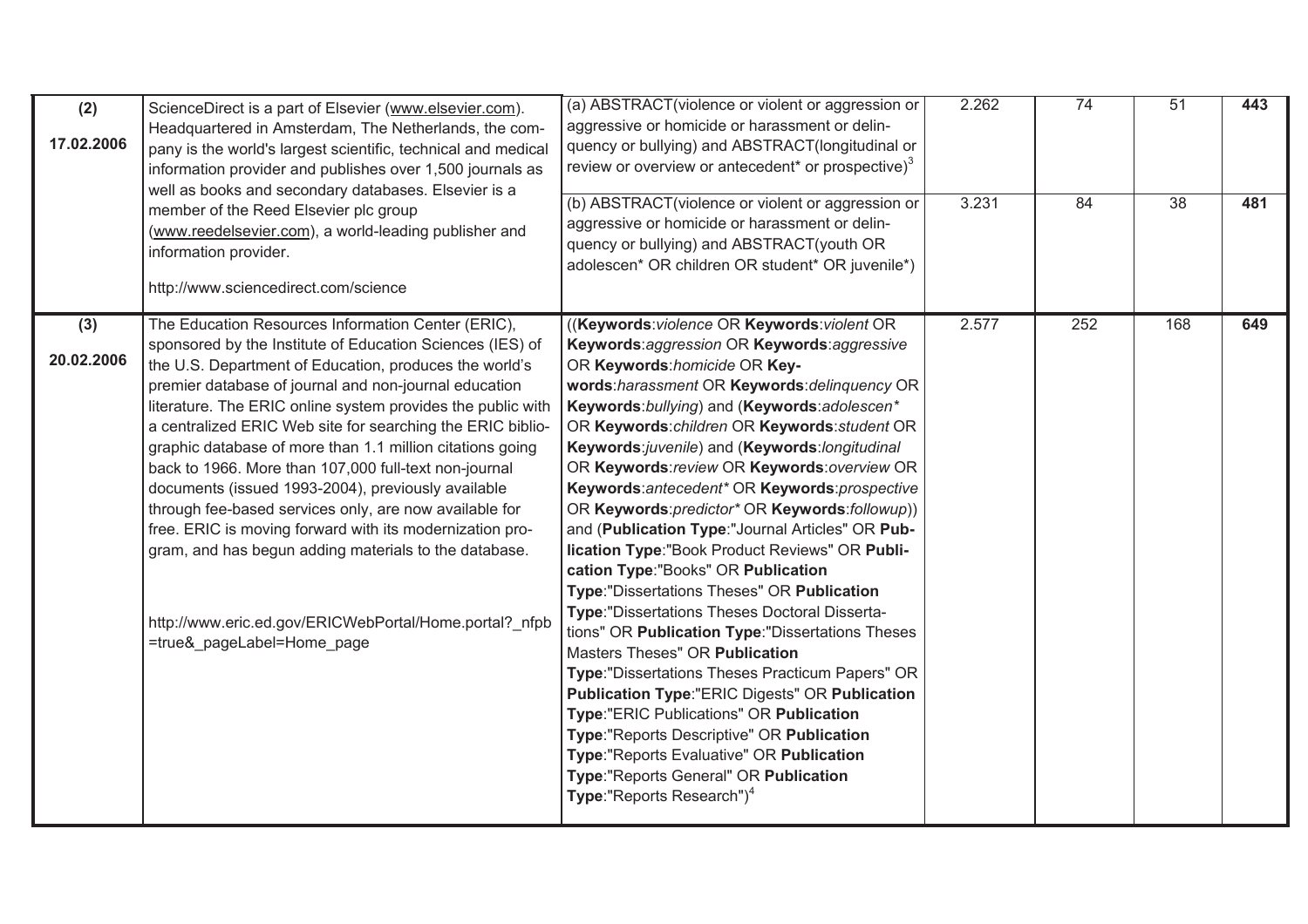| (2)<br>17.02.2006 | ScienceDirect is a part of Elsevier (www.elsevier.com).<br>Headquartered in Amsterdam, The Netherlands, the com-<br>pany is the world's largest scientific, technical and medical<br>information provider and publishes over 1,500 journals as<br>well as books and secondary databases. Elsevier is a<br>member of the Reed Elsevier plc group<br>(www.reedelsevier.com), a world-leading publisher and<br>information provider.<br>http://www.sciencedirect.com/science                                                                                                                                                                                                                                                                                                                                          | (a) ABSTRACT (violence or violent or aggression or<br>aggressive or homicide or harassment or delin-<br>quency or bullying) and ABSTRACT(longitudinal or<br>review or overview or antecedent* or prospective) $3$<br>(b) ABSTRACT(violence or violent or aggression or<br>aggressive or homicide or harassment or delin-<br>quency or bullying) and ABSTRACT(youth OR<br>adolescen* OR children OR student* OR juvenile*)                                                                                                                                                                                                                                                                                                                                                                                                                                                                                                                                                                                                                                                                                                                                          | 2.262<br>3.231 | 74<br>84 | 51<br>$\overline{38}$ | 443<br>481 |
|-------------------|--------------------------------------------------------------------------------------------------------------------------------------------------------------------------------------------------------------------------------------------------------------------------------------------------------------------------------------------------------------------------------------------------------------------------------------------------------------------------------------------------------------------------------------------------------------------------------------------------------------------------------------------------------------------------------------------------------------------------------------------------------------------------------------------------------------------|--------------------------------------------------------------------------------------------------------------------------------------------------------------------------------------------------------------------------------------------------------------------------------------------------------------------------------------------------------------------------------------------------------------------------------------------------------------------------------------------------------------------------------------------------------------------------------------------------------------------------------------------------------------------------------------------------------------------------------------------------------------------------------------------------------------------------------------------------------------------------------------------------------------------------------------------------------------------------------------------------------------------------------------------------------------------------------------------------------------------------------------------------------------------|----------------|----------|-----------------------|------------|
| (3)<br>20.02.2006 | The Education Resources Information Center (ERIC),<br>sponsored by the Institute of Education Sciences (IES) of<br>the U.S. Department of Education, produces the world's<br>premier database of journal and non-journal education<br>literature. The ERIC online system provides the public with<br>a centralized ERIC Web site for searching the ERIC biblio-<br>graphic database of more than 1.1 million citations going<br>back to 1966. More than 107,000 full-text non-journal<br>documents (issued 1993-2004), previously available<br>through fee-based services only, are now available for<br>free. ERIC is moving forward with its modernization pro-<br>gram, and has begun adding materials to the database.<br>http://www.eric.ed.gov/ERICWebPortal/Home.portal?_nfpb<br>=true&_pageLabel=Home_page | ((Keywords: violence OR Keywords: violent OR<br>Keywords: aggression OR Keywords: aggressive<br>OR Keywords: homicide OR Key-<br>words:harassment OR Keywords:delinquency OR<br>Keywords: bullying) and (Keywords: adolescen*<br>OR Keywords: children OR Keywords: student OR<br>Keywords: juvenile) and (Keywords: longitudinal<br>OR Keywords: review OR Keywords: overview OR<br>Keywords: antecedent* OR Keywords: prospective<br>OR Keywords: predictor* OR Keywords: followup))<br>and (Publication Type:"Journal Articles" OR Pub-<br>lication Type:"Book Product Reviews" OR Publi-<br>cation Type:"Books" OR Publication<br>Type:"Dissertations Theses" OR Publication<br>Type: "Dissertations Theses Doctoral Disserta-<br>tions" OR Publication Type: "Dissertations Theses<br><b>Masters Theses" OR Publication</b><br>Type:"Dissertations Theses Practicum Papers" OR<br><b>Publication Type:"ERIC Digests" OR Publication</b><br>Type:"ERIC Publications" OR Publication<br>Type:"Reports Descriptive" OR Publication<br>Type:"Reports Evaluative" OR Publication<br>Type:"Reports General" OR Publication<br>Type:"Reports Research") <sup>4</sup> | 2.577          | 252      | 168                   | 649        |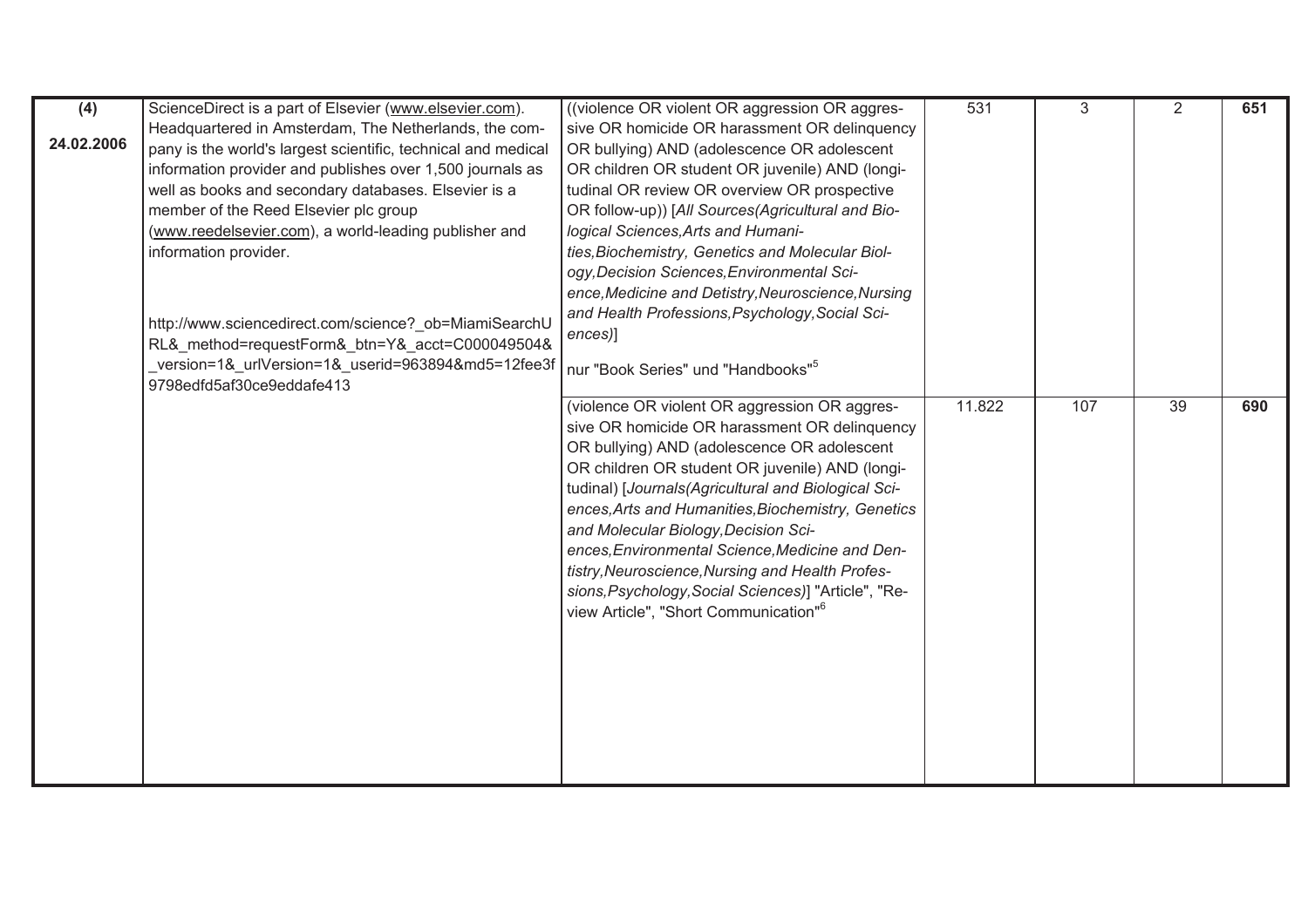| (4)        | ScienceDirect is a part of Elsevier (www.elsevier.com).                                                  | ((violence OR violent OR aggression OR aggres-       | 531    | 3   | 2               | 651 |
|------------|----------------------------------------------------------------------------------------------------------|------------------------------------------------------|--------|-----|-----------------|-----|
|            | Headquartered in Amsterdam, The Netherlands, the com-                                                    | sive OR homicide OR harassment OR delinquency        |        |     |                 |     |
| 24.02.2006 | pany is the world's largest scientific, technical and medical                                            | OR bullying) AND (adolescence OR adolescent          |        |     |                 |     |
|            | information provider and publishes over 1,500 journals as                                                | OR children OR student OR juvenile) AND (longi-      |        |     |                 |     |
|            | well as books and secondary databases. Elsevier is a                                                     | tudinal OR review OR overview OR prospective         |        |     |                 |     |
|            | member of the Reed Elsevier plc group                                                                    | OR follow-up)) [All Sources(Agricultural and Bio-    |        |     |                 |     |
|            | (www.reedelsevier.com), a world-leading publisher and                                                    | logical Sciences, Arts and Humani-                   |        |     |                 |     |
|            | information provider.                                                                                    | ties, Biochemistry, Genetics and Molecular Biol-     |        |     |                 |     |
|            |                                                                                                          | ogy, Decision Sciences, Environmental Sci-           |        |     |                 |     |
|            |                                                                                                          | ence, Medicine and Detistry, Neuroscience, Nursing   |        |     |                 |     |
|            |                                                                                                          | and Health Professions, Psychology, Social Sci-      |        |     |                 |     |
|            | http://www.sciencedirect.com/science?_ob=MiamiSearchU<br>RL&_method=requestForm&_btn=Y&_acct=C000049504& | ences)]                                              |        |     |                 |     |
|            | version=1&_urlVersion=1&_userid=963894&md5=12fee3f                                                       |                                                      |        |     |                 |     |
|            | 9798edfd5af30ce9eddafe413                                                                                | nur "Book Series" und "Handbooks" <sup>5</sup>       |        |     |                 |     |
|            |                                                                                                          | (violence OR violent OR aggression OR aggres-        | 11.822 | 107 | $\overline{39}$ | 690 |
|            |                                                                                                          | sive OR homicide OR harassment OR delinquency        |        |     |                 |     |
|            |                                                                                                          | OR bullying) AND (adolescence OR adolescent          |        |     |                 |     |
|            |                                                                                                          | OR children OR student OR juvenile) AND (longi-      |        |     |                 |     |
|            |                                                                                                          | tudinal) [Journals(Agricultural and Biological Sci-  |        |     |                 |     |
|            |                                                                                                          | ences, Arts and Humanities, Biochemistry, Genetics   |        |     |                 |     |
|            |                                                                                                          | and Molecular Biology, Decision Sci-                 |        |     |                 |     |
|            |                                                                                                          | ences, Environmental Science, Medicine and Den-      |        |     |                 |     |
|            |                                                                                                          | tistry, Neuroscience, Nursing and Health Profes-     |        |     |                 |     |
|            |                                                                                                          | sions, Psychology, Social Sciences)] "Article", "Re- |        |     |                 |     |
|            |                                                                                                          | view Article", "Short Communication" <sup>6</sup>    |        |     |                 |     |
|            |                                                                                                          |                                                      |        |     |                 |     |
|            |                                                                                                          |                                                      |        |     |                 |     |
|            |                                                                                                          |                                                      |        |     |                 |     |
|            |                                                                                                          |                                                      |        |     |                 |     |
|            |                                                                                                          |                                                      |        |     |                 |     |
|            |                                                                                                          |                                                      |        |     |                 |     |
|            |                                                                                                          |                                                      |        |     |                 |     |
|            |                                                                                                          |                                                      |        |     |                 |     |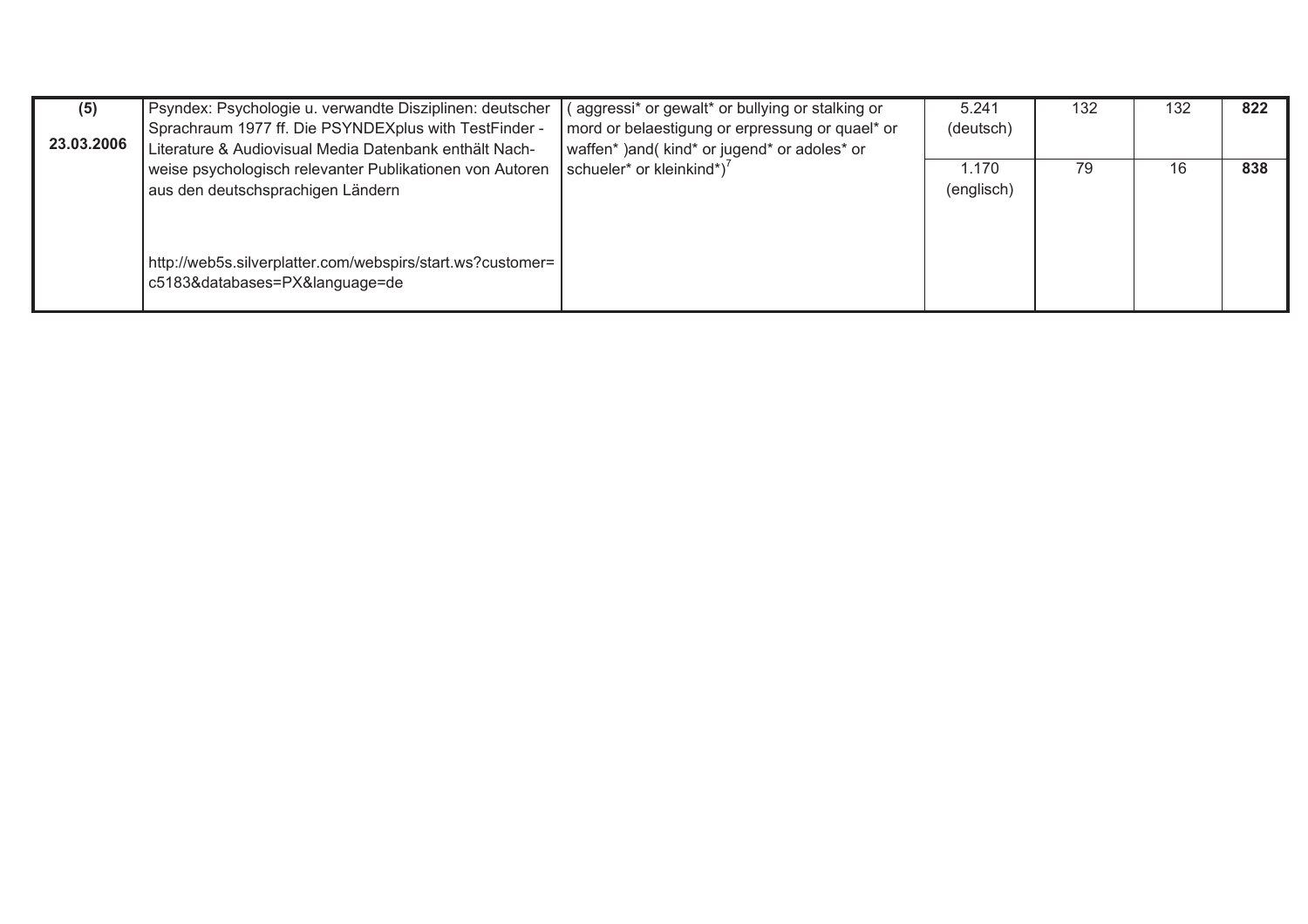| (5)        | Psyndex: Psychologie u. verwandte Disziplinen: deutscher                                                        | (aggressi* or gewalt* or bullying or stalking or                                                | 5.241      | 132 | 132 | 822 |
|------------|-----------------------------------------------------------------------------------------------------------------|-------------------------------------------------------------------------------------------------|------------|-----|-----|-----|
| 23.03.2006 | Sprachraum 1977 ff. Die PSYNDEXplus with TestFinder -<br>Literature & Audiovisual Media Datenbank enthält Nach- | mord or belaestigung or erpressung or quael* or<br>waffen*) and (kind* or jugend* or adoles* or | (deutsch)  |     |     |     |
|            | weise psychologisch relevanter Publikationen von Autoren                                                        | schueler* or kleinkind*) <sup>7</sup>                                                           | 1.170      | 79  | 16  | 838 |
|            | aus den deutschsprachigen Ländern                                                                               |                                                                                                 | (englisch) |     |     |     |
|            |                                                                                                                 |                                                                                                 |            |     |     |     |
|            | http://web5s.silverplatter.com/webspirs/start.ws?customer=<br>c5183&databases=PX&language=de                    |                                                                                                 |            |     |     |     |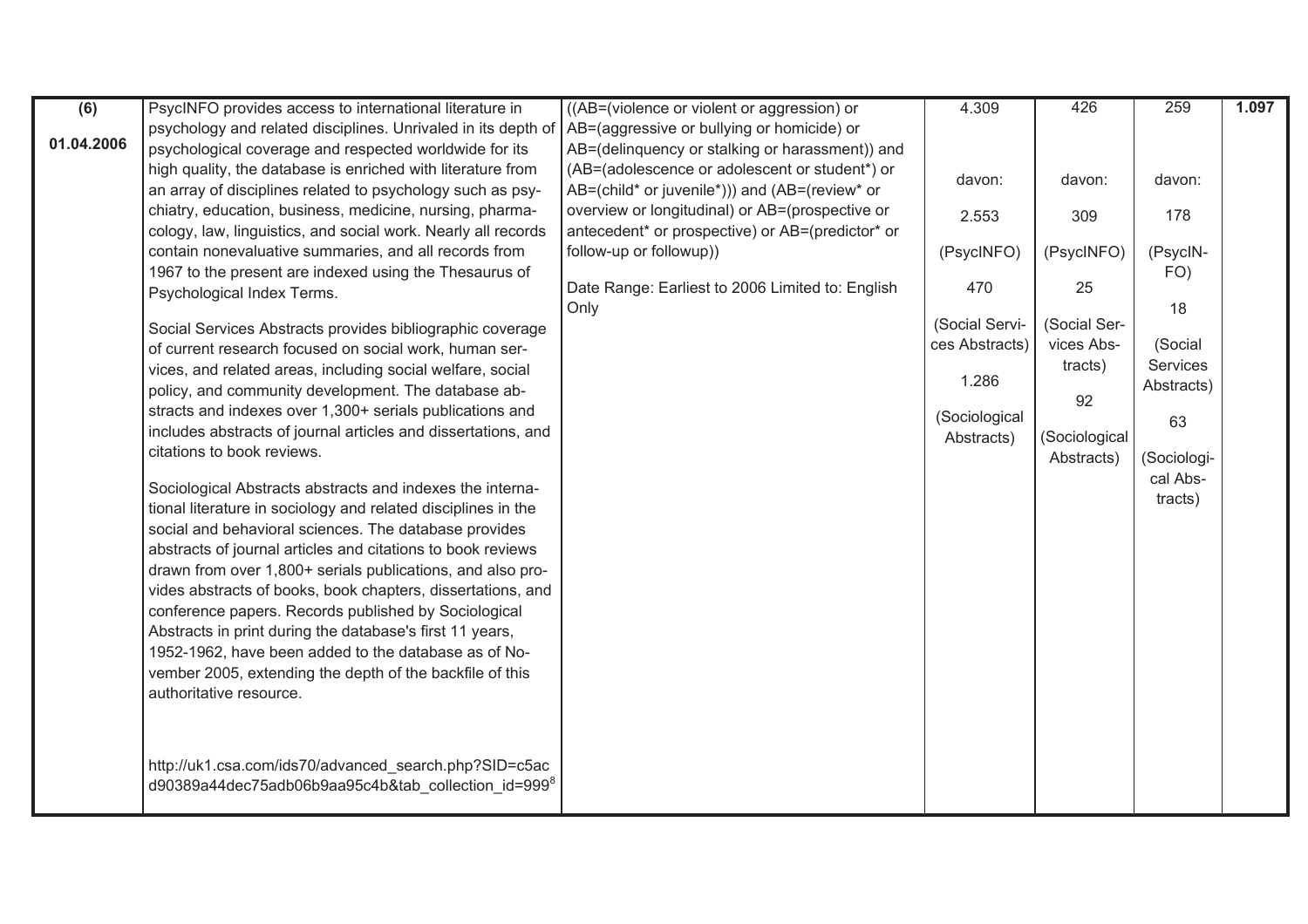| (6)        | PsycINFO provides access to international literature in         | ((AB=(violence or violent or aggression) or      | 4.309          | 426           | 259                    | 1.097 |
|------------|-----------------------------------------------------------------|--------------------------------------------------|----------------|---------------|------------------------|-------|
|            | psychology and related disciplines. Unrivaled in its depth of   | AB=(aggressive or bullying or homicide) or       |                |               |                        |       |
| 01.04.2006 | psychological coverage and respected worldwide for its          | AB=(delinquency or stalking or harassment)) and  |                |               |                        |       |
|            | high quality, the database is enriched with literature from     | (AB=(adolescence or adolescent or student*) or   | davon:         | davon:        | davon:                 |       |
|            | an array of disciplines related to psychology such as psy-      | AB=(child* or juvenile*))) and (AB=(review* or   |                |               |                        |       |
|            | chiatry, education, business, medicine, nursing, pharma-        | overview or longitudinal) or AB=(prospective or  | 2.553          | 309           | 178                    |       |
|            | cology, law, linguistics, and social work. Nearly all records   | antecedent* or prospective) or AB=(predictor* or |                |               |                        |       |
|            | contain nonevaluative summaries, and all records from           | follow-up or followup))                          | (PsycINFO)     | (PsycINFO)    | (PsycIN-               |       |
|            | 1967 to the present are indexed using the Thesaurus of          |                                                  |                |               | FO)                    |       |
|            | Psychological Index Terms.                                      | Date Range: Earliest to 2006 Limited to: English | 470            | 25            | 18                     |       |
|            | Social Services Abstracts provides bibliographic coverage       | Only                                             | (Social Servi- | (Social Ser-  |                        |       |
|            | of current research focused on social work, human ser-          |                                                  | ces Abstracts) | vices Abs-    | (Social                |       |
|            | vices, and related areas, including social welfare, social      |                                                  |                | tracts)       | Services               |       |
|            | policy, and community development. The database ab-             |                                                  | 1.286          |               | Abstracts)             |       |
|            | stracts and indexes over 1,300+ serials publications and        |                                                  |                | 92            |                        |       |
|            | includes abstracts of journal articles and dissertations, and   |                                                  | (Sociological  |               | 63                     |       |
|            | citations to book reviews.                                      |                                                  | Abstracts)     | (Sociological |                        |       |
|            |                                                                 |                                                  |                | Abstracts)    | Sociologi-<br>cal Abs- |       |
|            | Sociological Abstracts abstracts and indexes the interna-       |                                                  |                |               | tracts)                |       |
|            | tional literature in sociology and related disciplines in the   |                                                  |                |               |                        |       |
|            | social and behavioral sciences. The database provides           |                                                  |                |               |                        |       |
|            | abstracts of journal articles and citations to book reviews     |                                                  |                |               |                        |       |
|            | drawn from over 1,800+ serials publications, and also pro-      |                                                  |                |               |                        |       |
|            | vides abstracts of books, book chapters, dissertations, and     |                                                  |                |               |                        |       |
|            | conference papers. Records published by Sociological            |                                                  |                |               |                        |       |
|            | Abstracts in print during the database's first 11 years,        |                                                  |                |               |                        |       |
|            | 1952-1962, have been added to the database as of No-            |                                                  |                |               |                        |       |
|            | vember 2005, extending the depth of the backfile of this        |                                                  |                |               |                        |       |
|            | authoritative resource.                                         |                                                  |                |               |                        |       |
|            |                                                                 |                                                  |                |               |                        |       |
|            |                                                                 |                                                  |                |               |                        |       |
|            | http://uk1.csa.com/ids70/advanced_search.php?SID=c5ac           |                                                  |                |               |                        |       |
|            | d90389a44dec75adb06b9aa95c4b&tab collection id=999 <sup>8</sup> |                                                  |                |               |                        |       |
|            |                                                                 |                                                  |                |               |                        |       |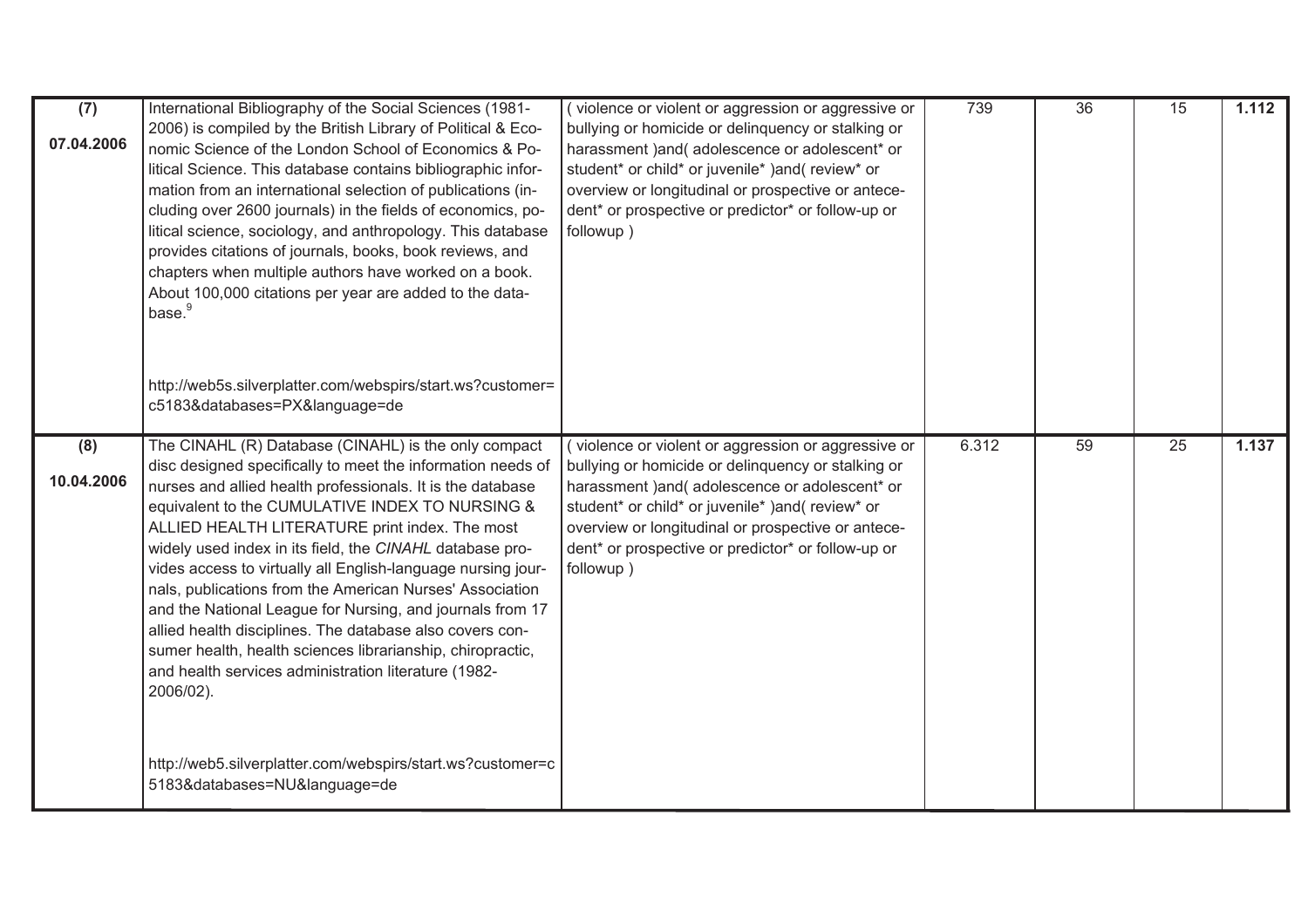| (7)<br>07.04.2006 | International Bibliography of the Social Sciences (1981-<br>2006) is compiled by the British Library of Political & Eco-<br>nomic Science of the London School of Economics & Po-<br>litical Science. This database contains bibliographic infor-<br>mation from an international selection of publications (in-<br>cluding over 2600 journals) in the fields of economics, po-<br>litical science, sociology, and anthropology. This database<br>provides citations of journals, books, book reviews, and<br>chapters when multiple authors have worked on a book.<br>About 100,000 citations per year are added to the data-<br>base. <sup>9</sup><br>http://web5s.silverplatter.com/webspirs/start.ws?customer=<br>c5183&databases=PX&language=de                                                                                      | (violence or violent or aggression or aggressive or<br>bullying or homicide or delinquency or stalking or<br>harassment ) and ( adolescence or adolescent* or<br>student* or child* or juvenile* )and(review* or<br>overview or longitudinal or prospective or antece-<br>dent* or prospective or predictor* or follow-up or<br>followup) | 739   | 36 | 15              | 1.112 |
|-------------------|-------------------------------------------------------------------------------------------------------------------------------------------------------------------------------------------------------------------------------------------------------------------------------------------------------------------------------------------------------------------------------------------------------------------------------------------------------------------------------------------------------------------------------------------------------------------------------------------------------------------------------------------------------------------------------------------------------------------------------------------------------------------------------------------------------------------------------------------|-------------------------------------------------------------------------------------------------------------------------------------------------------------------------------------------------------------------------------------------------------------------------------------------------------------------------------------------|-------|----|-----------------|-------|
| (8)<br>10.04.2006 | The CINAHL (R) Database (CINAHL) is the only compact<br>disc designed specifically to meet the information needs of<br>nurses and allied health professionals. It is the database<br>equivalent to the CUMULATIVE INDEX TO NURSING &<br>ALLIED HEALTH LITERATURE print index. The most<br>widely used index in its field, the CINAHL database pro-<br>vides access to virtually all English-language nursing jour-<br>nals, publications from the American Nurses' Association<br>and the National League for Nursing, and journals from 17<br>allied health disciplines. The database also covers con-<br>sumer health, health sciences librarianship, chiropractic,<br>and health services administration literature (1982-<br>2006/02).<br>http://web5.silverplatter.com/webspirs/start.ws?customer=c<br>5183&databases=NU&language=de | (violence or violent or aggression or aggressive or<br>bullying or homicide or delinquency or stalking or<br>harassment ) and (adolescence or adolescent* or<br>student* or child* or juvenile* )and(review* or<br>overview or longitudinal or prospective or antece-<br>dent* or prospective or predictor* or follow-up or<br>followup)  | 6.312 | 59 | $\overline{25}$ | 1.137 |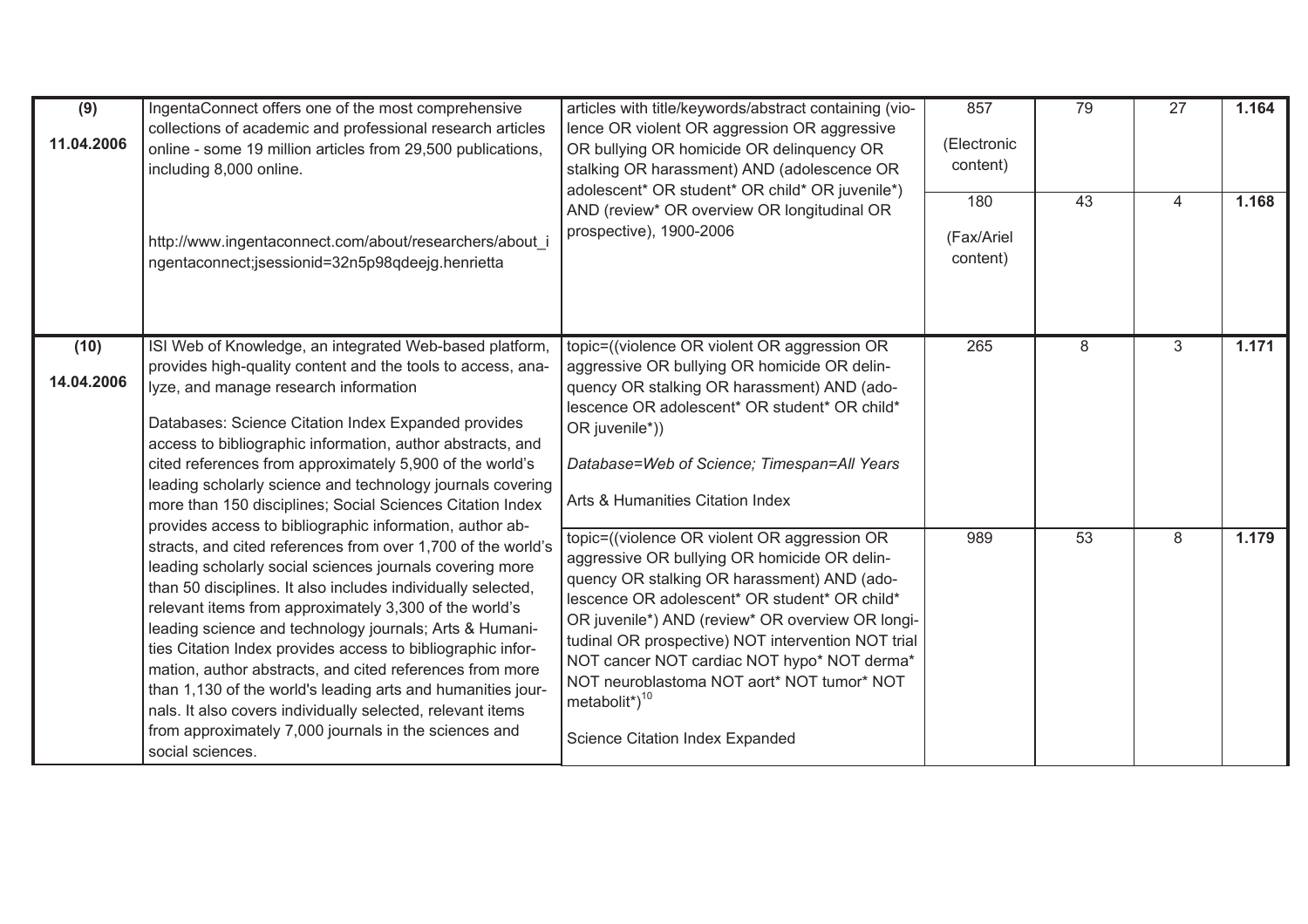| (9)<br>11.04.2006  | IngentaConnect offers one of the most comprehensive<br>collections of academic and professional research articles<br>online - some 19 million articles from 29,500 publications,<br>including 8,000 online.                                                                                                                                                                                                                                                                                                                                                                                                                                        | articles with title/keywords/abstract containing (vio-<br>lence OR violent OR aggression OR aggressive<br>OR bullying OR homicide OR delinquency OR<br>stalking OR harassment) AND (adolescence OR<br>adolescent* OR student* OR child* OR juvenile*)                                                                                                                                                                                                                     | 857<br>(Electronic<br>content) | 79              | 27 | 1.164 |
|--------------------|----------------------------------------------------------------------------------------------------------------------------------------------------------------------------------------------------------------------------------------------------------------------------------------------------------------------------------------------------------------------------------------------------------------------------------------------------------------------------------------------------------------------------------------------------------------------------------------------------------------------------------------------------|---------------------------------------------------------------------------------------------------------------------------------------------------------------------------------------------------------------------------------------------------------------------------------------------------------------------------------------------------------------------------------------------------------------------------------------------------------------------------|--------------------------------|-----------------|----|-------|
|                    | http://www.ingentaconnect.com/about/researchers/about i<br>ngentaconnect;jsessionid=32n5p98qdeejg.henrietta                                                                                                                                                                                                                                                                                                                                                                                                                                                                                                                                        | AND (review* OR overview OR longitudinal OR<br>prospective), 1900-2006                                                                                                                                                                                                                                                                                                                                                                                                    | 180<br>(Fax/Ariel<br>content)  | 43              | 4  | 1.168 |
| (10)<br>14.04.2006 | ISI Web of Knowledge, an integrated Web-based platform,<br>provides high-quality content and the tools to access, ana-<br>lyze, and manage research information<br>Databases: Science Citation Index Expanded provides<br>access to bibliographic information, author abstracts, and<br>cited references from approximately 5,900 of the world's<br>leading scholarly science and technology journals covering<br>more than 150 disciplines; Social Sciences Citation Index<br>provides access to bibliographic information, author ab-                                                                                                            | topic=((violence OR violent OR aggression OR<br>aggressive OR bullying OR homicide OR delin-<br>quency OR stalking OR harassment) AND (ado-<br>lescence OR adolescent* OR student* OR child*<br>OR juvenile*))<br>Database=Web of Science; Timespan=All Years<br>Arts & Humanities Citation Index                                                                                                                                                                         | 265                            | 8               | 3  | 1.171 |
|                    | stracts, and cited references from over 1,700 of the world's<br>leading scholarly social sciences journals covering more<br>than 50 disciplines. It also includes individually selected,<br>relevant items from approximately 3,300 of the world's<br>leading science and technology journals; Arts & Humani-<br>ties Citation Index provides access to bibliographic infor-<br>mation, author abstracts, and cited references from more<br>than 1,130 of the world's leading arts and humanities jour-<br>nals. It also covers individually selected, relevant items<br>from approximately 7,000 journals in the sciences and<br>social sciences. | topic=((violence OR violent OR aggression OR<br>aggressive OR bullying OR homicide OR delin-<br>quency OR stalking OR harassment) AND (ado-<br>lescence OR adolescent* OR student* OR child*<br>OR juvenile*) AND (review* OR overview OR longi-<br>tudinal OR prospective) NOT intervention NOT trial<br>NOT cancer NOT cardiac NOT hypo* NOT derma*<br>NOT neuroblastoma NOT aort* NOT tumor* NOT<br>metabolit <sup>*</sup> $)^{10}$<br>Science Citation Index Expanded | 989                            | $\overline{53}$ | 8  | 1.179 |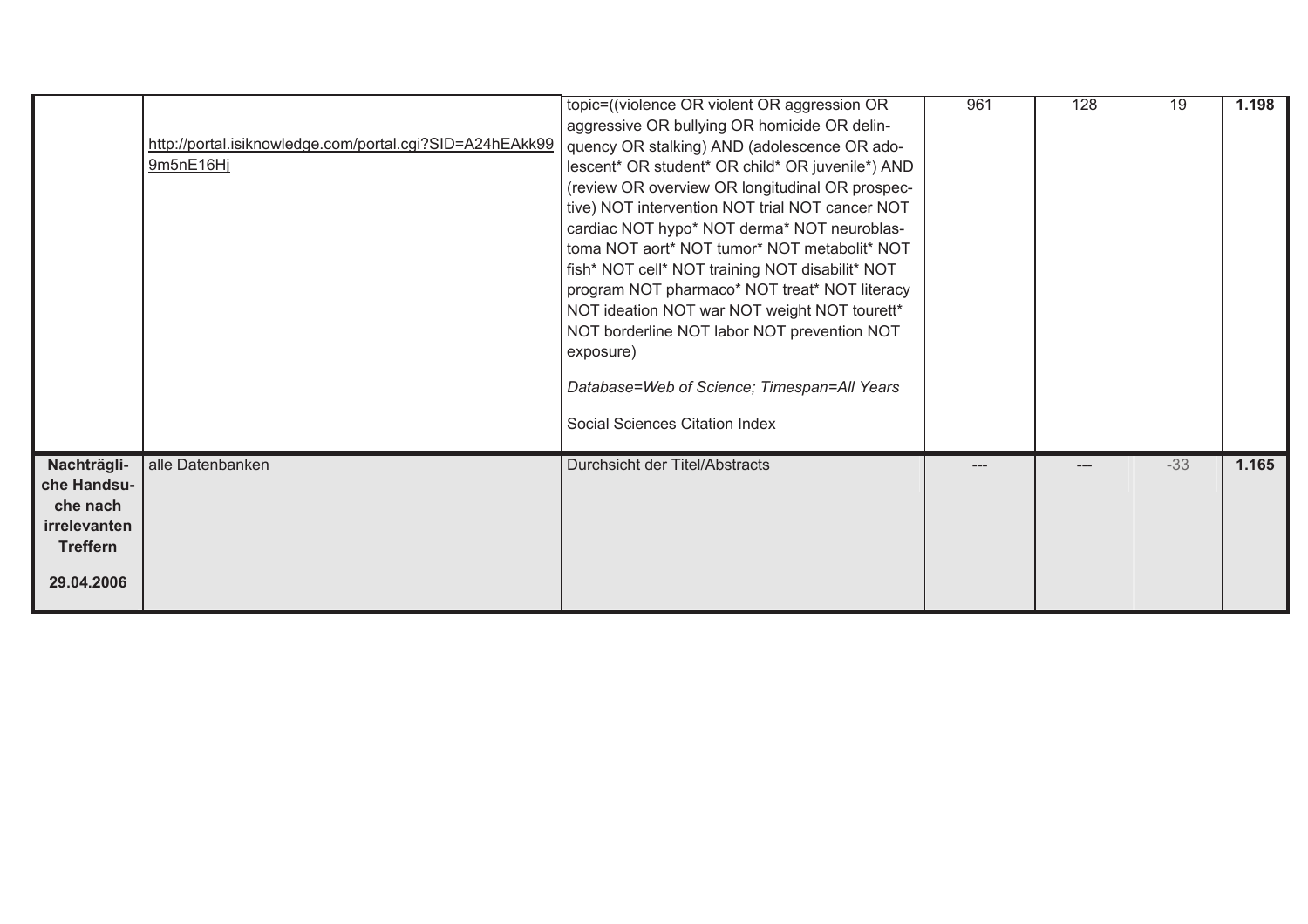|                                                                                         | http://portal.isiknowledge.com/portal.cgi?SID=A24hEAkk99<br>9m5nE16Hj | topic=((violence OR violent OR aggression OR<br>aggressive OR bullying OR homicide OR delin-<br>quency OR stalking) AND (adolescence OR ado-<br>lescent* OR student* OR child* OR juvenile*) AND<br>(review OR overview OR longitudinal OR prospec-<br>tive) NOT intervention NOT trial NOT cancer NOT<br>cardiac NOT hypo* NOT derma* NOT neuroblas-<br>toma NOT aort* NOT tumor* NOT metabolit* NOT<br>fish* NOT cell* NOT training NOT disabilit* NOT<br>program NOT pharmaco* NOT treat* NOT literacy<br>NOT ideation NOT war NOT weight NOT tourett*<br>NOT borderline NOT labor NOT prevention NOT<br>exposure)<br>Database=Web of Science; Timespan=All Years<br>Social Sciences Citation Index | 961 | 128 | 19    | 1.198 |
|-----------------------------------------------------------------------------------------|-----------------------------------------------------------------------|--------------------------------------------------------------------------------------------------------------------------------------------------------------------------------------------------------------------------------------------------------------------------------------------------------------------------------------------------------------------------------------------------------------------------------------------------------------------------------------------------------------------------------------------------------------------------------------------------------------------------------------------------------------------------------------------------------|-----|-----|-------|-------|
| Nachträgli-<br>che Handsu-<br>che nach<br>irrelevanten<br><b>Treffern</b><br>29.04.2006 | alle Datenbanken                                                      | Durchsicht der Titel/Abstracts                                                                                                                                                                                                                                                                                                                                                                                                                                                                                                                                                                                                                                                                         | --- |     | $-33$ | 1.165 |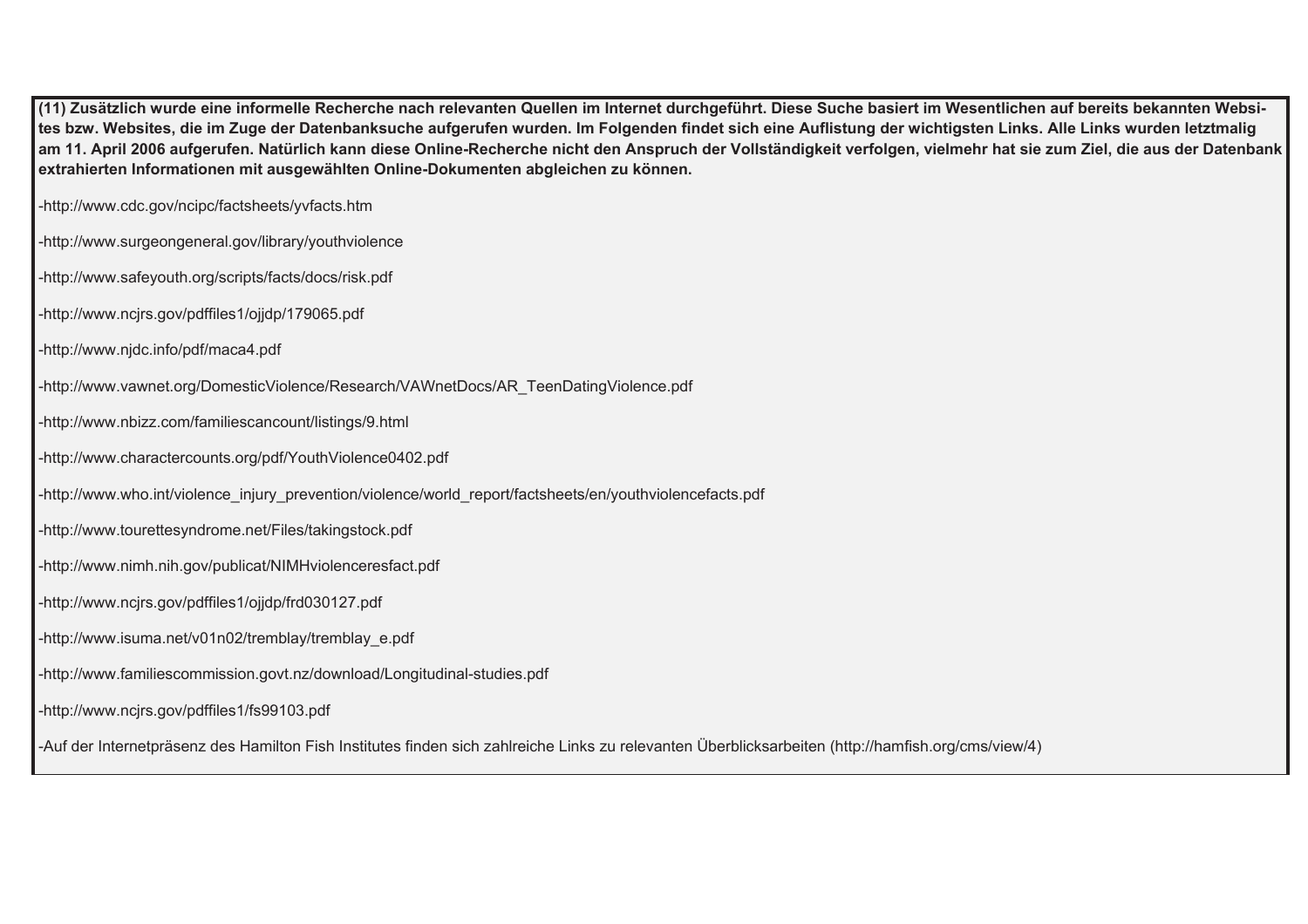**(11) Zusätzlich wurde eine informelle Recherche nach relevanten Quellen im Internet durchgeführt. Diese Suche basiert im Wesentlichen auf bereits bekannten Websites bzw. Websites, die im Zuge der Datenbanksuche aufgerufen wurden. Im Folgenden findet sich eine Auflistung der wichtigsten Links. Alle Links wurden letztmalig am 11. April 2006 aufgerufen. Natürlich kann diese Online-Recherche nicht den Anspruch der Vollständigkeit verfolgen, vielmehr hat sie zum Ziel, die aus der Datenbank extrahierten Informationen mit ausgewählten Online-Dokumenten abgleichen zu können.** 

-http://www.cdc.gov/ncipc/factsheets/yvfacts.htm

-http://www.surgeongeneral.gov/library/youthviolence

-http://www.safeyouth.org/scripts/facts/docs/risk.pdf

-http://www.ncjrs.gov/pdffiles1/ojjdp/179065.pdf

-http://www.njdc.info/pdf/maca4.pdf

-http://www.vawnet.org/DomesticViolence/Research/VAWnetDocs/AR\_TeenDatingViolence.pdf

-http://www.nbizz.com/familiescancount/listings/9.html

-http://www.charactercounts.org/pdf/YouthViolence0402.pdf

-http://www.who.int/violence\_injury\_prevention/violence/world\_report/factsheets/en/youthviolencefacts.pdf

-http://www.tourettesyndrome.net/Files/takingstock.pdf

-http://www.nimh.nih.gov/publicat/NIMHviolenceresfact.pdf

-http://www.ncjrs.gov/pdffiles1/ojjdp/frd030127.pdf

-http://www.isuma.net/v01n02/tremblay/tremblay\_e.pdf

-http://www.familiescommission.govt.nz/download/Longitudinal-studies.pdf

-http://www.ncjrs.gov/pdffiles1/fs99103.pdf

-Auf der Internetpräsenz des Hamilton Fish Institutes finden sich zahlreiche Links zu relevanten Überblicksarbeiten (http://hamfish.org/cms/view/4)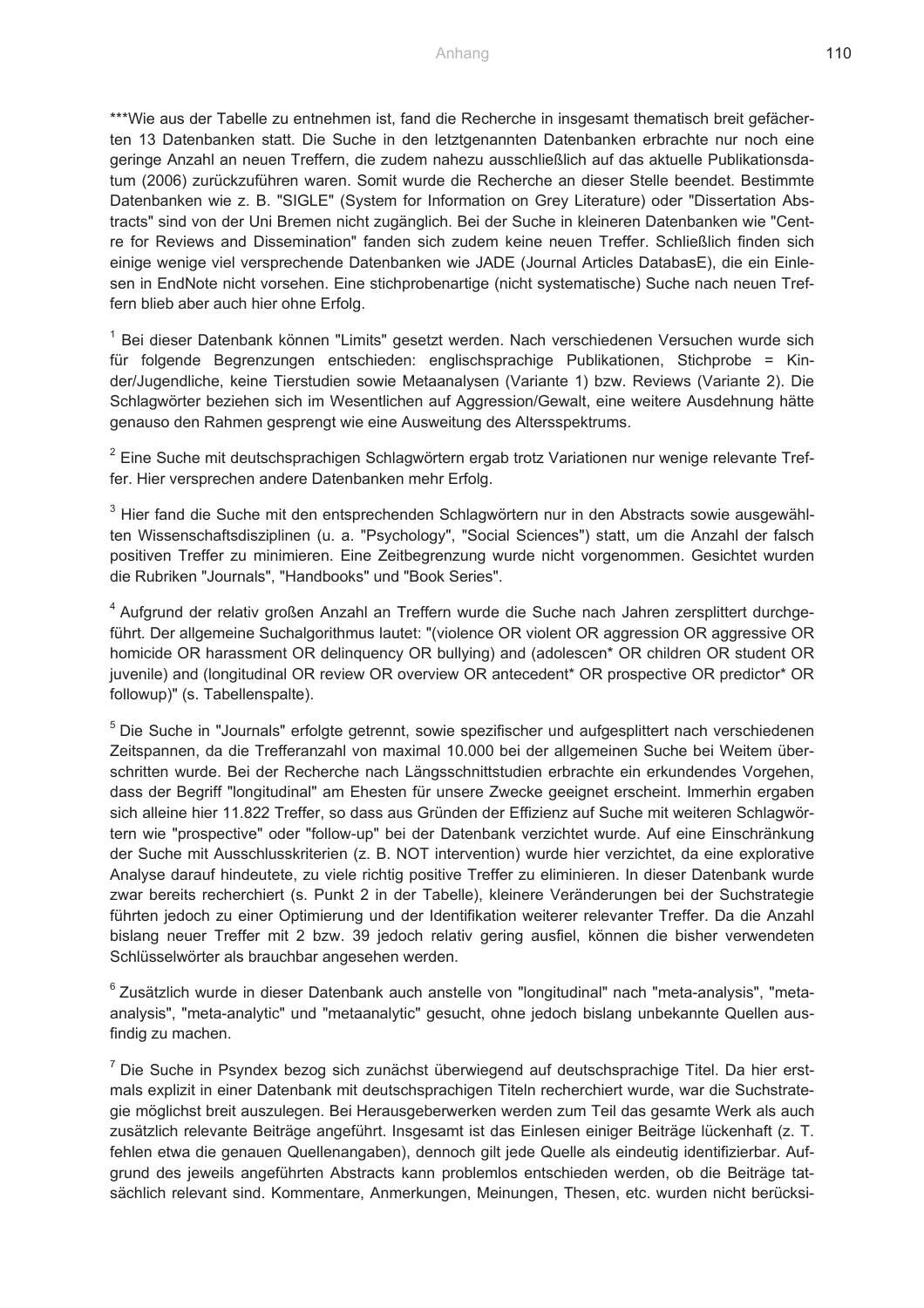\*\*\*Wie aus der Tabelle zu entnehmen ist, fand die Recherche in insgesamt thematisch breit gefächerten 13 Datenbanken statt. Die Suche in den letztgenannten Datenbanken erbrachte nur noch eine geringe Anzahl an neuen Treffern, die zudem nahezu ausschließlich auf das aktuelle Publikationsdatum (2006) zurückzuführen waren. Somit wurde die Recherche an dieser Stelle beendet. Bestimmte Datenbanken wie z. B. "SIGLE" (System for Information on Grey Literature) oder "Dissertation Abstracts" sind von der Uni Bremen nicht zugänglich. Bei der Suche in kleineren Datenbanken wie "Centre for Reviews and Dissemination" fanden sich zudem keine neuen Treffer. Schließlich finden sich einige wenige viel versprechende Datenbanken wie JADE (Journal Articles DatabasE), die ein Einlesen in EndNote nicht vorsehen. Eine stichprobenartige (nicht systematische) Suche nach neuen Treffern blieb aber auch hier ohne Erfolg.

<sup>1</sup> Bei dieser Datenbank können "Limits" gesetzt werden. Nach verschiedenen Versuchen wurde sich für folgende Begrenzungen entschieden: englischsprachige Publikationen, Stichprobe = Kinder/Jugendliche, keine Tierstudien sowie Metaanalysen (Variante 1) bzw. Reviews (Variante 2). Die Schlagwörter beziehen sich im Wesentlichen auf Aggression/Gewalt, eine weitere Ausdehnung hätte genauso den Rahmen gesprengt wie eine Ausweitung des Altersspektrums.

 $2$  Eine Suche mit deutschsprachigen Schlagwörtern ergab trotz Variationen nur wenige relevante Treffer. Hier versprechen andere Datenbanken mehr Erfolg.

<sup>3</sup> Hier fand die Suche mit den entsprechenden Schlagwörtern nur in den Abstracts sowie ausgewählten Wissenschaftsdisziplinen (u. a. "Psychology", "Social Sciences") statt, um die Anzahl der falsch positiven Treffer zu minimieren. Eine Zeitbegrenzung wurde nicht vorgenommen. Gesichtet wurden die Rubriken "Journals", "Handbooks" und "Book Series".

4 Aufgrund der relativ großen Anzahl an Treffern wurde die Suche nach Jahren zersplittert durchgeführt. Der allgemeine Suchalgorithmus lautet: "(violence OR violent OR aggression OR aggressive OR homicide OR harassment OR delinquency OR bullying) and (adolescen\* OR children OR student OR juvenile) and (longitudinal OR review OR overview OR antecedent\* OR prospective OR predictor\* OR followup)" (s. Tabellenspalte).

5 Die Suche in "Journals" erfolgte getrennt, sowie spezifischer und aufgesplittert nach verschiedenen Zeitspannen, da die Trefferanzahl von maximal 10.000 bei der allgemeinen Suche bei Weitem überschritten wurde. Bei der Recherche nach Längsschnittstudien erbrachte ein erkundendes Vorgehen, dass der Begriff "longitudinal" am Ehesten für unsere Zwecke geeignet erscheint. Immerhin ergaben sich alleine hier 11.822 Treffer, so dass aus Gründen der Effizienz auf Suche mit weiteren Schlagwörtern wie "prospective" oder "follow-up" bei der Datenbank verzichtet wurde. Auf eine Einschränkung der Suche mit Ausschlusskriterien (z. B. NOT intervention) wurde hier verzichtet, da eine explorative Analyse darauf hindeutete, zu viele richtig positive Treffer zu eliminieren. In dieser Datenbank wurde zwar bereits recherchiert (s. Punkt 2 in der Tabelle), kleinere Veränderungen bei der Suchstrategie führten jedoch zu einer Optimierung und der Identifikation weiterer relevanter Treffer. Da die Anzahl bislang neuer Treffer mit 2 bzw. 39 jedoch relativ gering ausfiel, können die bisher verwendeten Schlüsselwörter als brauchbar angesehen werden.

<sup>6</sup> Zusätzlich wurde in dieser Datenbank auch anstelle von "longitudinal" nach "meta-analysis", "metaanalysis", "meta-analytic" und "metaanalytic" gesucht, ohne jedoch bislang unbekannte Quellen ausfindig zu machen.

 $<sup>7</sup>$  Die Suche in Psyndex bezog sich zunächst überwiegend auf deutschsprachige Titel. Da hier erst-</sup> mals explizit in einer Datenbank mit deutschsprachigen Titeln recherchiert wurde, war die Suchstrategie möglichst breit auszulegen. Bei Herausgeberwerken werden zum Teil das gesamte Werk als auch zusätzlich relevante Beiträge angeführt. Insgesamt ist das Einlesen einiger Beiträge lückenhaft (z. T. fehlen etwa die genauen Quellenangaben), dennoch gilt jede Quelle als eindeutig identifizierbar. Aufgrund des jeweils angeführten Abstracts kann problemlos entschieden werden, ob die Beiträge tatsächlich relevant sind. Kommentare, Anmerkungen, Meinungen, Thesen, etc. wurden nicht berücksi-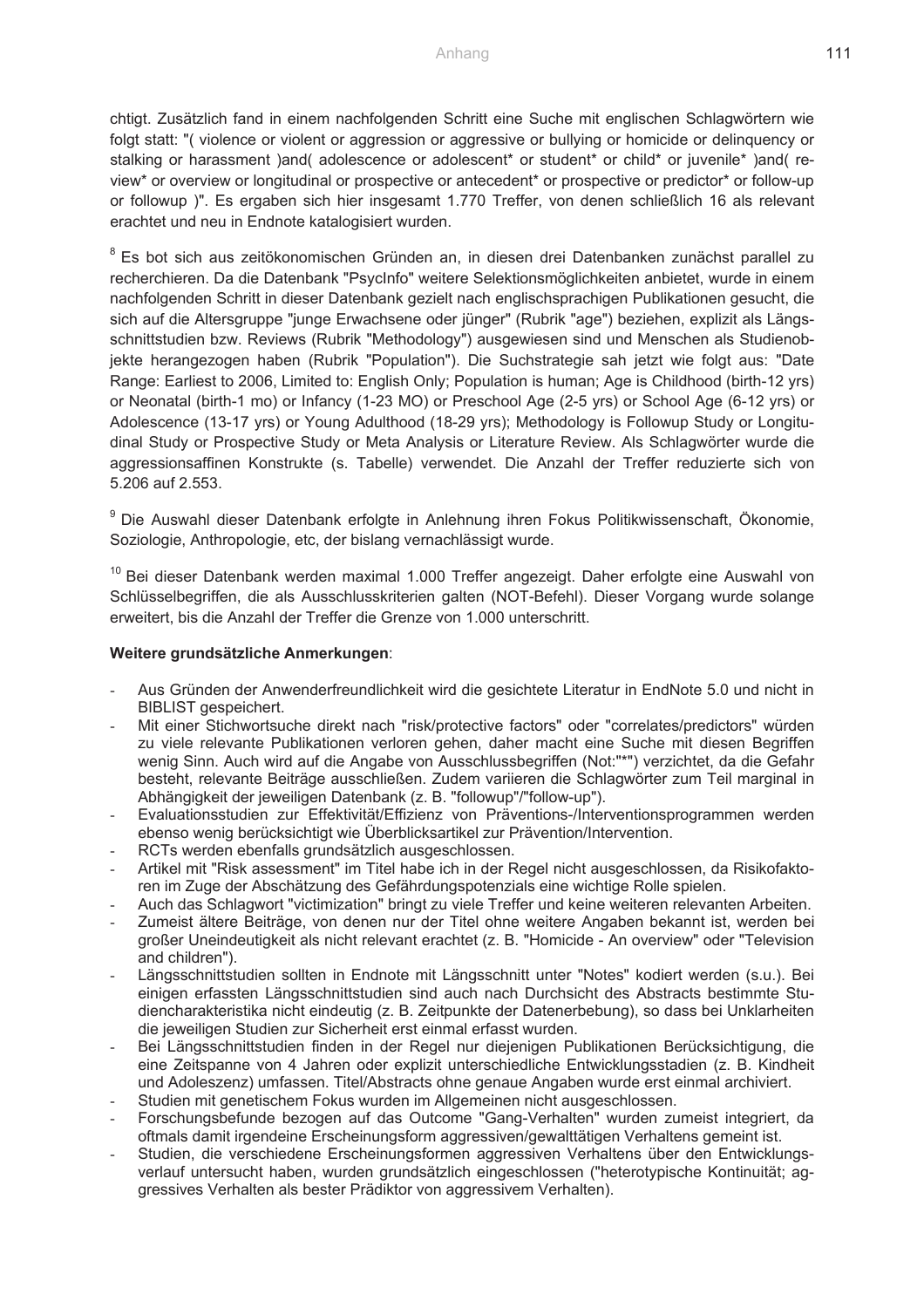chtigt. Zusätzlich fand in einem nachfolgenden Schritt eine Suche mit englischen Schlagwörtern wie folgt statt: "( violence or violent or aggression or aggressive or bullying or homicide or delinquency or stalking or harassment )and( adolescence or adolescent\* or student\* or child\* or juvenile\* )and( review\* or overview or longitudinal or prospective or antecedent\* or prospective or predictor\* or follow-up or followup )". Es ergaben sich hier insgesamt 1.770 Treffer, von denen schließlich 16 als relevant erachtet und neu in Endnote katalogisiert wurden.

<sup>8</sup> Es bot sich aus zeitökonomischen Gründen an, in diesen drei Datenbanken zunächst parallel zu recherchieren. Da die Datenbank "PsycInfo" weitere Selektionsmöglichkeiten anbietet, wurde in einem nachfolgenden Schritt in dieser Datenbank gezielt nach englischsprachigen Publikationen gesucht, die sich auf die Altersgruppe "junge Erwachsene oder jünger" (Rubrik "age") beziehen, explizit als Längsschnittstudien bzw. Reviews (Rubrik "Methodology") ausgewiesen sind und Menschen als Studienobjekte herangezogen haben (Rubrik "Population"). Die Suchstrategie sah jetzt wie folgt aus: "Date Range: Earliest to 2006, Limited to: English Only; Population is human; Age is Childhood (birth-12 yrs) or Neonatal (birth-1 mo) or Infancy (1-23 MO) or Preschool Age (2-5 yrs) or School Age (6-12 yrs) or Adolescence (13-17 yrs) or Young Adulthood (18-29 yrs); Methodology is Followup Study or Longitudinal Study or Prospective Study or Meta Analysis or Literature Review. Als Schlagwörter wurde die aggressionsaffinen Konstrukte (s. Tabelle) verwendet. Die Anzahl der Treffer reduzierte sich von 5.206 auf 2.553.

<sup>9</sup> Die Auswahl dieser Datenbank erfolgte in Anlehnung ihren Fokus Politikwissenschaft, Ökonomie, Soziologie, Anthropologie, etc, der bislang vernachlässigt wurde.

<sup>10</sup> Bei dieser Datenbank werden maximal 1.000 Treffer angezeigt. Daher erfolgte eine Auswahl von Schlüsselbegriffen, die als Ausschlusskriterien galten (NOT-Befehl). Dieser Vorgang wurde solange erweitert, bis die Anzahl der Treffer die Grenze von 1.000 unterschritt.

#### **Weitere grundsätzliche Anmerkungen**:

- Aus Gründen der Anwenderfreundlichkeit wird die gesichtete Literatur in EndNote 5.0 und nicht in BIBLIST gespeichert.
- Mit einer Stichwortsuche direkt nach "risk/protective factors" oder "correlates/predictors" würden zu viele relevante Publikationen verloren gehen, daher macht eine Suche mit diesen Begriffen wenig Sinn. Auch wird auf die Angabe von Ausschlussbegriffen (Not:"\*") verzichtet, da die Gefahr besteht, relevante Beiträge ausschließen. Zudem variieren die Schlagwörter zum Teil marginal in Abhängigkeit der jeweiligen Datenbank (z. B. "followup"/"follow-up").
- Evaluationsstudien zur Effektivität/Effizienz von Präventions-/Interventionsprogrammen werden ebenso wenig berücksichtigt wie Überblicksartikel zur Prävention/Intervention.
- RCTs werden ebenfalls grundsätzlich ausgeschlossen.
- Artikel mit "Risk assessment" im Titel habe ich in der Regel nicht ausgeschlossen, da Risikofaktoren im Zuge der Abschätzung des Gefährdungspotenzials eine wichtige Rolle spielen.
- Auch das Schlagwort "victimization" bringt zu viele Treffer und keine weiteren relevanten Arbeiten.
- Zumeist ältere Beiträge, von denen nur der Titel ohne weitere Angaben bekannt ist, werden bei großer Uneindeutigkeit als nicht relevant erachtet (z. B. "Homicide - An overview" oder "Television and children").
- Längsschnittstudien sollten in Endnote mit Längsschnitt unter "Notes" kodiert werden (s.u.). Bei einigen erfassten Längsschnittstudien sind auch nach Durchsicht des Abstracts bestimmte Studiencharakteristika nicht eindeutig (z. B. Zeitpunkte der Datenerbebung), so dass bei Unklarheiten die jeweiligen Studien zur Sicherheit erst einmal erfasst wurden.
- Bei Längsschnittstudien finden in der Regel nur diejenigen Publikationen Berücksichtigung, die eine Zeitspanne von 4 Jahren oder explizit unterschiedliche Entwicklungsstadien (z. B. Kindheit und Adoleszenz) umfassen. Titel/Abstracts ohne genaue Angaben wurde erst einmal archiviert.
- Studien mit genetischem Fokus wurden im Allgemeinen nicht ausgeschlossen.
- Forschungsbefunde bezogen auf das Outcome "Gang-Verhalten" wurden zumeist integriert, da oftmals damit irgendeine Erscheinungsform aggressiven/gewalttätigen Verhaltens gemeint ist.
- Studien, die verschiedene Erscheinungsformen aggressiven Verhaltens über den Entwicklungsverlauf untersucht haben, wurden grundsätzlich eingeschlossen ("heterotypische Kontinuität; aggressives Verhalten als bester Prädiktor von aggressivem Verhalten).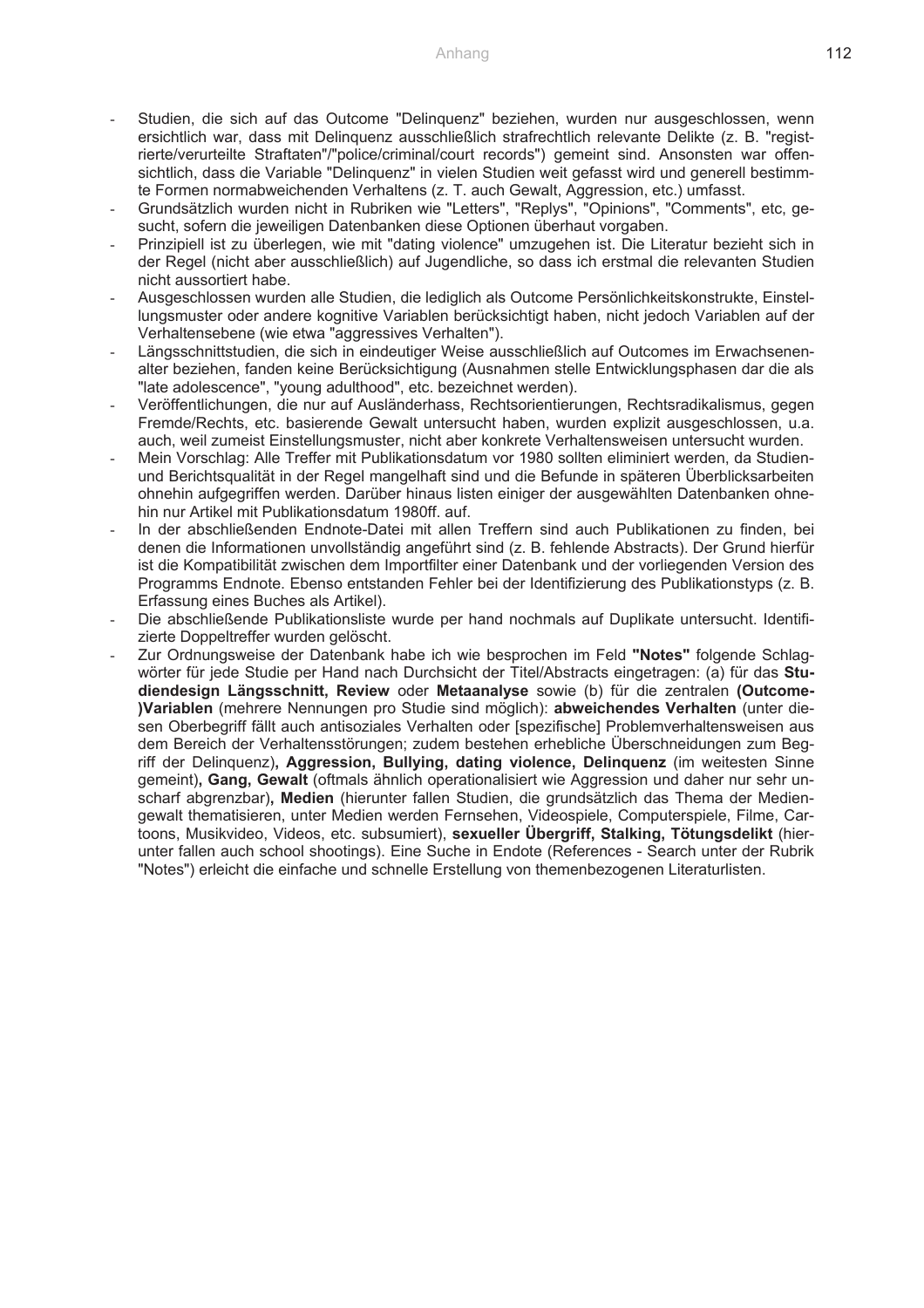- Studien, die sich auf das Outcome "Delinguenz" beziehen, wurden nur ausgeschlossen, wenn ersichtlich war, dass mit Delinquenz ausschließlich strafrechtlich relevante Delikte (z. B. "registrierte/verurteilte Straftaten"/"police/criminal/court records") gemeint sind. Ansonsten war offensichtlich, dass die Variable "Delinquenz" in vielen Studien weit gefasst wird und generell bestimmte Formen normabweichenden Verhaltens (z. T. auch Gewalt, Aggression, etc.) umfasst.
- Grundsätzlich wurden nicht in Rubriken wie "Letters", "Replys", "Opinions", "Comments", etc, gesucht, sofern die jeweiligen Datenbanken diese Optionen überhaut vorgaben.
- Prinzipiell ist zu überlegen, wie mit "dating violence" umzugehen ist. Die Literatur bezieht sich in der Regel (nicht aber ausschließlich) auf Jugendliche, so dass ich erstmal die relevanten Studien nicht aussortiert habe.
- Ausgeschlossen wurden alle Studien, die lediglich als Outcome Persönlichkeitskonstrukte, Einstellungsmuster oder andere kognitive Variablen berücksichtigt haben, nicht jedoch Variablen auf der Verhaltensebene (wie etwa "aggressives Verhalten").
- Längsschnittstudien, die sich in eindeutiger Weise ausschließlich auf Outcomes im Erwachsenenalter beziehen, fanden keine Berücksichtigung (Ausnahmen stelle Entwicklungsphasen dar die als "late adolescence", "young adulthood", etc. bezeichnet werden).
- Veröffentlichungen, die nur auf Ausländerhass, Rechtsorientierungen, Rechtsradikalismus, gegen Fremde/Rechts, etc. basierende Gewalt untersucht haben, wurden explizit ausgeschlossen, u.a. auch, weil zumeist Einstellungsmuster, nicht aber konkrete Verhaltensweisen untersucht wurden.
- Mein Vorschlag: Alle Treffer mit Publikationsdatum vor 1980 sollten eliminiert werden, da Studienund Berichtsqualität in der Regel mangelhaft sind und die Befunde in späteren Überblicksarbeiten ohnehin aufgegriffen werden. Darüber hinaus listen einiger der ausgewählten Datenbanken ohnehin nur Artikel mit Publikationsdatum 1980ff. auf.
- In der abschließenden Endnote-Datei mit allen Treffern sind auch Publikationen zu finden, bei denen die Informationen unvollständig angeführt sind (z. B. fehlende Abstracts). Der Grund hierfür ist die Kompatibilität zwischen dem Importfilter einer Datenbank und der vorliegenden Version des Programms Endnote. Ebenso entstanden Fehler bei der Identifizierung des Publikationstyps (z. B. Erfassung eines Buches als Artikel).
- Die abschließende Publikationsliste wurde per hand nochmals auf Duplikate untersucht. Identifizierte Doppeltreffer wurden gelöscht.
- Zur Ordnungsweise der Datenbank habe ich wie besprochen im Feld **"Notes"** folgende Schlagwörter für jede Studie per Hand nach Durchsicht der Titel/Abstracts eingetragen: (a) für das **Studiendesign Längsschnitt, Review** oder **Metaanalyse** sowie (b) für die zentralen **(Outcome- )Variablen** (mehrere Nennungen pro Studie sind möglich): **abweichendes Verhalten** (unter diesen Oberbegriff fällt auch antisoziales Verhalten oder [spezifische] Problemverhaltensweisen aus dem Bereich der Verhaltensstörungen; zudem bestehen erhebliche Überschneidungen zum Begriff der Delinquenz)**, Aggression, Bullying, dating violence, Delinquenz** (im weitesten Sinne gemeint)**, Gang, Gewalt** (oftmals ähnlich operationalisiert wie Aggression und daher nur sehr unscharf abgrenzbar)**, Medien** (hierunter fallen Studien, die grundsätzlich das Thema der Mediengewalt thematisieren, unter Medien werden Fernsehen, Videospiele, Computerspiele, Filme, Cartoons, Musikvideo, Videos, etc. subsumiert), **sexueller Übergriff, Stalking, Tötungsdelikt** (hierunter fallen auch school shootings). Eine Suche in Endote (References - Search unter der Rubrik "Notes") erleicht die einfache und schnelle Erstellung von themenbezogenen Literaturlisten.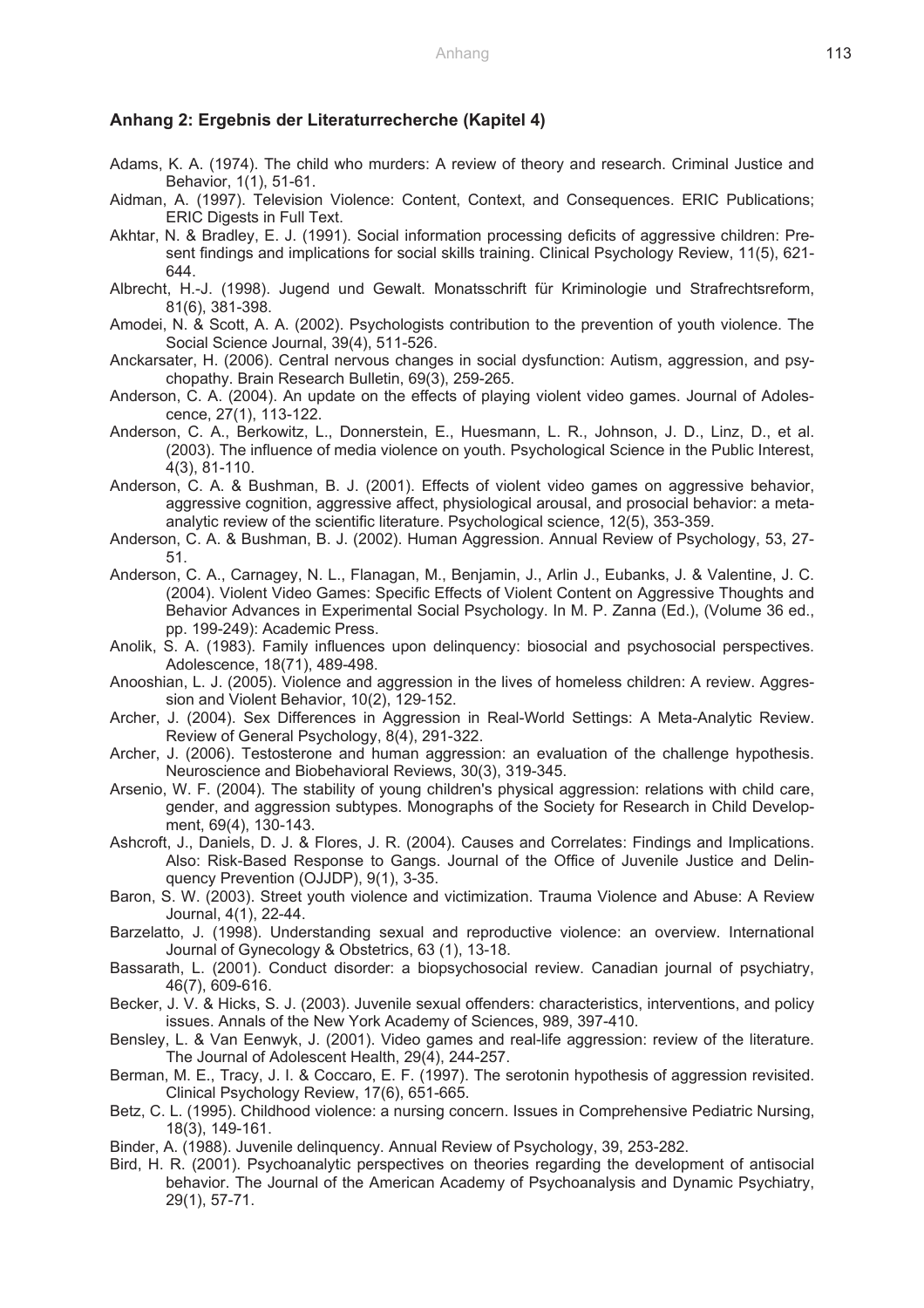#### **Anhang 2: Ergebnis der Literaturrecherche (Kapitel 4)**

- Adams, K. A. (1974). The child who murders: A review of theory and research. Criminal Justice and Behavior, 1(1), 51-61.
- Aidman, A. (1997). Television Violence: Content, Context, and Consequences. ERIC Publications; ERIC Digests in Full Text.
- Akhtar, N. & Bradley, E. J. (1991). Social information processing deficits of aggressive children: Present findings and implications for social skills training. Clinical Psychology Review, 11(5), 621- 644.
- Albrecht, H.-J. (1998). Jugend und Gewalt. Monatsschrift für Kriminologie und Strafrechtsreform, 81(6), 381-398.
- Amodei, N. & Scott, A. A. (2002). Psychologists contribution to the prevention of youth violence. The Social Science Journal, 39(4), 511-526.
- Anckarsater, H. (2006). Central nervous changes in social dysfunction: Autism, aggression, and psychopathy. Brain Research Bulletin, 69(3), 259-265.
- Anderson, C. A. (2004). An update on the effects of playing violent video games. Journal of Adolescence, 27(1), 113-122.
- Anderson, C. A., Berkowitz, L., Donnerstein, E., Huesmann, L. R., Johnson, J. D., Linz, D., et al. (2003). The influence of media violence on youth. Psychological Science in the Public Interest, 4(3), 81-110.
- Anderson, C. A. & Bushman, B. J. (2001). Effects of violent video games on aggressive behavior, aggressive cognition, aggressive affect, physiological arousal, and prosocial behavior: a metaanalytic review of the scientific literature. Psychological science, 12(5), 353-359.
- Anderson, C. A. & Bushman, B. J. (2002). Human Aggression. Annual Review of Psychology, 53, 27- 51.
- Anderson, C. A., Carnagey, N. L., Flanagan, M., Benjamin, J., Arlin J., Eubanks, J. & Valentine, J. C. (2004). Violent Video Games: Specific Effects of Violent Content on Aggressive Thoughts and Behavior Advances in Experimental Social Psychology. In M. P. Zanna (Ed.), (Volume 36 ed., pp. 199-249): Academic Press.
- Anolik, S. A. (1983). Family influences upon delinquency: biosocial and psychosocial perspectives. Adolescence, 18(71), 489-498.
- Anooshian, L. J. (2005). Violence and aggression in the lives of homeless children: A review. Aggression and Violent Behavior, 10(2), 129-152.
- Archer, J. (2004). Sex Differences in Aggression in Real-World Settings: A Meta-Analytic Review. Review of General Psychology, 8(4), 291-322.
- Archer, J. (2006). Testosterone and human aggression: an evaluation of the challenge hypothesis. Neuroscience and Biobehavioral Reviews, 30(3), 319-345.
- Arsenio, W. F. (2004). The stability of young children's physical aggression: relations with child care, gender, and aggression subtypes. Monographs of the Society for Research in Child Development, 69(4), 130-143.
- Ashcroft, J., Daniels, D. J. & Flores, J. R. (2004). Causes and Correlates: Findings and Implications. Also: Risk-Based Response to Gangs. Journal of the Office of Juvenile Justice and Delinquency Prevention (OJJDP), 9(1), 3-35.
- Baron, S. W. (2003). Street youth violence and victimization. Trauma Violence and Abuse: A Review Journal, 4(1), 22-44.
- Barzelatto, J. (1998). Understanding sexual and reproductive violence: an overview. International Journal of Gynecology & Obstetrics, 63 (1), 13-18.
- Bassarath, L. (2001). Conduct disorder: a biopsychosocial review. Canadian journal of psychiatry, 46(7), 609-616.
- Becker, J. V. & Hicks, S. J. (2003). Juvenile sexual offenders: characteristics, interventions, and policy issues. Annals of the New York Academy of Sciences, 989, 397-410.
- Bensley, L. & Van Eenwyk, J. (2001). Video games and real-life aggression: review of the literature. The Journal of Adolescent Health, 29(4), 244-257.
- Berman, M. E., Tracy, J. I. & Coccaro, E. F. (1997). The serotonin hypothesis of aggression revisited. Clinical Psychology Review, 17(6), 651-665.
- Betz, C. L. (1995). Childhood violence: a nursing concern. Issues in Comprehensive Pediatric Nursing, 18(3), 149-161.
- Binder, A. (1988). Juvenile delinquency. Annual Review of Psychology, 39, 253-282.
- Bird, H. R. (2001). Psychoanalytic perspectives on theories regarding the development of antisocial behavior. The Journal of the American Academy of Psychoanalysis and Dynamic Psychiatry, 29(1), 57-71.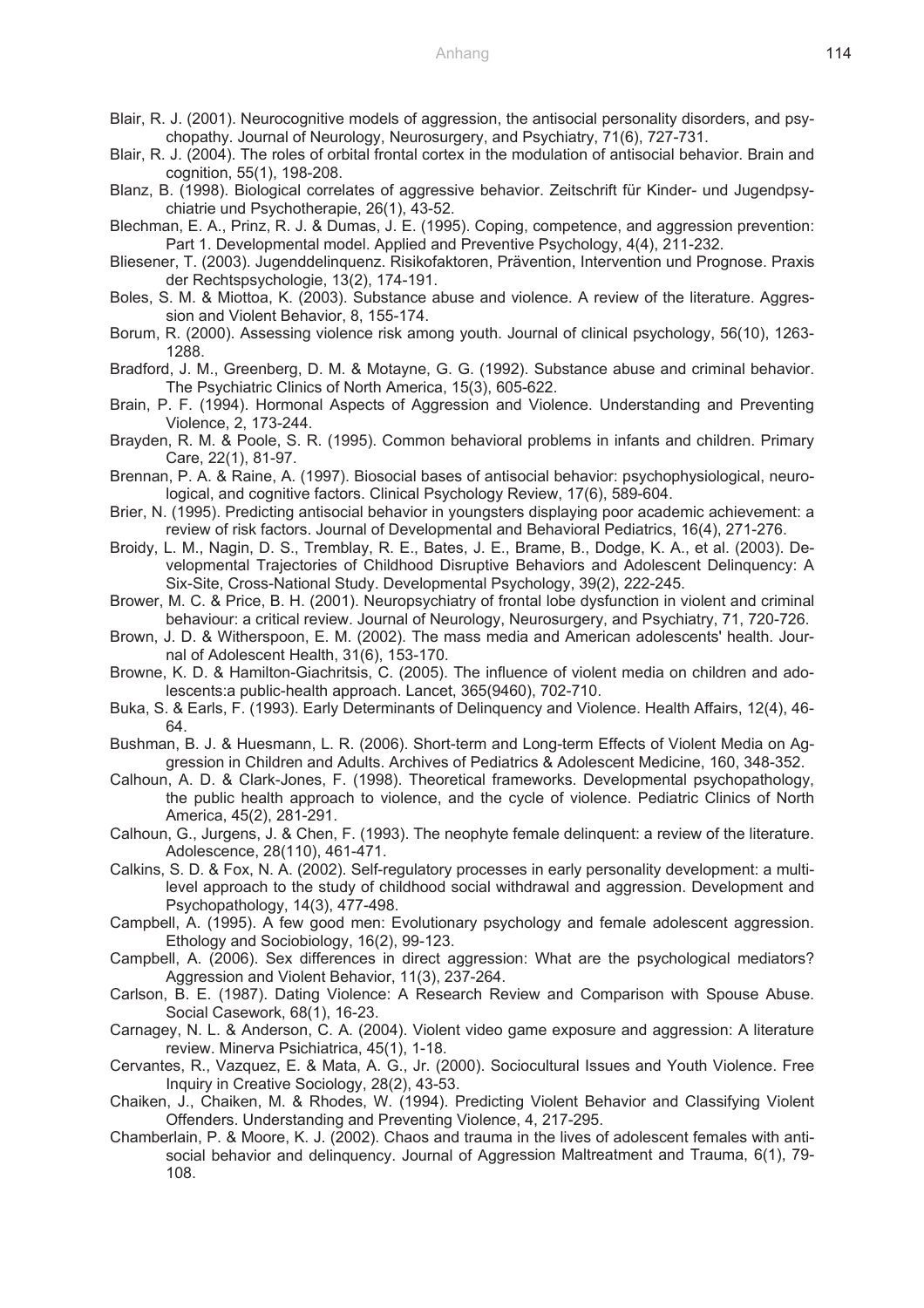- Blair, R. J. (2001). Neurocognitive models of aggression, the antisocial personality disorders, and psychopathy. Journal of Neurology, Neurosurgery, and Psychiatry, 71(6), 727-731.
- Blair, R. J. (2004). The roles of orbital frontal cortex in the modulation of antisocial behavior. Brain and cognition, 55(1), 198-208.
- Blanz, B. (1998). Biological correlates of aggressive behavior. Zeitschrift für Kinder- und Jugendpsychiatrie und Psychotherapie, 26(1), 43-52.
- Blechman, E. A., Prinz, R. J. & Dumas, J. E. (1995). Coping, competence, and aggression prevention: Part 1. Developmental model. Applied and Preventive Psychology, 4(4), 211-232.
- Bliesener, T. (2003). Jugenddelinquenz. Risikofaktoren, Prävention, Intervention und Prognose. Praxis der Rechtspsychologie, 13(2), 174-191.
- Boles, S. M. & Miottoa, K. (2003). Substance abuse and violence. A review of the literature. Aggression and Violent Behavior, 8, 155-174.
- Borum, R. (2000). Assessing violence risk among youth. Journal of clinical psychology, 56(10), 1263- 1288.
- Bradford, J. M., Greenberg, D. M. & Motayne, G. G. (1992). Substance abuse and criminal behavior. The Psychiatric Clinics of North America, 15(3), 605-622.
- Brain, P. F. (1994). Hormonal Aspects of Aggression and Violence. Understanding and Preventing Violence, 2, 173-244.
- Brayden, R. M. & Poole, S. R. (1995). Common behavioral problems in infants and children. Primary Care, 22(1), 81-97.
- Brennan, P. A. & Raine, A. (1997). Biosocial bases of antisocial behavior: psychophysiological, neurological, and cognitive factors. Clinical Psychology Review, 17(6), 589-604.
- Brier, N. (1995). Predicting antisocial behavior in youngsters displaying poor academic achievement: a review of risk factors. Journal of Developmental and Behavioral Pediatrics, 16(4), 271-276.
- Broidy, L. M., Nagin, D. S., Tremblay, R. E., Bates, J. E., Brame, B., Dodge, K. A., et al. (2003). Developmental Trajectories of Childhood Disruptive Behaviors and Adolescent Delinquency: A Six-Site, Cross-National Study. Developmental Psychology, 39(2), 222-245.
- Brower, M. C. & Price, B. H. (2001). Neuropsychiatry of frontal lobe dysfunction in violent and criminal behaviour: a critical review. Journal of Neurology, Neurosurgery, and Psychiatry, 71, 720-726.
- Brown, J. D. & Witherspoon, E. M. (2002). The mass media and American adolescents' health. Journal of Adolescent Health, 31(6), 153-170.
- Browne, K. D. & Hamilton-Giachritsis, C. (2005). The influence of violent media on children and adolescents:a public-health approach. Lancet, 365(9460), 702-710.
- Buka, S. & Earls, F. (1993). Early Determinants of Delinquency and Violence. Health Affairs, 12(4), 46- 64.
- Bushman, B. J. & Huesmann, L. R. (2006). Short-term and Long-term Effects of Violent Media on Aggression in Children and Adults. Archives of Pediatrics & Adolescent Medicine, 160, 348-352.
- Calhoun, A. D. & Clark-Jones, F. (1998). Theoretical frameworks. Developmental psychopathology, the public health approach to violence, and the cycle of violence. Pediatric Clinics of North America, 45(2), 281-291.
- Calhoun, G., Jurgens, J. & Chen, F. (1993). The neophyte female delinquent: a review of the literature. Adolescence, 28(110), 461-471.
- Calkins, S. D. & Fox, N. A. (2002). Self-regulatory processes in early personality development: a multilevel approach to the study of childhood social withdrawal and aggression. Development and Psychopathology, 14(3), 477-498.
- Campbell, A. (1995). A few good men: Evolutionary psychology and female adolescent aggression. Ethology and Sociobiology, 16(2), 99-123.
- Campbell, A. (2006). Sex differences in direct aggression: What are the psychological mediators? Aggression and Violent Behavior, 11(3), 237-264.
- Carlson, B. E. (1987). Dating Violence: A Research Review and Comparison with Spouse Abuse. Social Casework, 68(1), 16-23.
- Carnagey, N. L. & Anderson, C. A. (2004). Violent video game exposure and aggression: A literature review. Minerva Psichiatrica, 45(1), 1-18.
- Cervantes, R., Vazquez, E. & Mata, A. G., Jr. (2000). Sociocultural Issues and Youth Violence. Free Inquiry in Creative Sociology, 28(2), 43-53.
- Chaiken, J., Chaiken, M. & Rhodes, W. (1994). Predicting Violent Behavior and Classifying Violent Offenders. Understanding and Preventing Violence, 4, 217-295.
- Chamberlain, P. & Moore, K. J. (2002). Chaos and trauma in the lives of adolescent females with antisocial behavior and delinquency. Journal of Aggression Maltreatment and Trauma, 6(1), 79- 108.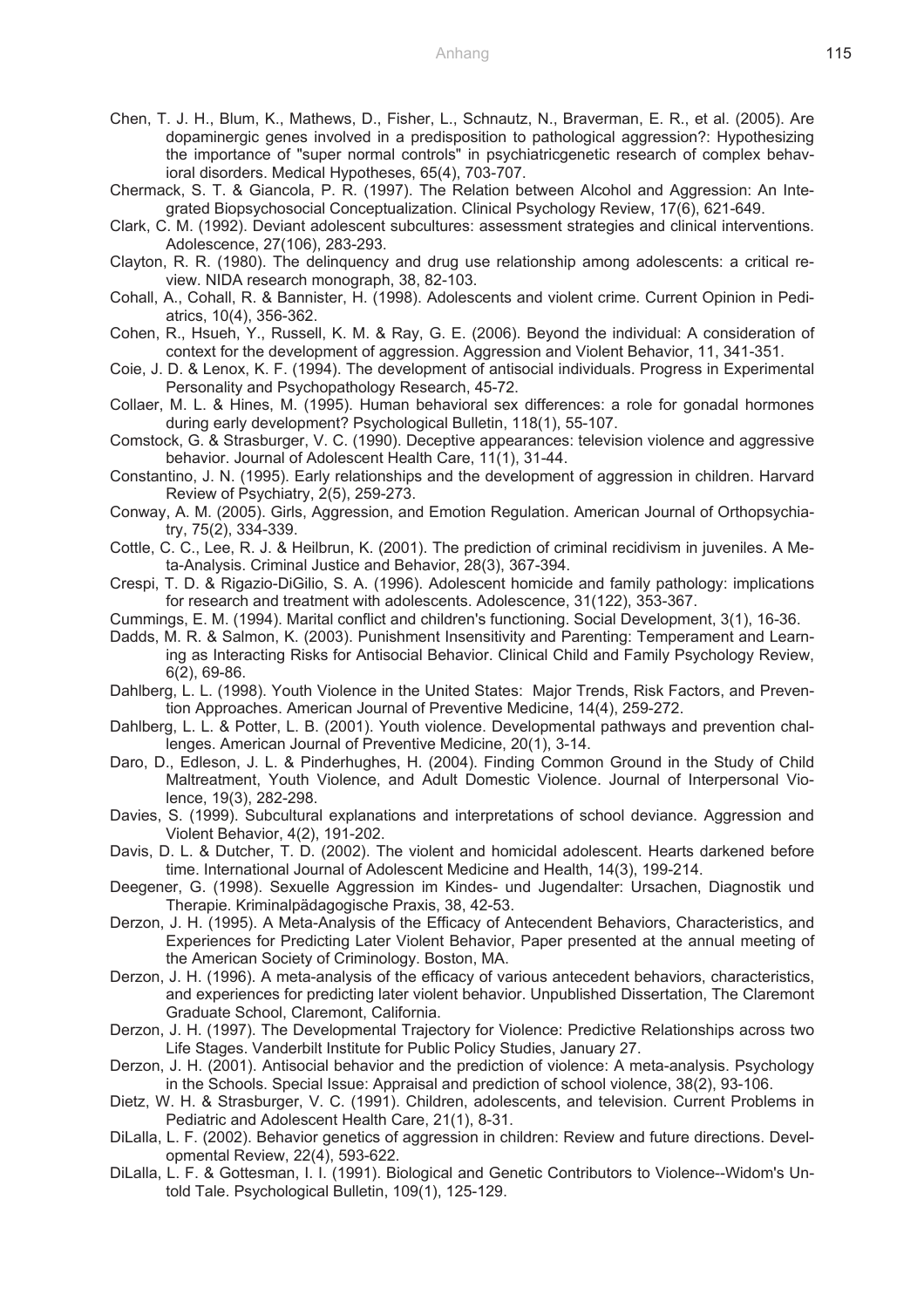- Chen, T. J. H., Blum, K., Mathews, D., Fisher, L., Schnautz, N., Braverman, E. R., et al. (2005). Are dopaminergic genes involved in a predisposition to pathological aggression?: Hypothesizing the importance of "super normal controls" in psychiatricgenetic research of complex behavioral disorders. Medical Hypotheses, 65(4), 703-707.
- Chermack, S. T. & Giancola, P. R. (1997). The Relation between Alcohol and Aggression: An Integrated Biopsychosocial Conceptualization. Clinical Psychology Review, 17(6), 621-649.
- Clark, C. M. (1992). Deviant adolescent subcultures: assessment strategies and clinical interventions. Adolescence, 27(106), 283-293.
- Clayton, R. R. (1980). The delinquency and drug use relationship among adolescents: a critical review. NIDA research monograph, 38, 82-103.
- Cohall, A., Cohall, R. & Bannister, H. (1998). Adolescents and violent crime. Current Opinion in Pediatrics, 10(4), 356-362.
- Cohen, R., Hsueh, Y., Russell, K. M. & Ray, G. E. (2006). Beyond the individual: A consideration of context for the development of aggression. Aggression and Violent Behavior, 11, 341-351.
- Coie, J. D. & Lenox, K. F. (1994). The development of antisocial individuals. Progress in Experimental Personality and Psychopathology Research, 45-72.
- Collaer, M. L. & Hines, M. (1995). Human behavioral sex differences: a role for gonadal hormones during early development? Psychological Bulletin, 118(1), 55-107.
- Comstock, G. & Strasburger, V. C. (1990). Deceptive appearances: television violence and aggressive behavior. Journal of Adolescent Health Care, 11(1), 31-44.
- Constantino, J. N. (1995). Early relationships and the development of aggression in children. Harvard Review of Psychiatry, 2(5), 259-273.
- Conway, A. M. (2005). Girls, Aggression, and Emotion Regulation. American Journal of Orthopsychiatry, 75(2), 334-339.
- Cottle, C. C., Lee, R. J. & Heilbrun, K. (2001). The prediction of criminal recidivism in juveniles. A Meta-Analysis. Criminal Justice and Behavior, 28(3), 367-394.
- Crespi, T. D. & Rigazio-DiGilio, S. A. (1996). Adolescent homicide and family pathology: implications for research and treatment with adolescents. Adolescence, 31(122), 353-367.
- Cummings, E. M. (1994). Marital conflict and children's functioning. Social Development, 3(1), 16-36.
- Dadds, M. R. & Salmon, K. (2003). Punishment Insensitivity and Parenting: Temperament and Learning as Interacting Risks for Antisocial Behavior. Clinical Child and Family Psychology Review, 6(2), 69-86.
- Dahlberg, L. L. (1998). Youth Violence in the United States: Major Trends, Risk Factors, and Prevention Approaches. American Journal of Preventive Medicine, 14(4), 259-272.
- Dahlberg, L. L. & Potter, L. B. (2001). Youth violence. Developmental pathways and prevention challenges. American Journal of Preventive Medicine, 20(1), 3-14.
- Daro, D., Edleson, J. L. & Pinderhughes, H. (2004). Finding Common Ground in the Study of Child Maltreatment, Youth Violence, and Adult Domestic Violence. Journal of Interpersonal Violence, 19(3), 282-298.
- Davies, S. (1999). Subcultural explanations and interpretations of school deviance. Aggression and Violent Behavior, 4(2), 191-202.
- Davis, D. L. & Dutcher, T. D. (2002). The violent and homicidal adolescent. Hearts darkened before time. International Journal of Adolescent Medicine and Health, 14(3), 199-214.
- Deegener, G. (1998). Sexuelle Aggression im Kindes- und Jugendalter: Ursachen, Diagnostik und Therapie. Kriminalpädagogische Praxis, 38, 42-53.
- Derzon, J. H. (1995). A Meta-Analysis of the Efficacy of Antecendent Behaviors, Characteristics, and Experiences for Predicting Later Violent Behavior, Paper presented at the annual meeting of the American Society of Criminology. Boston, MA.
- Derzon, J. H. (1996). A meta-analysis of the efficacy of various antecedent behaviors, characteristics, and experiences for predicting later violent behavior. Unpublished Dissertation, The Claremont Graduate School, Claremont, California.
- Derzon, J. H. (1997). The Developmental Trajectory for Violence: Predictive Relationships across two Life Stages. Vanderbilt Institute for Public Policy Studies, January 27.
- Derzon, J. H. (2001). Antisocial behavior and the prediction of violence: A meta-analysis. Psychology in the Schools. Special Issue: Appraisal and prediction of school violence, 38(2), 93-106.
- Dietz, W. H. & Strasburger, V. C. (1991). Children, adolescents, and television. Current Problems in Pediatric and Adolescent Health Care, 21(1), 8-31.
- DiLalla, L. F. (2002). Behavior genetics of aggression in children: Review and future directions. Developmental Review, 22(4), 593-622.
- DiLalla, L. F. & Gottesman, I. I. (1991). Biological and Genetic Contributors to Violence--Widom's Untold Tale. Psychological Bulletin, 109(1), 125-129.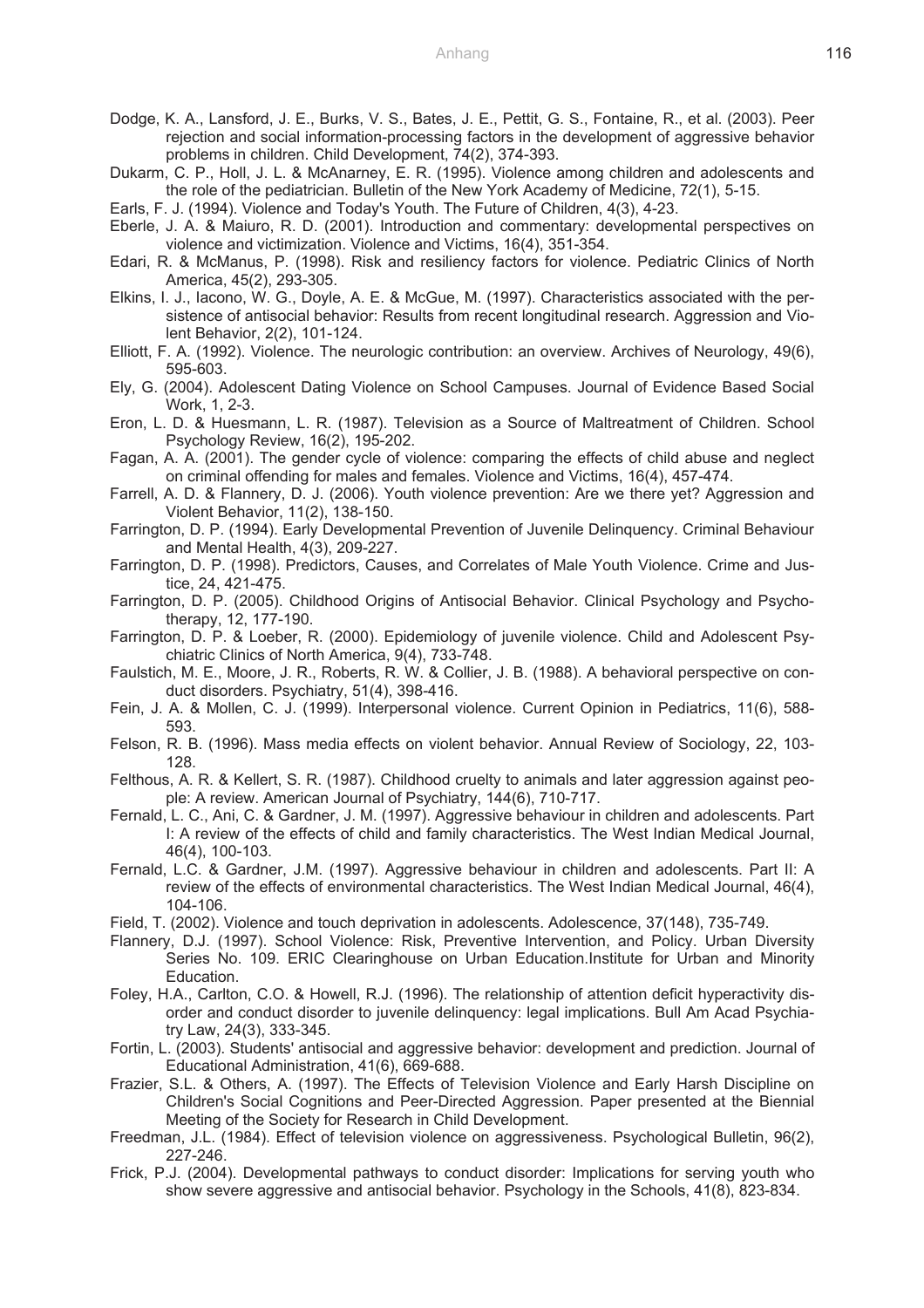- Dodge, K. A., Lansford, J. E., Burks, V. S., Bates, J. E., Pettit, G. S., Fontaine, R., et al. (2003). Peer rejection and social information-processing factors in the development of aggressive behavior problems in children. Child Development, 74(2), 374-393.
- Dukarm, C. P., Holl, J. L. & McAnarney, E. R. (1995). Violence among children and adolescents and the role of the pediatrician. Bulletin of the New York Academy of Medicine, 72(1), 5-15.
- Earls, F. J. (1994). Violence and Today's Youth. The Future of Children, 4(3), 4-23.
- Eberle, J. A. & Maiuro, R. D. (2001). Introduction and commentary: developmental perspectives on violence and victimization. Violence and Victims, 16(4), 351-354.
- Edari, R. & McManus, P. (1998). Risk and resiliency factors for violence. Pediatric Clinics of North America, 45(2), 293-305.
- Elkins, I. J., Iacono, W. G., Doyle, A. E. & McGue, M. (1997). Characteristics associated with the persistence of antisocial behavior: Results from recent longitudinal research. Aggression and Violent Behavior, 2(2), 101-124.
- Elliott, F. A. (1992). Violence. The neurologic contribution: an overview. Archives of Neurology, 49(6), 595-603.
- Ely, G. (2004). Adolescent Dating Violence on School Campuses. Journal of Evidence Based Social Work, 1, 2-3.
- Eron, L. D. & Huesmann, L. R. (1987). Television as a Source of Maltreatment of Children. School Psychology Review, 16(2), 195-202.
- Fagan, A. A. (2001). The gender cycle of violence: comparing the effects of child abuse and neglect on criminal offending for males and females. Violence and Victims, 16(4), 457-474.
- Farrell, A. D. & Flannery, D. J. (2006). Youth violence prevention: Are we there yet? Aggression and Violent Behavior, 11(2), 138-150.
- Farrington, D. P. (1994). Early Developmental Prevention of Juvenile Delinquency. Criminal Behaviour and Mental Health, 4(3), 209-227.
- Farrington, D. P. (1998). Predictors, Causes, and Correlates of Male Youth Violence. Crime and Justice, 24, 421-475.
- Farrington, D. P. (2005). Childhood Origins of Antisocial Behavior. Clinical Psychology and Psychotherapy, 12, 177-190.
- Farrington, D. P. & Loeber, R. (2000). Epidemiology of juvenile violence. Child and Adolescent Psychiatric Clinics of North America, 9(4), 733-748.
- Faulstich, M. E., Moore, J. R., Roberts, R. W. & Collier, J. B. (1988). A behavioral perspective on conduct disorders. Psychiatry, 51(4), 398-416.
- Fein, J. A. & Mollen, C. J. (1999). Interpersonal violence. Current Opinion in Pediatrics, 11(6), 588- 593.
- Felson, R. B. (1996). Mass media effects on violent behavior. Annual Review of Sociology, 22, 103- 128.
- Felthous, A. R. & Kellert, S. R. (1987). Childhood cruelty to animals and later aggression against people: A review. American Journal of Psychiatry, 144(6), 710-717.
- Fernald, L. C., Ani, C. & Gardner, J. M. (1997). Aggressive behaviour in children and adolescents. Part I: A review of the effects of child and family characteristics. The West Indian Medical Journal, 46(4), 100-103.
- Fernald, L.C. & Gardner, J.M. (1997). Aggressive behaviour in children and adolescents. Part II: A review of the effects of environmental characteristics. The West Indian Medical Journal, 46(4), 104-106.
- Field, T. (2002). Violence and touch deprivation in adolescents. Adolescence, 37(148), 735-749.
- Flannery, D.J. (1997). School Violence: Risk, Preventive Intervention, and Policy. Urban Diversity Series No. 109. ERIC Clearinghouse on Urban Education.Institute for Urban and Minority Education.
- Foley, H.A., Carlton, C.O. & Howell, R.J. (1996). The relationship of attention deficit hyperactivity disorder and conduct disorder to juvenile delinquency: legal implications. Bull Am Acad Psychiatry Law, 24(3), 333-345.
- Fortin, L. (2003). Students' antisocial and aggressive behavior: development and prediction. Journal of Educational Administration, 41(6), 669-688.
- Frazier, S.L. & Others, A. (1997). The Effects of Television Violence and Early Harsh Discipline on Children's Social Cognitions and Peer-Directed Aggression. Paper presented at the Biennial Meeting of the Society for Research in Child Development.
- Freedman, J.L. (1984). Effect of television violence on aggressiveness. Psychological Bulletin, 96(2), 227-246.
- Frick, P.J. (2004). Developmental pathways to conduct disorder: Implications for serving youth who show severe aggressive and antisocial behavior. Psychology in the Schools, 41(8), 823-834.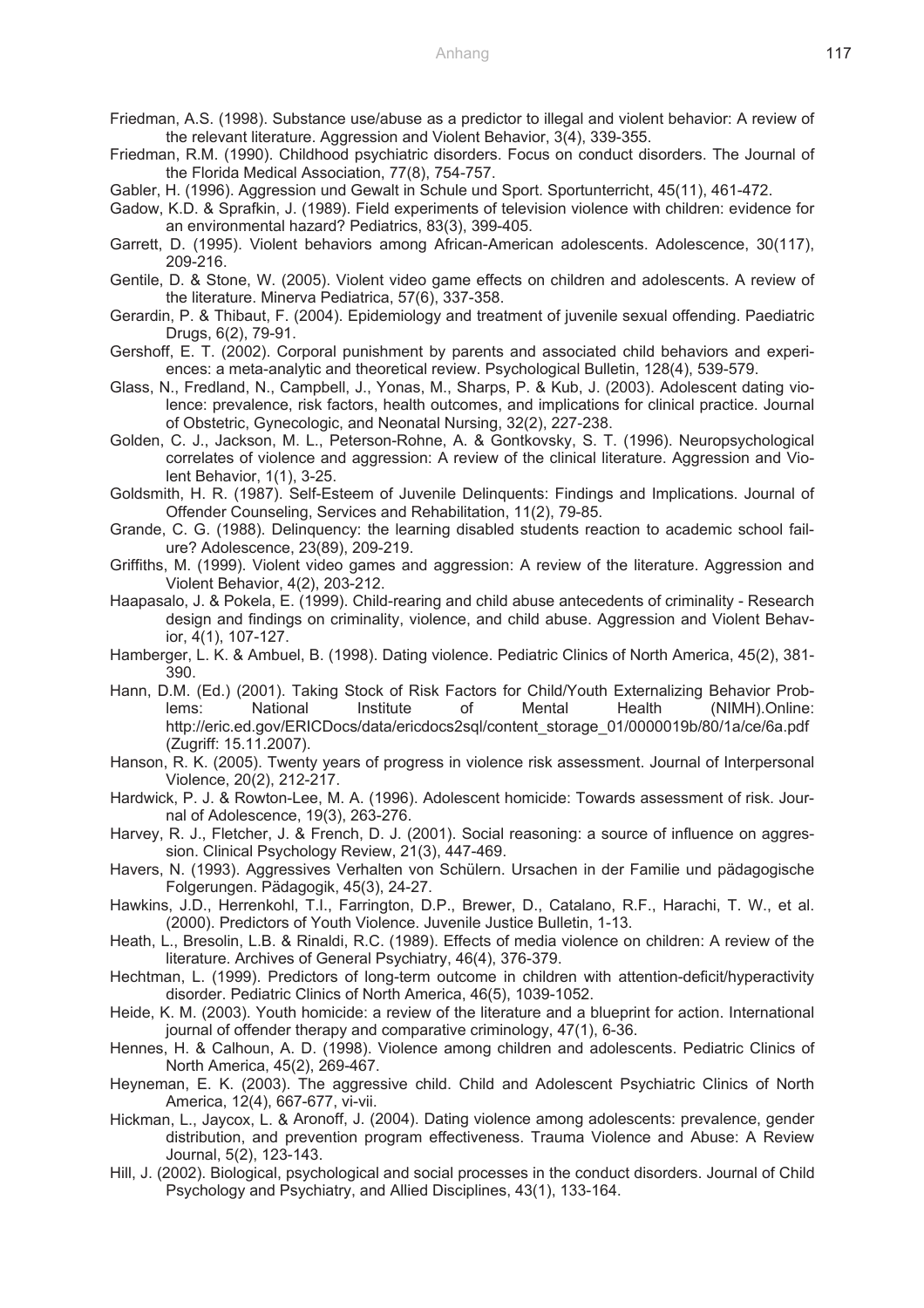- Friedman, A.S. (1998). Substance use/abuse as a predictor to illegal and violent behavior: A review of the relevant literature. Aggression and Violent Behavior, 3(4), 339-355.
- Friedman, R.M. (1990). Childhood psychiatric disorders. Focus on conduct disorders. The Journal of the Florida Medical Association, 77(8), 754-757.
- Gabler, H. (1996). Aggression und Gewalt in Schule und Sport. Sportunterricht, 45(11), 461-472.
- Gadow, K.D. & Sprafkin, J. (1989). Field experiments of television violence with children: evidence for an environmental hazard? Pediatrics, 83(3), 399-405.
- Garrett, D. (1995). Violent behaviors among African-American adolescents. Adolescence, 30(117), 209-216.
- Gentile, D. & Stone, W. (2005). Violent video game effects on children and adolescents. A review of the literature. Minerva Pediatrica, 57(6), 337-358.
- Gerardin, P. & Thibaut, F. (2004). Epidemiology and treatment of juvenile sexual offending. Paediatric Drugs, 6(2), 79-91.
- Gershoff, E. T. (2002). Corporal punishment by parents and associated child behaviors and experiences: a meta-analytic and theoretical review. Psychological Bulletin, 128(4), 539-579.
- Glass, N., Fredland, N., Campbell, J., Yonas, M., Sharps, P. & Kub, J. (2003). Adolescent dating violence: prevalence, risk factors, health outcomes, and implications for clinical practice. Journal of Obstetric, Gynecologic, and Neonatal Nursing, 32(2), 227-238.
- Golden, C. J., Jackson, M. L., Peterson-Rohne, A. & Gontkovsky, S. T. (1996). Neuropsychological correlates of violence and aggression: A review of the clinical literature. Aggression and Violent Behavior, 1(1), 3-25.
- Goldsmith, H. R. (1987). Self-Esteem of Juvenile Delinquents: Findings and Implications. Journal of Offender Counseling, Services and Rehabilitation, 11(2), 79-85.
- Grande, C. G. (1988). Delinquency: the learning disabled students reaction to academic school failure? Adolescence, 23(89), 209-219.
- Griffiths, M. (1999). Violent video games and aggression: A review of the literature. Aggression and Violent Behavior, 4(2), 203-212.
- Haapasalo, J. & Pokela, E. (1999). Child-rearing and child abuse antecedents of criminality Research design and findings on criminality, violence, and child abuse. Aggression and Violent Behavior, 4(1), 107-127.
- Hamberger, L. K. & Ambuel, B. (1998). Dating violence. Pediatric Clinics of North America, 45(2), 381- 390.
- Hann, D.M. (Ed.) (2001). Taking Stock of Risk Factors for Child/Youth Externalizing Behavior Problems: National Institute of Mental Health (NIMH).Online: http://eric.ed.gov/ERICDocs/data/ericdocs2sql/content\_storage\_01/0000019b/80/1a/ce/6a.pdf (Zugriff: 15.11.2007).
- Hanson, R. K. (2005). Twenty years of progress in violence risk assessment. Journal of Interpersonal Violence, 20(2), 212-217.
- Hardwick, P. J. & Rowton-Lee, M. A. (1996). Adolescent homicide: Towards assessment of risk. Journal of Adolescence, 19(3), 263-276.
- Harvey, R. J., Fletcher, J. & French, D. J. (2001). Social reasoning: a source of influence on aggression. Clinical Psychology Review, 21(3), 447-469.
- Havers, N. (1993). Aggressives Verhalten von Schülern. Ursachen in der Familie und pädagogische Folgerungen. Pädagogik, 45(3), 24-27.
- Hawkins, J.D., Herrenkohl, T.I., Farrington, D.P., Brewer, D., Catalano, R.F., Harachi, T. W., et al. (2000). Predictors of Youth Violence. Juvenile Justice Bulletin, 1-13.
- Heath, L., Bresolin, L.B. & Rinaldi, R.C. (1989). Effects of media violence on children: A review of the literature. Archives of General Psychiatry, 46(4), 376-379.
- Hechtman, L. (1999). Predictors of long-term outcome in children with attention-deficit/hyperactivity disorder. Pediatric Clinics of North America, 46(5), 1039-1052.
- Heide, K. M. (2003). Youth homicide: a review of the literature and a blueprint for action. International journal of offender therapy and comparative criminology, 47(1), 6-36.
- Hennes, H. & Calhoun, A. D. (1998). Violence among children and adolescents. Pediatric Clinics of North America, 45(2), 269-467.
- Heyneman, E. K. (2003). The aggressive child. Child and Adolescent Psychiatric Clinics of North America, 12(4), 667-677, vi-vii.
- Hickman, L., Jaycox, L. & Aronoff, J. (2004). Dating violence among adolescents: prevalence, gender distribution, and prevention program effectiveness. Trauma Violence and Abuse: A Review Journal, 5(2), 123-143.
- Hill, J. (2002). Biological, psychological and social processes in the conduct disorders. Journal of Child Psychology and Psychiatry, and Allied Disciplines, 43(1), 133-164.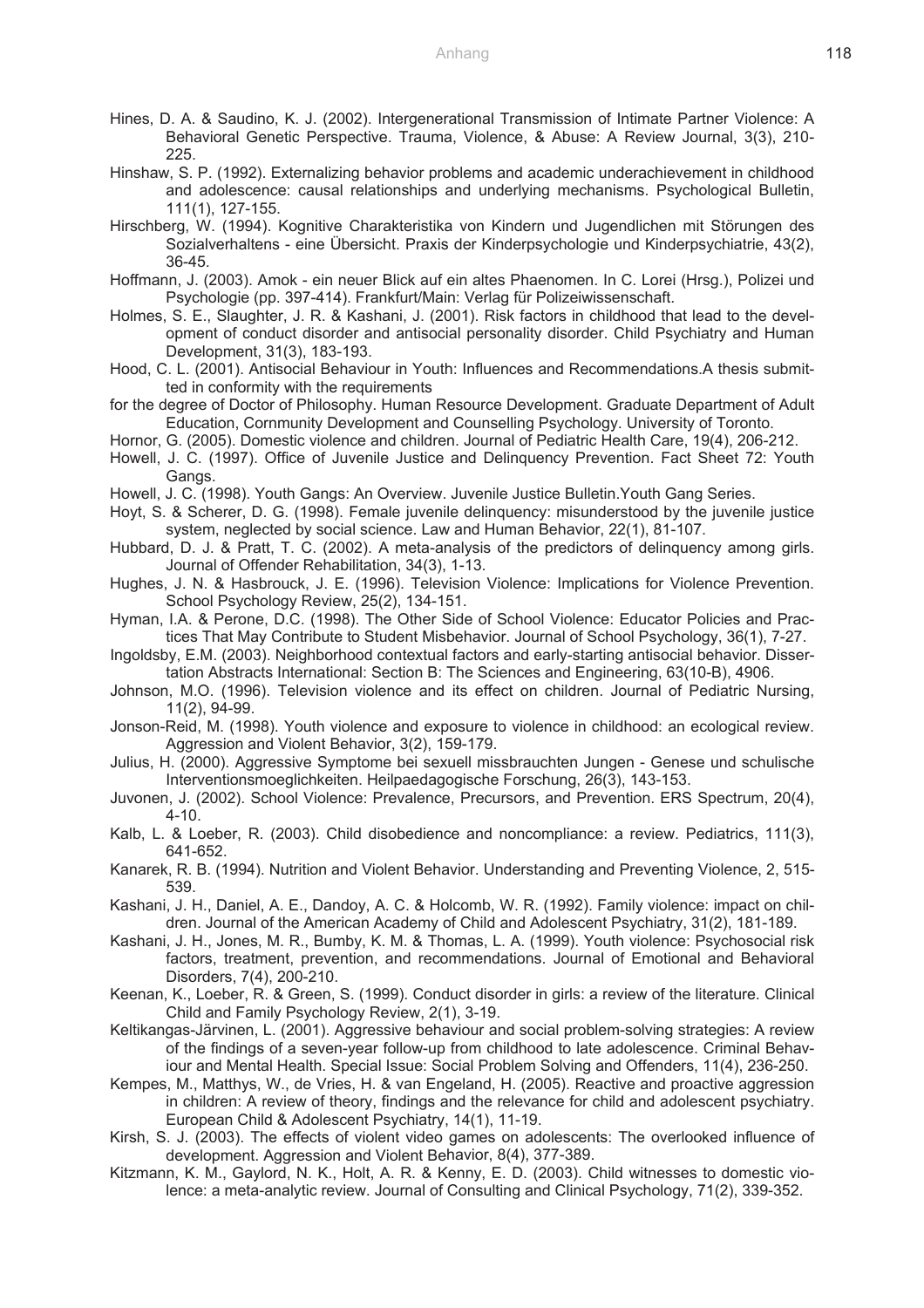- Hines, D. A. & Saudino, K. J. (2002). Intergenerational Transmission of Intimate Partner Violence: A Behavioral Genetic Perspective. Trauma, Violence, & Abuse: A Review Journal, 3(3), 210- 225.
- Hinshaw, S. P. (1992). Externalizing behavior problems and academic underachievement in childhood and adolescence: causal relationships and underlying mechanisms. Psychological Bulletin, 111(1), 127-155.
- Hirschberg, W. (1994). Kognitive Charakteristika von Kindern und Jugendlichen mit Störungen des Sozialverhaltens - eine Übersicht. Praxis der Kinderpsychologie und Kinderpsychiatrie, 43(2), 36-45.
- Hoffmann, J. (2003). Amok ein neuer Blick auf ein altes Phaenomen. In C. Lorei (Hrsg.), Polizei und Psychologie (pp. 397-414). Frankfurt/Main: Verlag für Polizeiwissenschaft.
- Holmes, S. E., Slaughter, J. R. & Kashani, J. (2001). Risk factors in childhood that lead to the development of conduct disorder and antisocial personality disorder. Child Psychiatry and Human Development, 31(3), 183-193.
- Hood, C. L. (2001). Antisocial Behaviour in Youth: Influences and Recommendations.A thesis submitted in conformity with the requirements
- for the degree of Doctor of Philosophy. Human Resource Development. Graduate Department of Adult Education, Cornmunity Development and Counselling Psychology. University of Toronto.
- Hornor, G. (2005). Domestic violence and children. Journal of Pediatric Health Care, 19(4), 206-212.
- Howell, J. C. (1997). Office of Juvenile Justice and Delinquency Prevention. Fact Sheet 72: Youth Gangs.
- Howell, J. C. (1998). Youth Gangs: An Overview. Juvenile Justice Bulletin.Youth Gang Series.
- Hoyt, S. & Scherer, D. G. (1998). Female juvenile delinquency: misunderstood by the juvenile justice system, neglected by social science. Law and Human Behavior, 22(1), 81-107.
- Hubbard, D. J. & Pratt, T. C. (2002). A meta-analysis of the predictors of delinquency among girls. Journal of Offender Rehabilitation, 34(3), 1-13.
- Hughes, J. N. & Hasbrouck, J. E. (1996). Television Violence: Implications for Violence Prevention. School Psychology Review, 25(2), 134-151.
- Hyman, I.A. & Perone, D.C. (1998). The Other Side of School Violence: Educator Policies and Practices That May Contribute to Student Misbehavior. Journal of School Psychology, 36(1), 7-27.
- Ingoldsby, E.M. (2003). Neighborhood contextual factors and early-starting antisocial behavior. Dissertation Abstracts International: Section B: The Sciences and Engineering, 63(10-B), 4906.
- Johnson, M.O. (1996). Television violence and its effect on children. Journal of Pediatric Nursing, 11(2), 94-99.
- Jonson-Reid, M. (1998). Youth violence and exposure to violence in childhood: an ecological review. Aggression and Violent Behavior, 3(2), 159-179.
- Julius, H. (2000). Aggressive Symptome bei sexuell missbrauchten Jungen Genese und schulische Interventionsmoeglichkeiten. Heilpaedagogische Forschung, 26(3), 143-153.
- Juvonen, J. (2002). School Violence: Prevalence, Precursors, and Prevention. ERS Spectrum, 20(4), 4-10.
- Kalb, L. & Loeber, R. (2003). Child disobedience and noncompliance: a review. Pediatrics, 111(3), 641-652.
- Kanarek, R. B. (1994). Nutrition and Violent Behavior. Understanding and Preventing Violence, 2, 515- 539.
- Kashani, J. H., Daniel, A. E., Dandoy, A. C. & Holcomb, W. R. (1992). Family violence: impact on children. Journal of the American Academy of Child and Adolescent Psychiatry, 31(2), 181-189.
- Kashani, J. H., Jones, M. R., Bumby, K. M. & Thomas, L. A. (1999). Youth violence: Psychosocial risk factors, treatment, prevention, and recommendations. Journal of Emotional and Behavioral Disorders, 7(4), 200-210.
- Keenan, K., Loeber, R. & Green, S. (1999). Conduct disorder in girls: a review of the literature. Clinical Child and Family Psychology Review, 2(1), 3-19.
- Keltikangas-Järvinen, L. (2001). Aggressive behaviour and social problem-solving strategies: A review of the findings of a seven-year follow-up from childhood to late adolescence. Criminal Behaviour and Mental Health. Special Issue: Social Problem Solving and Offenders, 11(4), 236-250.
- Kempes, M., Matthys, W., de Vries, H. & van Engeland, H. (2005). Reactive and proactive aggression in children: A review of theory, findings and the relevance for child and adolescent psychiatry. European Child & Adolescent Psychiatry, 14(1), 11-19.
- Kirsh, S. J. (2003). The effects of violent video games on adolescents: The overlooked influence of development. Aggression and Violent Behavior, 8(4), 377-389.
- Kitzmann, K. M., Gaylord, N. K., Holt, A. R. & Kenny, E. D. (2003). Child witnesses to domestic violence: a meta-analytic review. Journal of Consulting and Clinical Psychology, 71(2), 339-352.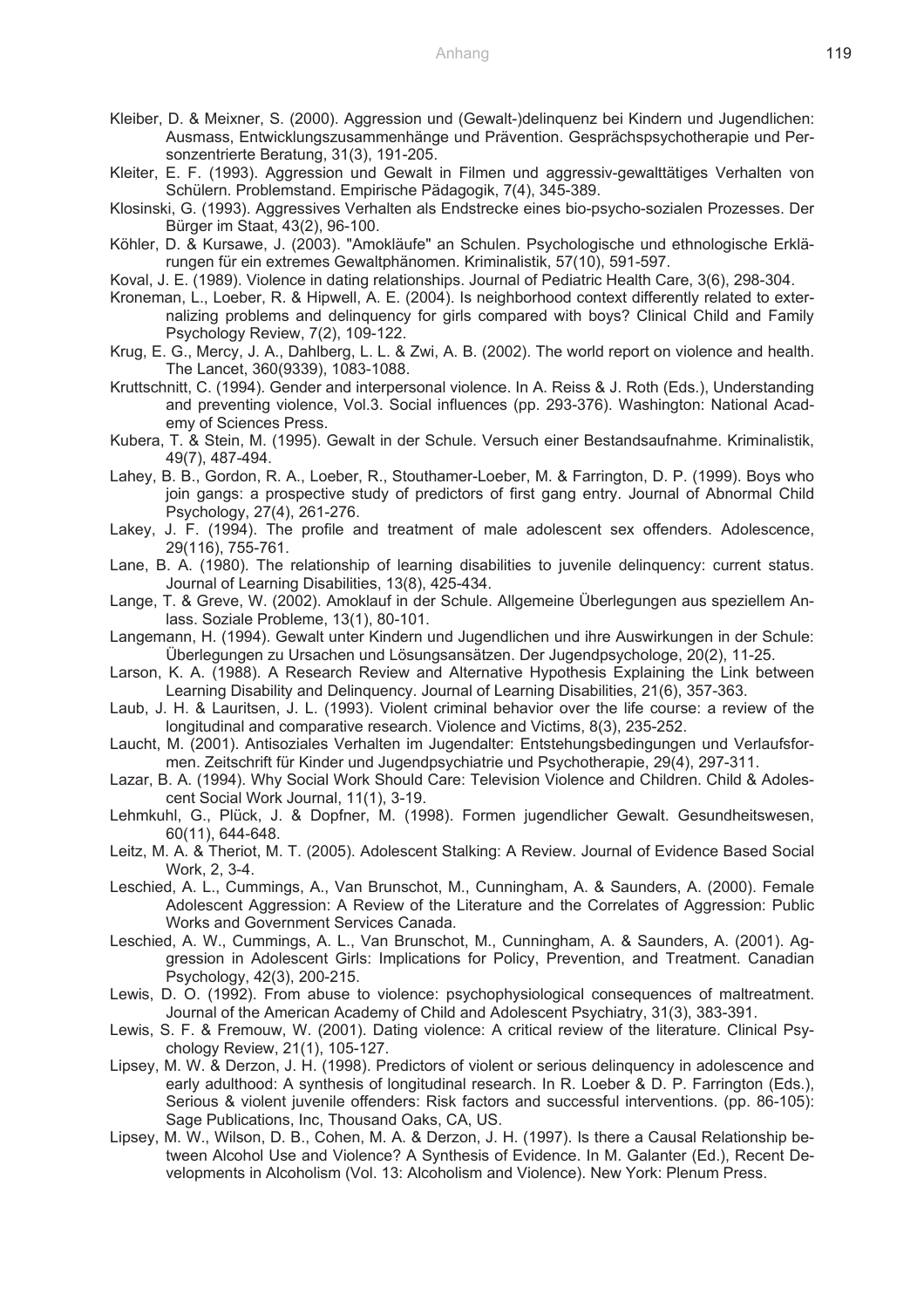- Kleiber, D. & Meixner, S. (2000). Aggression und (Gewalt-)delinquenz bei Kindern und Jugendlichen: Ausmass, Entwicklungszusammenhänge und Prävention. Gesprächspsychotherapie und Personzentrierte Beratung, 31(3), 191-205.
- Kleiter, E. F. (1993). Aggression und Gewalt in Filmen und aggressiv-gewalttätiges Verhalten von Schülern. Problemstand. Empirische Pädagogik, 7(4), 345-389.
- Klosinski, G. (1993). Aggressives Verhalten als Endstrecke eines bio-psycho-sozialen Prozesses. Der Bürger im Staat, 43(2), 96-100.
- Köhler, D. & Kursawe, J. (2003). "Amokläufe" an Schulen. Psychologische und ethnologische Erklärungen für ein extremes Gewaltphänomen. Kriminalistik, 57(10), 591-597.
- Koval, J. E. (1989). Violence in dating relationships. Journal of Pediatric Health Care, 3(6), 298-304.
- Kroneman, L., Loeber, R. & Hipwell, A. E. (2004). Is neighborhood context differently related to externalizing problems and delinquency for girls compared with boys? Clinical Child and Family Psychology Review, 7(2), 109-122.
- Krug, E. G., Mercy, J. A., Dahlberg, L. L. & Zwi, A. B. (2002). The world report on violence and health. The Lancet, 360(9339), 1083-1088.
- Kruttschnitt, C. (1994). Gender and interpersonal violence. In A. Reiss & J. Roth (Eds.), Understanding and preventing violence, Vol.3. Social influences (pp. 293-376). Washington: National Academy of Sciences Press.
- Kubera, T. & Stein, M. (1995). Gewalt in der Schule. Versuch einer Bestandsaufnahme. Kriminalistik, 49(7), 487-494.
- Lahey, B. B., Gordon, R. A., Loeber, R., Stouthamer-Loeber, M. & Farrington, D. P. (1999). Boys who join gangs: a prospective study of predictors of first gang entry. Journal of Abnormal Child Psychology, 27(4), 261-276.
- Lakey, J. F. (1994). The profile and treatment of male adolescent sex offenders. Adolescence, 29(116), 755-761.
- Lane, B. A. (1980). The relationship of learning disabilities to juvenile delinquency: current status. Journal of Learning Disabilities, 13(8), 425-434.
- Lange, T. & Greve, W. (2002). Amoklauf in der Schule. Allgemeine Überlegungen aus speziellem Anlass. Soziale Probleme, 13(1), 80-101.
- Langemann, H. (1994). Gewalt unter Kindern und Jugendlichen und ihre Auswirkungen in der Schule: Überlegungen zu Ursachen und Lösungsansätzen. Der Jugendpsychologe, 20(2), 11-25.
- Larson, K. A. (1988). A Research Review and Alternative Hypothesis Explaining the Link between Learning Disability and Delinquency. Journal of Learning Disabilities, 21(6), 357-363.
- Laub, J. H. & Lauritsen, J. L. (1993). Violent criminal behavior over the life course: a review of the longitudinal and comparative research. Violence and Victims, 8(3), 235-252.
- Laucht, M. (2001). Antisoziales Verhalten im Jugendalter: Entstehungsbedingungen und Verlaufsformen. Zeitschrift für Kinder und Jugendpsychiatrie und Psychotherapie, 29(4), 297-311.
- Lazar, B. A. (1994). Why Social Work Should Care: Television Violence and Children. Child & Adolescent Social Work Journal, 11(1), 3-19.
- Lehmkuhl, G., Plück, J. & Dopfner, M. (1998). Formen jugendlicher Gewalt. Gesundheitswesen, 60(11), 644-648.
- Leitz, M. A. & Theriot, M. T. (2005). Adolescent Stalking: A Review. Journal of Evidence Based Social Work, 2, 3-4.
- Leschied, A. L., Cummings, A., Van Brunschot, M., Cunningham, A. & Saunders, A. (2000). Female Adolescent Aggression: A Review of the Literature and the Correlates of Aggression: Public Works and Government Services Canada.
- Leschied, A. W., Cummings, A. L., Van Brunschot, M., Cunningham, A. & Saunders, A. (2001). Aggression in Adolescent Girls: Implications for Policy, Prevention, and Treatment. Canadian Psychology, 42(3), 200-215.
- Lewis, D. O. (1992). From abuse to violence: psychophysiological consequences of maltreatment. Journal of the American Academy of Child and Adolescent Psychiatry, 31(3), 383-391.
- Lewis, S. F. & Fremouw, W. (2001). Dating violence: A critical review of the literature. Clinical Psychology Review, 21(1), 105-127.
- Lipsey, M. W. & Derzon, J. H. (1998). Predictors of violent or serious delinquency in adolescence and early adulthood: A synthesis of longitudinal research. In R. Loeber & D. P. Farrington (Eds.), Serious & violent juvenile offenders: Risk factors and successful interventions. (pp. 86-105): Sage Publications, Inc, Thousand Oaks, CA, US.
- Lipsey, M. W., Wilson, D. B., Cohen, M. A. & Derzon, J. H. (1997). Is there a Causal Relationship between Alcohol Use and Violence? A Synthesis of Evidence. In M. Galanter (Ed.), Recent Developments in Alcoholism (Vol. 13: Alcoholism and Violence). New York: Plenum Press.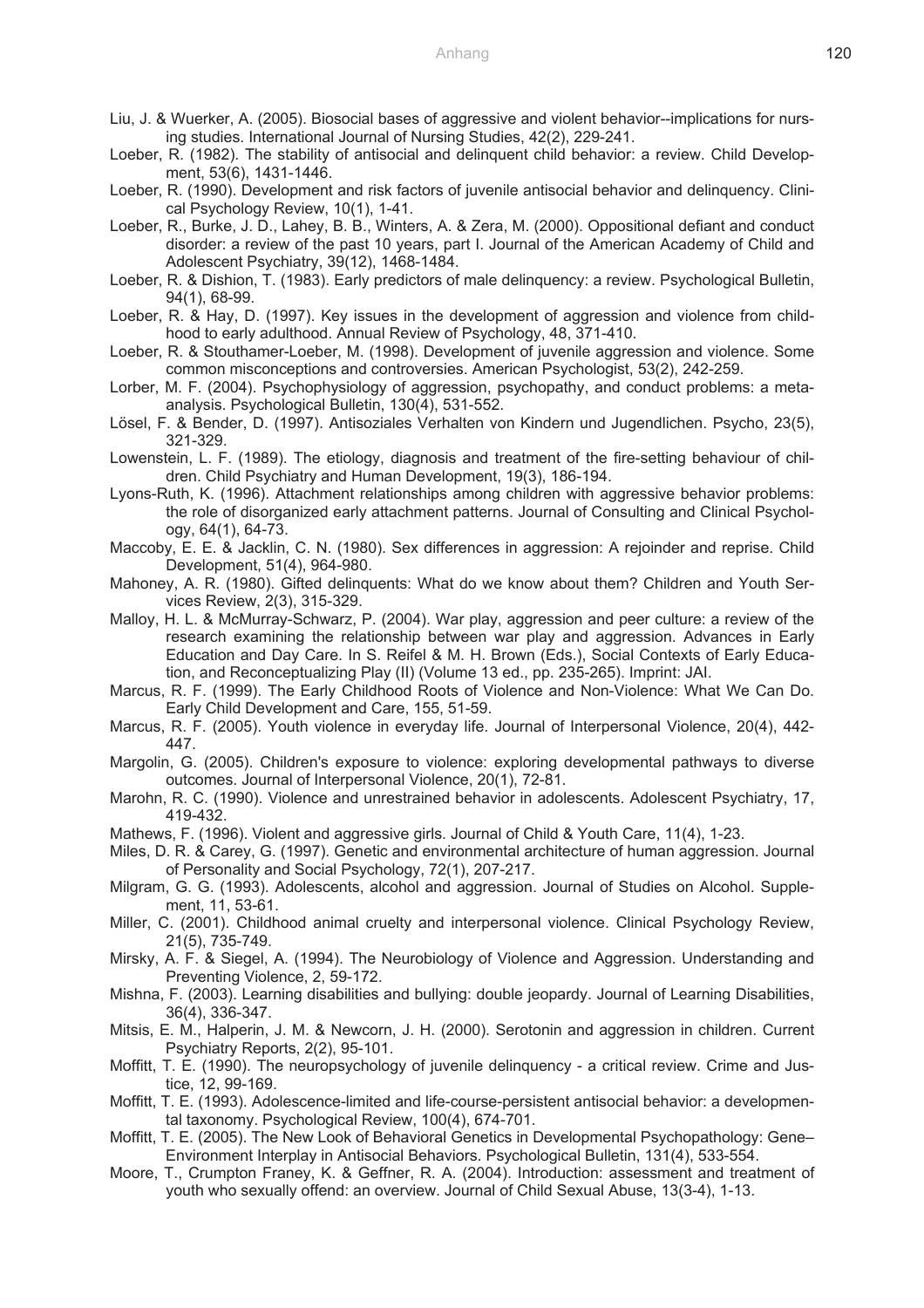- Liu, J. & Wuerker, A. (2005). Biosocial bases of aggressive and violent behavior--implications for nursing studies. International Journal of Nursing Studies, 42(2), 229-241.
- Loeber, R. (1982). The stability of antisocial and delinquent child behavior: a review. Child Development, 53(6), 1431-1446.
- Loeber, R. (1990). Development and risk factors of juvenile antisocial behavior and delinquency. Clinical Psychology Review, 10(1), 1-41.
- Loeber, R., Burke, J. D., Lahey, B. B., Winters, A. & Zera, M. (2000). Oppositional defiant and conduct disorder: a review of the past 10 years, part I. Journal of the American Academy of Child and Adolescent Psychiatry, 39(12), 1468-1484.
- Loeber, R. & Dishion, T. (1983). Early predictors of male delinquency: a review. Psychological Bulletin, 94(1), 68-99.
- Loeber, R. & Hay, D. (1997). Key issues in the development of aggression and violence from childhood to early adulthood. Annual Review of Psychology, 48, 371-410.
- Loeber, R. & Stouthamer-Loeber, M. (1998). Development of juvenile aggression and violence. Some common misconceptions and controversies. American Psychologist, 53(2), 242-259.
- Lorber, M. F. (2004). Psychophysiology of aggression, psychopathy, and conduct problems: a metaanalysis. Psychological Bulletin, 130(4), 531-552.
- Lösel, F. & Bender, D. (1997). Antisoziales Verhalten von Kindern und Jugendlichen. Psycho, 23(5), 321-329.
- Lowenstein, L. F. (1989). The etiology, diagnosis and treatment of the fire-setting behaviour of children. Child Psychiatry and Human Development, 19(3), 186-194.
- Lyons-Ruth, K. (1996). Attachment relationships among children with aggressive behavior problems: the role of disorganized early attachment patterns. Journal of Consulting and Clinical Psychology, 64(1), 64-73.
- Maccoby, E. E. & Jacklin, C. N. (1980). Sex differences in aggression: A rejoinder and reprise. Child Development, 51(4), 964-980.
- Mahoney, A. R. (1980). Gifted delinquents: What do we know about them? Children and Youth Services Review, 2(3), 315-329.
- Malloy, H. L. & McMurray-Schwarz, P. (2004). War play, aggression and peer culture: a review of the research examining the relationship between war play and aggression. Advances in Early Education and Day Care. In S. Reifel & M. H. Brown (Eds.), Social Contexts of Early Education, and Reconceptualizing Play (II) (Volume 13 ed., pp. 235-265). Imprint: JAI.
- Marcus, R. F. (1999). The Early Childhood Roots of Violence and Non-Violence: What We Can Do. Early Child Development and Care, 155, 51-59.
- Marcus, R. F. (2005). Youth violence in everyday life. Journal of Interpersonal Violence, 20(4), 442- 447.
- Margolin, G. (2005). Children's exposure to violence: exploring developmental pathways to diverse outcomes. Journal of Interpersonal Violence, 20(1), 72-81.
- Marohn, R. C. (1990). Violence and unrestrained behavior in adolescents. Adolescent Psychiatry, 17, 419-432.
- Mathews, F. (1996). Violent and aggressive girls. Journal of Child & Youth Care, 11(4), 1-23.
- Miles, D. R. & Carey, G. (1997). Genetic and environmental architecture of human aggression. Journal of Personality and Social Psychology, 72(1), 207-217.
- Milgram, G. G. (1993). Adolescents, alcohol and aggression. Journal of Studies on Alcohol. Supplement, 11, 53-61.
- Miller, C. (2001). Childhood animal cruelty and interpersonal violence. Clinical Psychology Review, 21(5), 735-749.
- Mirsky, A. F. & Siegel, A. (1994). The Neurobiology of Violence and Aggression. Understanding and Preventing Violence, 2, 59-172.
- Mishna, F. (2003). Learning disabilities and bullying: double jeopardy. Journal of Learning Disabilities, 36(4), 336-347.
- Mitsis, E. M., Halperin, J. M. & Newcorn, J. H. (2000). Serotonin and aggression in children. Current Psychiatry Reports, 2(2), 95-101.
- Moffitt, T. E. (1990). The neuropsychology of juvenile delinquency a critical review. Crime and Justice, 12, 99-169.
- Moffitt, T. E. (1993). Adolescence-limited and life-course-persistent antisocial behavior: a developmental taxonomy. Psychological Review, 100(4), 674-701.
- Moffitt, T. E. (2005). The New Look of Behavioral Genetics in Developmental Psychopathology: Gene– Environment Interplay in Antisocial Behaviors. Psychological Bulletin, 131(4), 533-554.
- Moore, T., Crumpton Franey, K. & Geffner, R. A. (2004). Introduction: assessment and treatment of youth who sexually offend: an overview. Journal of Child Sexual Abuse, 13(3-4), 1-13.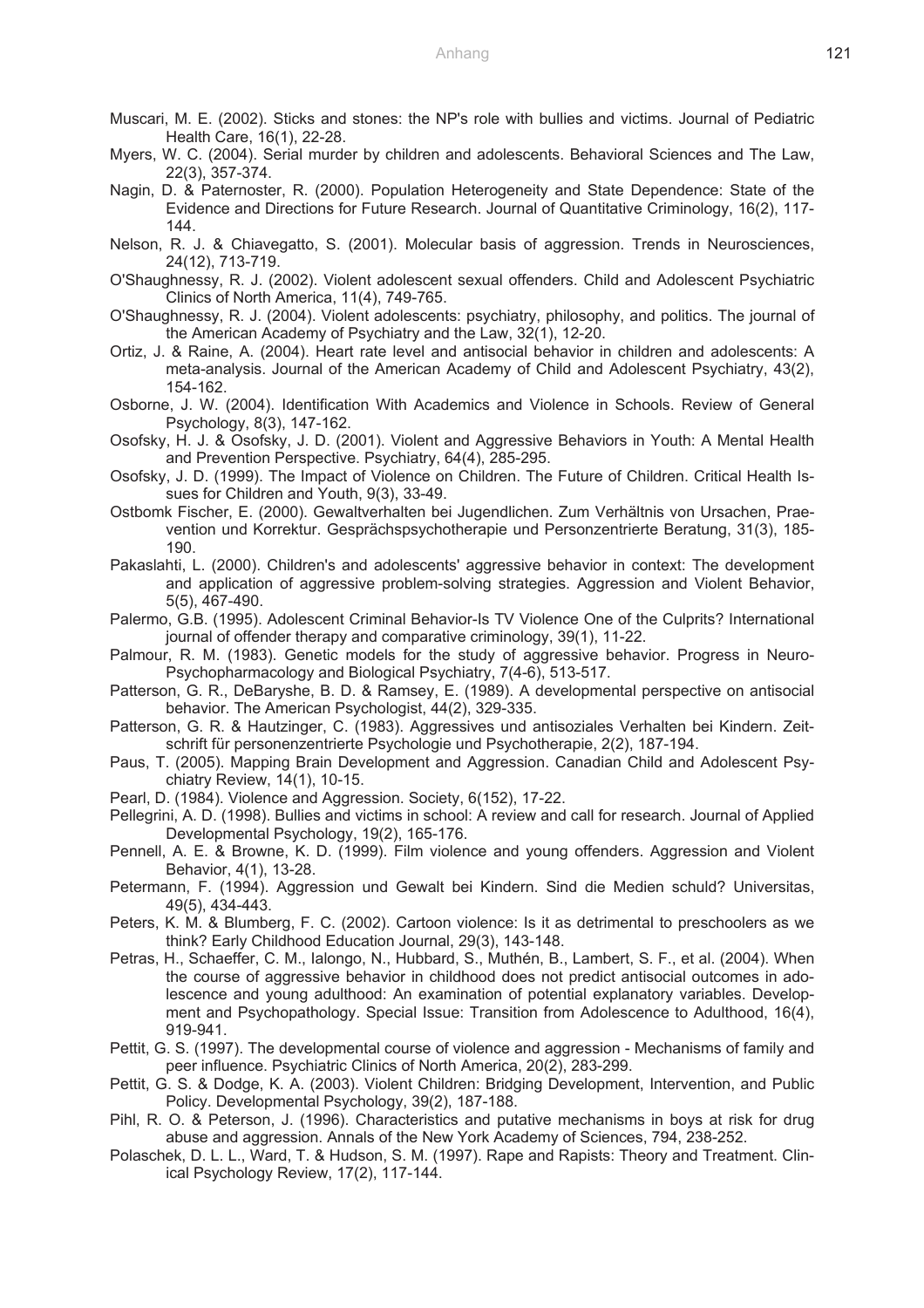- Muscari, M. E. (2002). Sticks and stones: the NP's role with bullies and victims. Journal of Pediatric Health Care, 16(1), 22-28.
- Myers, W. C. (2004). Serial murder by children and adolescents. Behavioral Sciences and The Law, 22(3), 357-374.
- Nagin, D. & Paternoster, R. (2000). Population Heterogeneity and State Dependence: State of the Evidence and Directions for Future Research. Journal of Quantitative Criminology, 16(2), 117- 144.
- Nelson, R. J. & Chiavegatto, S. (2001). Molecular basis of aggression. Trends in Neurosciences, 24(12), 713-719.
- O'Shaughnessy, R. J. (2002). Violent adolescent sexual offenders. Child and Adolescent Psychiatric Clinics of North America, 11(4), 749-765.
- O'Shaughnessy, R. J. (2004). Violent adolescents: psychiatry, philosophy, and politics. The journal of the American Academy of Psychiatry and the Law, 32(1), 12-20.
- Ortiz, J. & Raine, A. (2004). Heart rate level and antisocial behavior in children and adolescents: A meta-analysis. Journal of the American Academy of Child and Adolescent Psychiatry, 43(2), 154-162.
- Osborne, J. W. (2004). Identification With Academics and Violence in Schools. Review of General Psychology, 8(3), 147-162.
- Osofsky, H. J. & Osofsky, J. D. (2001). Violent and Aggressive Behaviors in Youth: A Mental Health and Prevention Perspective. Psychiatry, 64(4), 285-295.
- Osofsky, J. D. (1999). The Impact of Violence on Children. The Future of Children. Critical Health Issues for Children and Youth, 9(3), 33-49.
- Ostbomk Fischer, E. (2000). Gewaltverhalten bei Jugendlichen. Zum Verhältnis von Ursachen, Praevention und Korrektur. Gesprächspsychotherapie und Personzentrierte Beratung, 31(3), 185- 190.
- Pakaslahti, L. (2000). Children's and adolescents' aggressive behavior in context: The development and application of aggressive problem-solving strategies. Aggression and Violent Behavior, 5(5), 467-490.
- Palermo, G.B. (1995). Adolescent Criminal Behavior-Is TV Violence One of the Culprits? International journal of offender therapy and comparative criminology, 39(1), 11-22.
- Palmour, R. M. (1983). Genetic models for the study of aggressive behavior. Progress in Neuro-Psychopharmacology and Biological Psychiatry, 7(4-6), 513-517.
- Patterson, G. R., DeBaryshe, B. D. & Ramsey, E. (1989). A developmental perspective on antisocial behavior. The American Psychologist, 44(2), 329-335.
- Patterson, G. R. & Hautzinger, C. (1983). Aggressives und antisoziales Verhalten bei Kindern. Zeitschrift für personenzentrierte Psychologie und Psychotherapie, 2(2), 187-194.
- Paus, T. (2005). Mapping Brain Development and Aggression. Canadian Child and Adolescent Psychiatry Review, 14(1), 10-15.
- Pearl, D. (1984). Violence and Aggression. Society, 6(152), 17-22.
- Pellegrini, A. D. (1998). Bullies and victims in school: A review and call for research. Journal of Applied Developmental Psychology, 19(2), 165-176.
- Pennell, A. E. & Browne, K. D. (1999). Film violence and young offenders. Aggression and Violent Behavior, 4(1), 13-28.
- Petermann, F. (1994). Aggression und Gewalt bei Kindern. Sind die Medien schuld? Universitas, 49(5), 434-443.
- Peters, K. M. & Blumberg, F. C. (2002). Cartoon violence: Is it as detrimental to preschoolers as we think? Early Childhood Education Journal, 29(3), 143-148.
- Petras, H., Schaeffer, C. M., Ialongo, N., Hubbard, S., Muthén, B., Lambert, S. F., et al. (2004). When the course of aggressive behavior in childhood does not predict antisocial outcomes in adolescence and young adulthood: An examination of potential explanatory variables. Development and Psychopathology. Special Issue: Transition from Adolescence to Adulthood, 16(4), 919-941.
- Pettit, G. S. (1997). The developmental course of violence and aggression Mechanisms of family and peer influence. Psychiatric Clinics of North America, 20(2), 283-299.
- Pettit, G. S. & Dodge, K. A. (2003). Violent Children: Bridging Development, Intervention, and Public Policy. Developmental Psychology, 39(2), 187-188.
- Pihl, R. O. & Peterson, J. (1996). Characteristics and putative mechanisms in boys at risk for drug abuse and aggression. Annals of the New York Academy of Sciences, 794, 238-252.
- Polaschek, D. L. L., Ward, T. & Hudson, S. M. (1997). Rape and Rapists: Theory and Treatment. Clinical Psychology Review, 17(2), 117-144.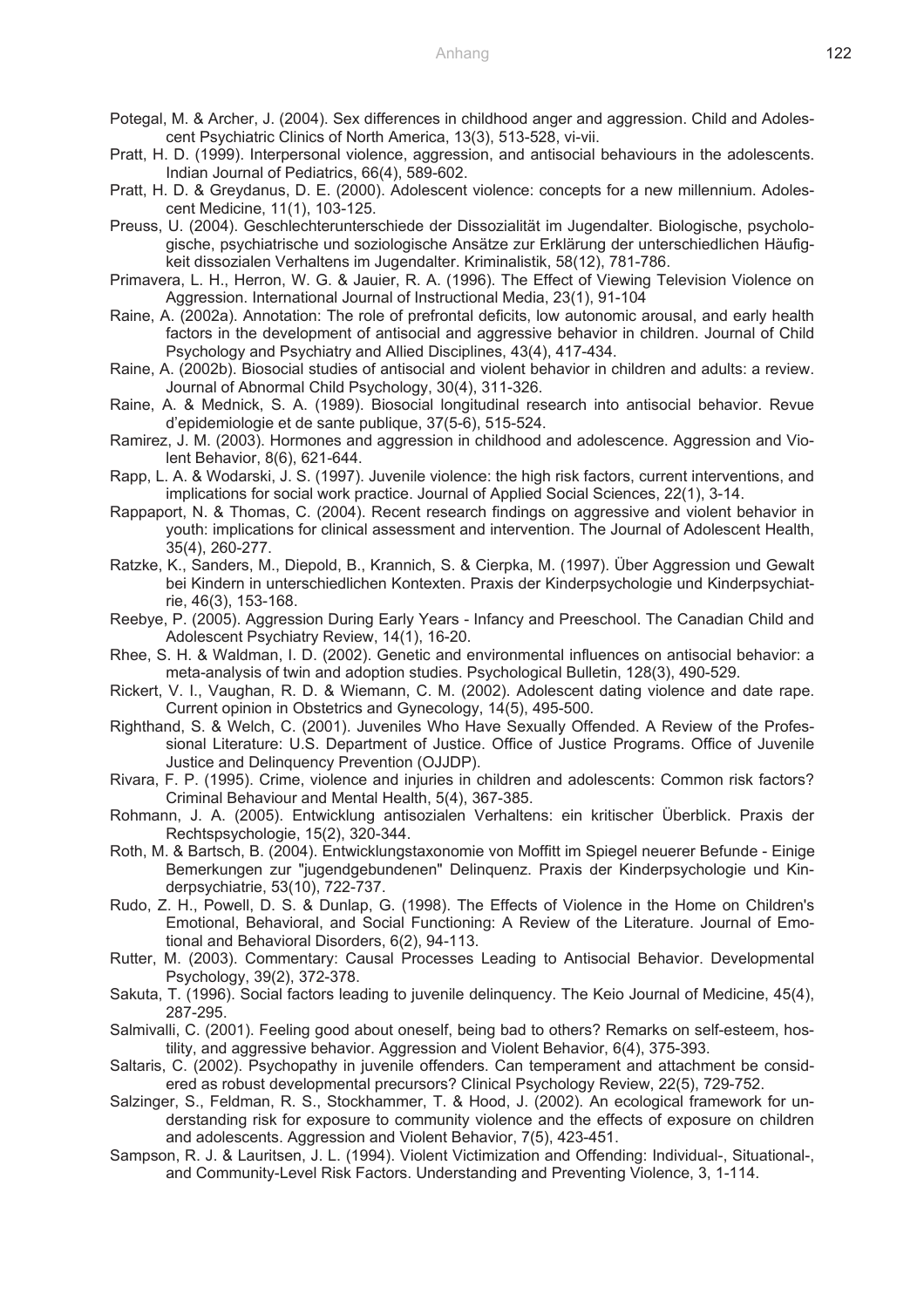- Potegal, M. & Archer, J. (2004). Sex differences in childhood anger and aggression. Child and Adolescent Psychiatric Clinics of North America, 13(3), 513-528, vi-vii.
- Pratt, H. D. (1999). Interpersonal violence, aggression, and antisocial behaviours in the adolescents. Indian Journal of Pediatrics, 66(4), 589-602.
- Pratt, H. D. & Greydanus, D. E. (2000). Adolescent violence: concepts for a new millennium. Adolescent Medicine, 11(1), 103-125.
- Preuss, U. (2004). Geschlechterunterschiede der Dissozialität im Jugendalter. Biologische, psychologische, psychiatrische und soziologische Ansätze zur Erklärung der unterschiedlichen Häufigkeit dissozialen Verhaltens im Jugendalter. Kriminalistik, 58(12), 781-786.
- Primavera, L. H., Herron, W. G. & Jauier, R. A. (1996). The Effect of Viewing Television Violence on Aggression. International Journal of Instructional Media, 23(1), 91-104
- Raine, A. (2002a). Annotation: The role of prefrontal deficits, low autonomic arousal, and early health factors in the development of antisocial and aggressive behavior in children. Journal of Child Psychology and Psychiatry and Allied Disciplines, 43(4), 417-434.
- Raine, A. (2002b). Biosocial studies of antisocial and violent behavior in children and adults: a review. Journal of Abnormal Child Psychology, 30(4), 311-326.
- Raine, A. & Mednick, S. A. (1989). Biosocial longitudinal research into antisocial behavior. Revue d'epidemiologie et de sante publique, 37(5-6), 515-524.
- Ramirez, J. M. (2003). Hormones and aggression in childhood and adolescence. Aggression and Violent Behavior, 8(6), 621-644.
- Rapp, L. A. & Wodarski, J. S. (1997). Juvenile violence: the high risk factors, current interventions, and implications for social work practice. Journal of Applied Social Sciences, 22(1), 3-14.
- Rappaport, N. & Thomas, C. (2004). Recent research findings on aggressive and violent behavior in youth: implications for clinical assessment and intervention. The Journal of Adolescent Health, 35(4), 260-277.
- Ratzke, K., Sanders, M., Diepold, B., Krannich, S. & Cierpka, M. (1997). Über Aggression und Gewalt bei Kindern in unterschiedlichen Kontexten. Praxis der Kinderpsychologie und Kinderpsychiatrie, 46(3), 153-168.
- Reebye, P. (2005). Aggression During Early Years Infancy and Preeschool. The Canadian Child and Adolescent Psychiatry Review, 14(1), 16-20.
- Rhee, S. H. & Waldman, I. D. (2002). Genetic and environmental influences on antisocial behavior: a meta-analysis of twin and adoption studies. Psychological Bulletin, 128(3), 490-529.
- Rickert, V. I., Vaughan, R. D. & Wiemann, C. M. (2002). Adolescent dating violence and date rape. Current opinion in Obstetrics and Gynecology, 14(5), 495-500.
- Righthand, S. & Welch, C. (2001). Juveniles Who Have Sexually Offended. A Review of the Professional Literature: U.S. Department of Justice. Office of Justice Programs. Office of Juvenile Justice and Delinquency Prevention (OJJDP).
- Rivara, F. P. (1995). Crime, violence and injuries in children and adolescents: Common risk factors? Criminal Behaviour and Mental Health, 5(4), 367-385.
- Rohmann, J. A. (2005). Entwicklung antisozialen Verhaltens: ein kritischer Überblick. Praxis der Rechtspsychologie, 15(2), 320-344.
- Roth, M. & Bartsch, B. (2004). Entwicklungstaxonomie von Moffitt im Spiegel neuerer Befunde Einige Bemerkungen zur "jugendgebundenen" Delinquenz. Praxis der Kinderpsychologie und Kinderpsychiatrie, 53(10), 722-737.
- Rudo, Z. H., Powell, D. S. & Dunlap, G. (1998). The Effects of Violence in the Home on Children's Emotional, Behavioral, and Social Functioning: A Review of the Literature. Journal of Emotional and Behavioral Disorders, 6(2), 94-113.
- Rutter, M. (2003). Commentary: Causal Processes Leading to Antisocial Behavior. Developmental Psychology, 39(2), 372-378.
- Sakuta, T. (1996). Social factors leading to juvenile delinquency. The Keio Journal of Medicine, 45(4), 287-295.
- Salmivalli, C. (2001). Feeling good about oneself, being bad to others? Remarks on self-esteem, hostility, and aggressive behavior. Aggression and Violent Behavior, 6(4), 375-393.
- Saltaris, C. (2002). Psychopathy in juvenile offenders. Can temperament and attachment be considered as robust developmental precursors? Clinical Psychology Review, 22(5), 729-752.
- Salzinger, S., Feldman, R. S., Stockhammer, T. & Hood, J. (2002). An ecological framework for understanding risk for exposure to community violence and the effects of exposure on children and adolescents. Aggression and Violent Behavior, 7(5), 423-451.
- Sampson, R. J. & Lauritsen, J. L. (1994). Violent Victimization and Offending: Individual-, Situational-, and Community-Level Risk Factors. Understanding and Preventing Violence, 3, 1-114.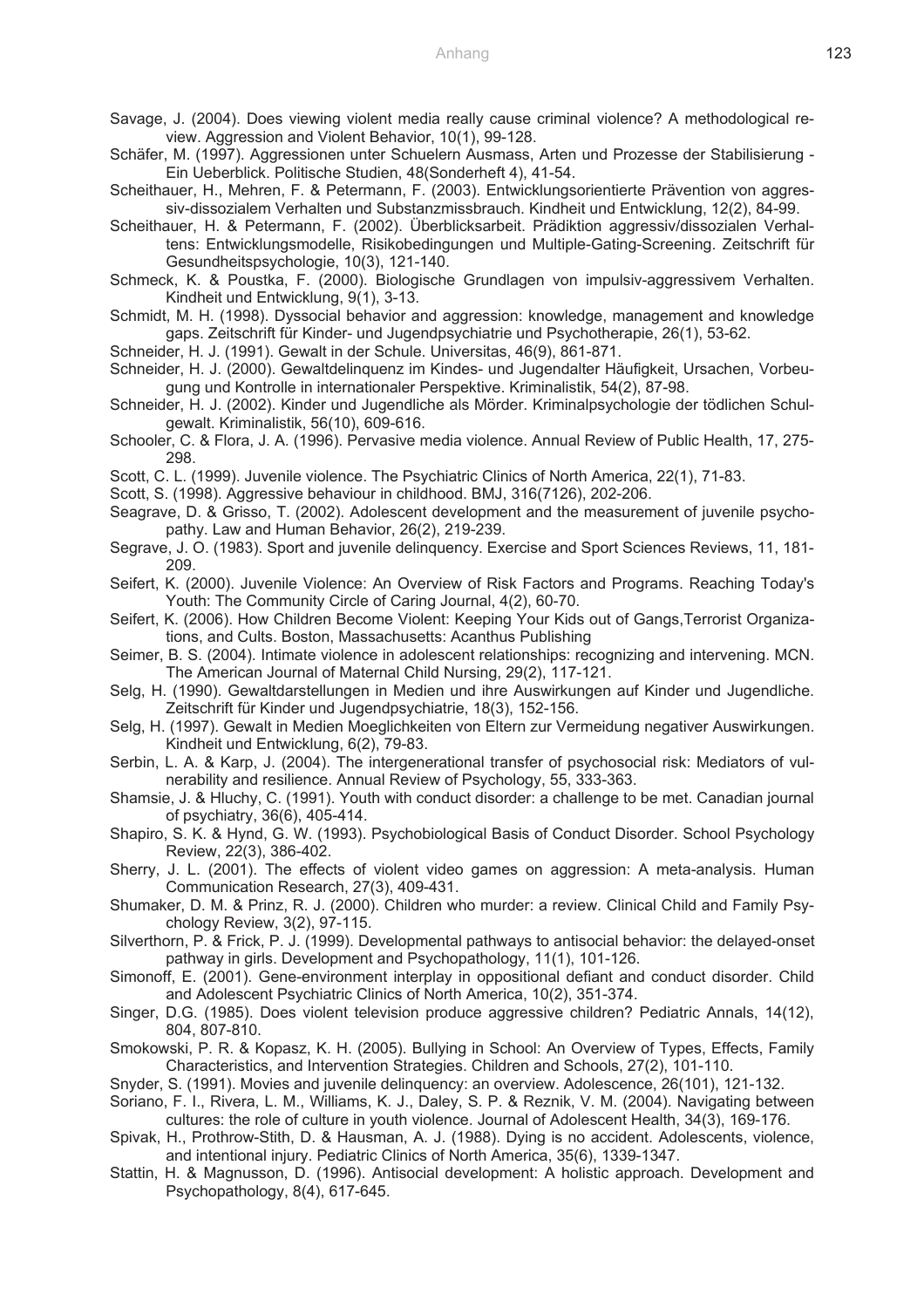Savage, J. (2004). Does viewing violent media really cause criminal violence? A methodological review. Aggression and Violent Behavior, 10(1), 99-128.

Schäfer, M. (1997). Aggressionen unter Schuelern Ausmass, Arten und Prozesse der Stabilisierung - Ein Ueberblick. Politische Studien, 48(Sonderheft 4), 41-54.

Scheithauer, H., Mehren, F. & Petermann, F. (2003). Entwicklungsorientierte Prävention von aggressiv-dissozialem Verhalten und Substanzmissbrauch. Kindheit und Entwicklung, 12(2), 84-99.

- Scheithauer, H. & Petermann, F. (2002). Überblicksarbeit. Prädiktion aggressiv/dissozialen Verhaltens: Entwicklungsmodelle, Risikobedingungen und Multiple-Gating-Screening. Zeitschrift für Gesundheitspsychologie, 10(3), 121-140.
- Schmeck, K. & Poustka, F. (2000). Biologische Grundlagen von impulsiv-aggressivem Verhalten. Kindheit und Entwicklung, 9(1), 3-13.
- Schmidt, M. H. (1998). Dyssocial behavior and aggression: knowledge, management and knowledge gaps. Zeitschrift für Kinder- und Jugendpsychiatrie und Psychotherapie, 26(1), 53-62.
- Schneider, H. J. (1991). Gewalt in der Schule. Universitas, 46(9), 861-871.
- Schneider, H. J. (2000). Gewaltdelinquenz im Kindes- und Jugendalter Häufigkeit, Ursachen, Vorbeugung und Kontrolle in internationaler Perspektive. Kriminalistik, 54(2), 87-98.
- Schneider, H. J. (2002). Kinder und Jugendliche als Mörder. Kriminalpsychologie der tödlichen Schulgewalt. Kriminalistik, 56(10), 609-616.
- Schooler, C. & Flora, J. A. (1996). Pervasive media violence. Annual Review of Public Health, 17, 275- 298.
- Scott, C. L. (1999). Juvenile violence. The Psychiatric Clinics of North America, 22(1), 71-83.

Scott, S. (1998). Aggressive behaviour in childhood. BMJ, 316(7126), 202-206.

- Seagrave, D. & Grisso, T. (2002). Adolescent development and the measurement of juvenile psychopathy. Law and Human Behavior, 26(2), 219-239.
- Segrave, J. O. (1983). Sport and juvenile delinquency. Exercise and Sport Sciences Reviews, 11, 181- 209.
- Seifert, K. (2000). Juvenile Violence: An Overview of Risk Factors and Programs. Reaching Today's Youth: The Community Circle of Caring Journal, 4(2), 60-70.
- Seifert, K. (2006). How Children Become Violent: Keeping Your Kids out of Gangs,Terrorist Organizations, and Cults. Boston, Massachusetts: Acanthus Publishing
- Seimer, B. S. (2004). Intimate violence in adolescent relationships: recognizing and intervening. MCN. The American Journal of Maternal Child Nursing, 29(2), 117-121.
- Selg, H. (1990). Gewaltdarstellungen in Medien und ihre Auswirkungen auf Kinder und Jugendliche. Zeitschrift für Kinder und Jugendpsychiatrie, 18(3), 152-156.
- Selg, H. (1997). Gewalt in Medien Moeglichkeiten von Eltern zur Vermeidung negativer Auswirkungen. Kindheit und Entwicklung, 6(2), 79-83.
- Serbin, L. A. & Karp, J. (2004). The intergenerational transfer of psychosocial risk: Mediators of vulnerability and resilience. Annual Review of Psychology, 55, 333-363.
- Shamsie, J. & Hluchy, C. (1991). Youth with conduct disorder: a challenge to be met. Canadian journal of psychiatry, 36(6), 405-414.
- Shapiro, S. K. & Hynd, G. W. (1993). Psychobiological Basis of Conduct Disorder. School Psychology Review, 22(3), 386-402.
- Sherry, J. L. (2001). The effects of violent video games on aggression: A meta-analysis. Human Communication Research, 27(3), 409-431.
- Shumaker, D. M. & Prinz, R. J. (2000). Children who murder: a review. Clinical Child and Family Psychology Review, 3(2), 97-115.
- Silverthorn, P. & Frick, P. J. (1999). Developmental pathways to antisocial behavior: the delayed-onset pathway in girls. Development and Psychopathology, 11(1), 101-126.
- Simonoff, E. (2001). Gene-environment interplay in oppositional defiant and conduct disorder. Child and Adolescent Psychiatric Clinics of North America, 10(2), 351-374.
- Singer, D.G. (1985). Does violent television produce aggressive children? Pediatric Annals, 14(12), 804, 807-810.
- Smokowski, P. R. & Kopasz, K. H. (2005). Bullying in School: An Overview of Types, Effects, Family Characteristics, and Intervention Strategies. Children and Schools, 27(2), 101-110.
- Snyder, S. (1991). Movies and juvenile delinquency: an overview. Adolescence, 26(101), 121-132.
- Soriano, F. I., Rivera, L. M., Williams, K. J., Daley, S. P. & Reznik, V. M. (2004). Navigating between cultures: the role of culture in youth violence. Journal of Adolescent Health, 34(3), 169-176.
- Spivak, H., Prothrow-Stith, D. & Hausman, A. J. (1988). Dying is no accident. Adolescents, violence, and intentional injury. Pediatric Clinics of North America, 35(6), 1339-1347.
- Stattin, H. & Magnusson, D. (1996). Antisocial development: A holistic approach. Development and Psychopathology, 8(4), 617-645.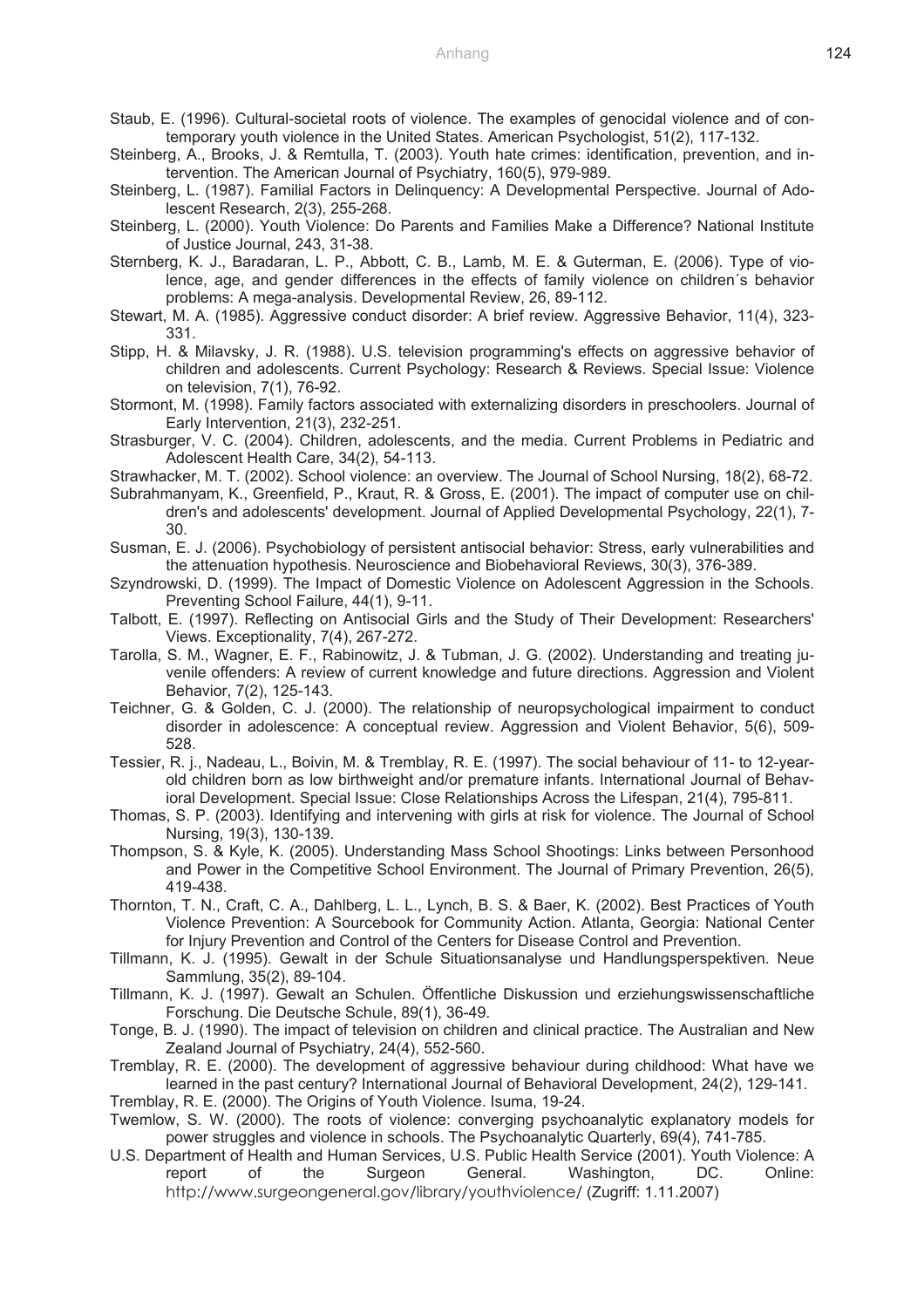- Staub, E. (1996). Cultural-societal roots of violence. The examples of genocidal violence and of contemporary youth violence in the United States. American Psychologist, 51(2), 117-132.
- Steinberg, A., Brooks, J. & Remtulla, T. (2003). Youth hate crimes: identification, prevention, and intervention. The American Journal of Psychiatry, 160(5), 979-989.
- Steinberg, L. (1987). Familial Factors in Delinquency: A Developmental Perspective. Journal of Adolescent Research, 2(3), 255-268.
- Steinberg, L. (2000). Youth Violence: Do Parents and Families Make a Difference? National Institute of Justice Journal, 243, 31-38.
- Sternberg, K. J., Baradaran, L. P., Abbott, C. B., Lamb, M. E. & Guterman, E. (2006). Type of violence, age, and gender differences in the effects of family violence on children´s behavior problems: A mega-analysis. Developmental Review, 26, 89-112.
- Stewart, M. A. (1985). Aggressive conduct disorder: A brief review. Aggressive Behavior, 11(4), 323- 331.
- Stipp, H. & Milavsky, J. R. (1988). U.S. television programming's effects on aggressive behavior of children and adolescents. Current Psychology: Research & Reviews. Special Issue: Violence on television, 7(1), 76-92.
- Stormont, M. (1998). Family factors associated with externalizing disorders in preschoolers. Journal of Early Intervention, 21(3), 232-251.
- Strasburger, V. C. (2004). Children, adolescents, and the media. Current Problems in Pediatric and Adolescent Health Care, 34(2), 54-113.
- Strawhacker, M. T. (2002). School violence: an overview. The Journal of School Nursing, 18(2), 68-72.
- Subrahmanyam, K., Greenfield, P., Kraut, R. & Gross, E. (2001). The impact of computer use on children's and adolescents' development. Journal of Applied Developmental Psychology, 22(1), 7- 30.
- Susman, E. J. (2006). Psychobiology of persistent antisocial behavior: Stress, early vulnerabilities and the attenuation hypothesis. Neuroscience and Biobehavioral Reviews, 30(3), 376-389.
- Szyndrowski, D. (1999). The Impact of Domestic Violence on Adolescent Aggression in the Schools. Preventing School Failure, 44(1), 9-11.
- Talbott, E. (1997). Reflecting on Antisocial Girls and the Study of Their Development: Researchers' Views. Exceptionality, 7(4), 267-272.
- Tarolla, S. M., Wagner, E. F., Rabinowitz, J. & Tubman, J. G. (2002). Understanding and treating juvenile offenders: A review of current knowledge and future directions. Aggression and Violent Behavior, 7(2), 125-143.
- Teichner, G. & Golden, C. J. (2000). The relationship of neuropsychological impairment to conduct disorder in adolescence: A conceptual review. Aggression and Violent Behavior, 5(6), 509- 528.
- Tessier, R. j., Nadeau, L., Boivin, M. & Tremblay, R. E. (1997). The social behaviour of 11- to 12-yearold children born as low birthweight and/or premature infants. International Journal of Behavioral Development. Special Issue: Close Relationships Across the Lifespan, 21(4), 795-811.
- Thomas, S. P. (2003). Identifying and intervening with girls at risk for violence. The Journal of School Nursing, 19(3), 130-139.
- Thompson, S. & Kyle, K. (2005). Understanding Mass School Shootings: Links between Personhood and Power in the Competitive School Environment. The Journal of Primary Prevention, 26(5), 419-438.
- Thornton, T. N., Craft, C. A., Dahlberg, L. L., Lynch, B. S. & Baer, K. (2002). Best Practices of Youth Violence Prevention: A Sourcebook for Community Action. Atlanta, Georgia: National Center for Injury Prevention and Control of the Centers for Disease Control and Prevention.
- Tillmann, K. J. (1995). Gewalt in der Schule Situationsanalyse und Handlungsperspektiven. Neue Sammlung, 35(2), 89-104.
- Tillmann, K. J. (1997). Gewalt an Schulen. Öffentliche Diskussion und erziehungswissenschaftliche Forschung. Die Deutsche Schule, 89(1), 36-49.
- Tonge, B. J. (1990). The impact of television on children and clinical practice. The Australian and New Zealand Journal of Psychiatry, 24(4), 552-560.
- Tremblay, R. E. (2000). The development of aggressive behaviour during childhood: What have we learned in the past century? International Journal of Behavioral Development, 24(2), 129-141.
- Tremblay, R. E. (2000). The Origins of Youth Violence. Isuma, 19-24.
- Twemlow, S. W. (2000). The roots of violence: converging psychoanalytic explanatory models for power struggles and violence in schools. The Psychoanalytic Quarterly, 69(4), 741-785.
- U.S. Department of Health and Human Services, U.S. Public Health Service (2001). Youth Violence: A report of the Surgeon General. Washington, DC. Online: http://www.surgeongeneral.gov/library/youthviolence/ (Zugriff: 1.11.2007)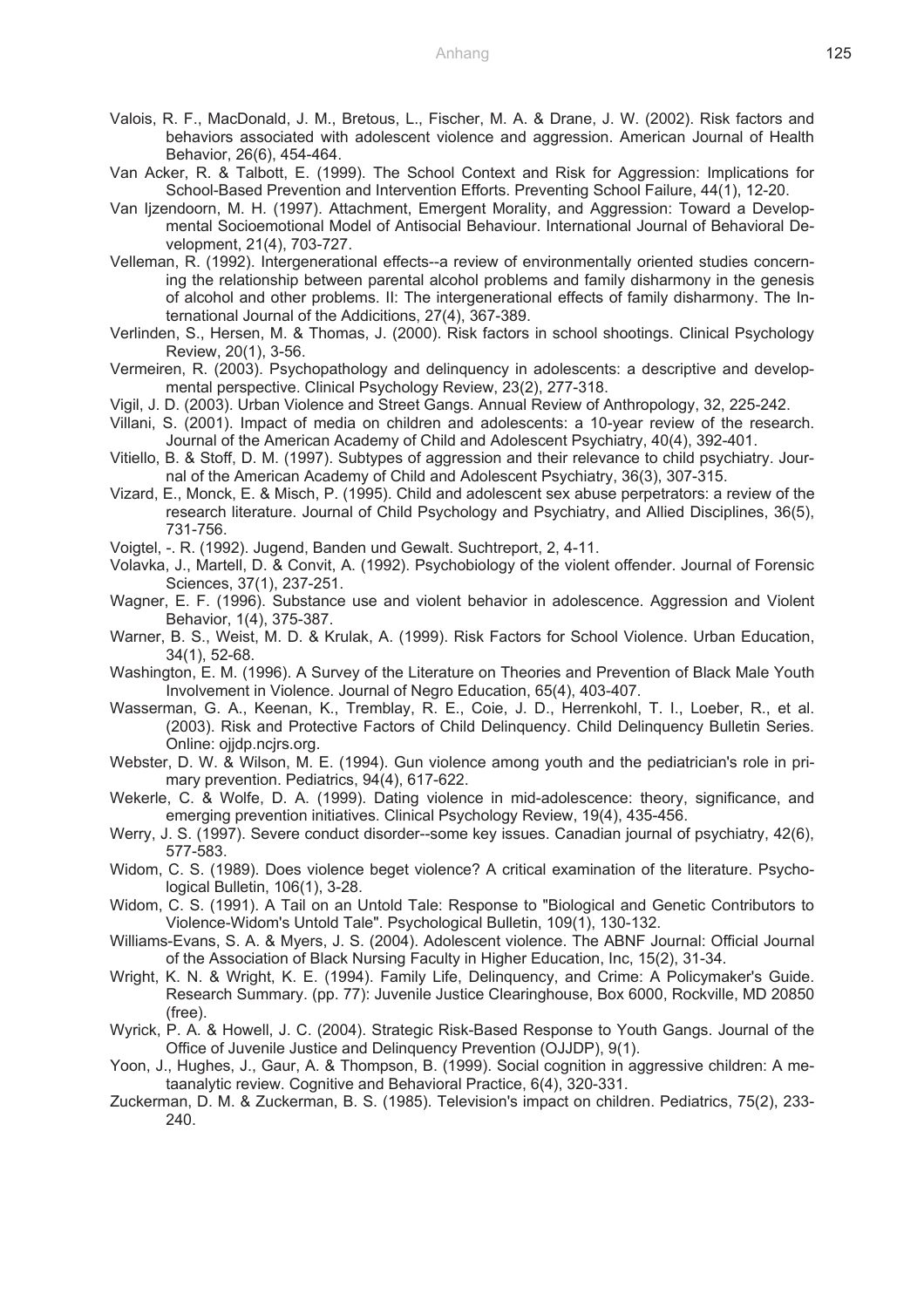- Valois, R. F., MacDonald, J. M., Bretous, L., Fischer, M. A. & Drane, J. W. (2002). Risk factors and behaviors associated with adolescent violence and aggression. American Journal of Health Behavior, 26(6), 454-464.
- Van Acker, R. & Talbott, E. (1999). The School Context and Risk for Aggression: Implications for School-Based Prevention and Intervention Efforts. Preventing School Failure, 44(1), 12-20.
- Van Ijzendoorn, M. H. (1997). Attachment, Emergent Morality, and Aggression: Toward a Developmental Socioemotional Model of Antisocial Behaviour. International Journal of Behavioral Development, 21(4), 703-727.
- Velleman, R. (1992). Intergenerational effects--a review of environmentally oriented studies concerning the relationship between parental alcohol problems and family disharmony in the genesis of alcohol and other problems. II: The intergenerational effects of family disharmony. The International Journal of the Addicitions, 27(4), 367-389.
- Verlinden, S., Hersen, M. & Thomas, J. (2000). Risk factors in school shootings. Clinical Psychology Review, 20(1), 3-56.
- Vermeiren, R. (2003). Psychopathology and delinquency in adolescents: a descriptive and developmental perspective. Clinical Psychology Review, 23(2), 277-318.
- Vigil, J. D. (2003). Urban Violence and Street Gangs. Annual Review of Anthropology, 32, 225-242.
- Villani, S. (2001). Impact of media on children and adolescents: a 10-year review of the research. Journal of the American Academy of Child and Adolescent Psychiatry, 40(4), 392-401.
- Vitiello, B. & Stoff, D. M. (1997). Subtypes of aggression and their relevance to child psychiatry. Journal of the American Academy of Child and Adolescent Psychiatry, 36(3), 307-315.
- Vizard, E., Monck, E. & Misch, P. (1995). Child and adolescent sex abuse perpetrators: a review of the research literature. Journal of Child Psychology and Psychiatry, and Allied Disciplines, 36(5), 731-756.
- Voigtel, -. R. (1992). Jugend, Banden und Gewalt. Suchtreport, 2, 4-11.
- Volavka, J., Martell, D. & Convit, A. (1992). Psychobiology of the violent offender. Journal of Forensic Sciences, 37(1), 237-251.
- Wagner, E. F. (1996). Substance use and violent behavior in adolescence. Aggression and Violent Behavior, 1(4), 375-387.
- Warner, B. S., Weist, M. D. & Krulak, A. (1999). Risk Factors for School Violence. Urban Education, 34(1), 52-68.
- Washington, E. M. (1996). A Survey of the Literature on Theories and Prevention of Black Male Youth Involvement in Violence. Journal of Negro Education, 65(4), 403-407.
- Wasserman, G. A., Keenan, K., Tremblay, R. E., Coie, J. D., Herrenkohl, T. I., Loeber, R., et al. (2003). Risk and Protective Factors of Child Delinquency. Child Delinquency Bulletin Series. Online: ojjdp.ncjrs.org.
- Webster, D. W. & Wilson, M. E. (1994). Gun violence among youth and the pediatrician's role in primary prevention. Pediatrics, 94(4), 617-622.
- Wekerle, C. & Wolfe, D. A. (1999). Dating violence in mid-adolescence: theory, significance, and emerging prevention initiatives. Clinical Psychology Review, 19(4), 435-456.
- Werry, J. S. (1997). Severe conduct disorder--some key issues. Canadian journal of psychiatry, 42(6), 577-583.
- Widom, C. S. (1989). Does violence beget violence? A critical examination of the literature. Psychological Bulletin, 106(1), 3-28.
- Widom, C. S. (1991). A Tail on an Untold Tale: Response to "Biological and Genetic Contributors to Violence-Widom's Untold Tale". Psychological Bulletin, 109(1), 130-132.
- Williams-Evans, S. A. & Myers, J. S. (2004). Adolescent violence. The ABNF Journal: Official Journal of the Association of Black Nursing Faculty in Higher Education, Inc, 15(2), 31-34.
- Wright, K. N. & Wright, K. E. (1994). Family Life, Delinquency, and Crime: A Policymaker's Guide. Research Summary. (pp. 77): Juvenile Justice Clearinghouse, Box 6000, Rockville, MD 20850 (free).
- Wyrick, P. A. & Howell, J. C. (2004). Strategic Risk-Based Response to Youth Gangs. Journal of the Office of Juvenile Justice and Delinquency Prevention (OJJDP), 9(1).
- Yoon, J., Hughes, J., Gaur, A. & Thompson, B. (1999). Social cognition in aggressive children: A metaanalytic review. Cognitive and Behavioral Practice, 6(4), 320-331.
- Zuckerman, D. M. & Zuckerman, B. S. (1985). Television's impact on children. Pediatrics, 75(2), 233- 240.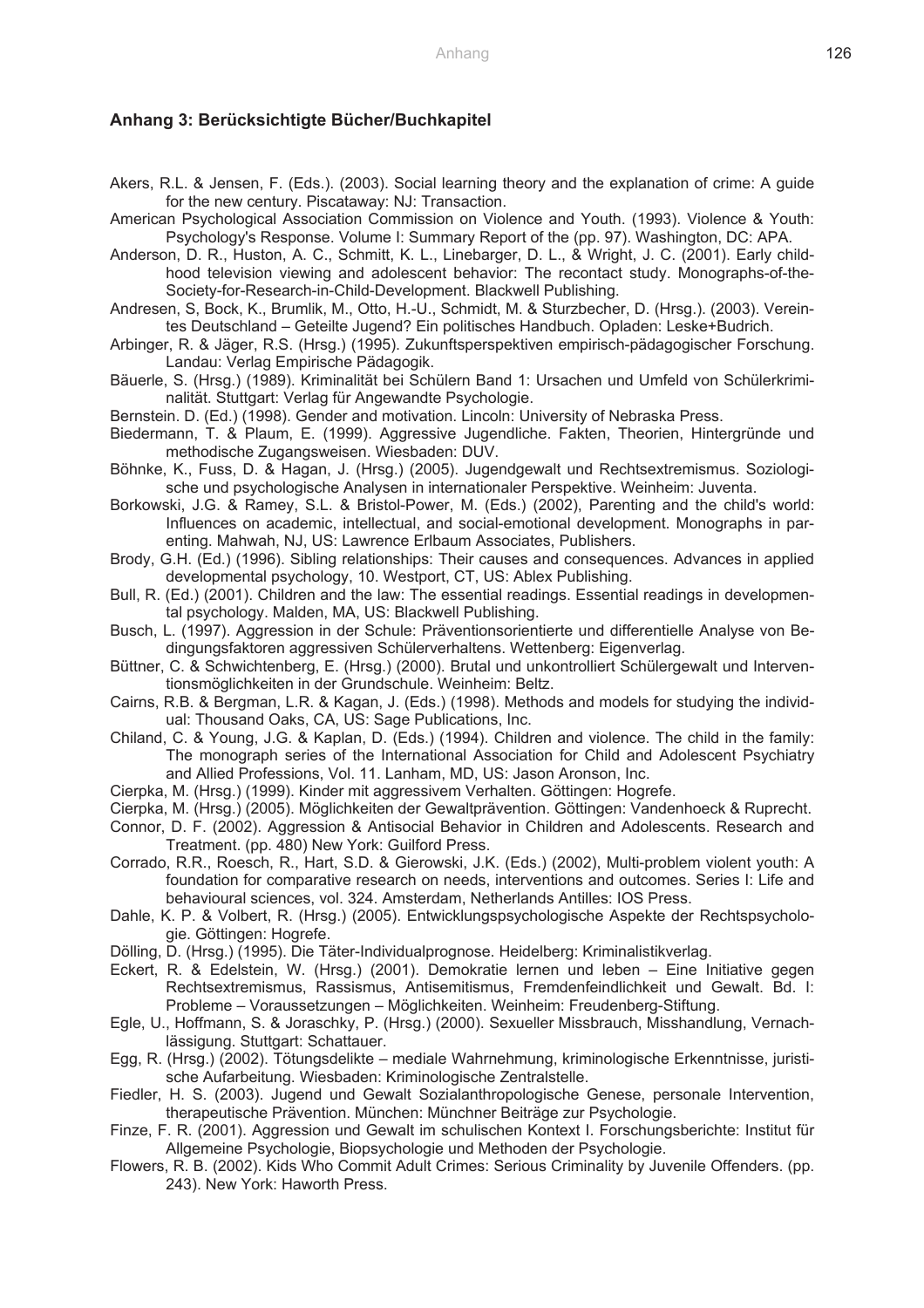#### **Anhang 3: Berücksichtigte Bücher/Buchkapitel**

- Akers, R.L. & Jensen, F. (Eds.). (2003). Social learning theory and the explanation of crime: A guide for the new century. Piscataway: NJ: Transaction.
- American Psychological Association Commission on Violence and Youth. (1993). Violence & Youth: Psychology's Response. Volume I: Summary Report of the (pp. 97). Washington, DC: APA.
- Anderson, D. R., Huston, A. C., Schmitt, K. L., Linebarger, D. L., & Wright, J. C. (2001). Early childhood television viewing and adolescent behavior: The recontact study. Monographs-of-the-Society-for-Research-in-Child-Development. Blackwell Publishing.
- Andresen, S, Bock, K., Brumlik, M., Otto, H.-U., Schmidt, M. & Sturzbecher, D. (Hrsg.). (2003). Vereintes Deutschland – Geteilte Jugend? Ein politisches Handbuch. Opladen: Leske+Budrich.
- Arbinger, R. & Jäger, R.S. (Hrsg.) (1995). Zukunftsperspektiven empirisch-pädagogischer Forschung. Landau: Verlag Empirische Pädagogik.
- Bäuerle, S. (Hrsg.) (1989). Kriminalität bei Schülern Band 1: Ursachen und Umfeld von Schülerkriminalität. Stuttgart: Verlag für Angewandte Psychologie.
- Bernstein. D. (Ed.) (1998). Gender and motivation. Lincoln: University of Nebraska Press.
- Biedermann, T. & Plaum, E. (1999). Aggressive Jugendliche. Fakten, Theorien, Hintergründe und methodische Zugangsweisen. Wiesbaden: DUV.
- Böhnke, K., Fuss, D. & Hagan, J. (Hrsg.) (2005). Jugendgewalt und Rechtsextremismus. Soziologische und psychologische Analysen in internationaler Perspektive. Weinheim: Juventa.
- Borkowski, J.G. & Ramey, S.L. & Bristol-Power, M. (Eds.) (2002), Parenting and the child's world: Influences on academic, intellectual, and social-emotional development. Monographs in parenting. Mahwah, NJ, US: Lawrence Erlbaum Associates, Publishers.
- Brody, G.H. (Ed.) (1996). Sibling relationships: Their causes and consequences. Advances in applied developmental psychology, 10. Westport, CT, US: Ablex Publishing.
- Bull, R. (Ed.) (2001). Children and the law: The essential readings. Essential readings in developmental psychology. Malden, MA, US: Blackwell Publishing.
- Busch, L. (1997). Aggression in der Schule: Präventionsorientierte und differentielle Analyse von Bedingungsfaktoren aggressiven Schülerverhaltens. Wettenberg: Eigenverlag.
- Büttner, C. & Schwichtenberg, E. (Hrsg.) (2000). Brutal und unkontrolliert Schülergewalt und Interventionsmöglichkeiten in der Grundschule. Weinheim: Beltz.
- Cairns, R.B. & Bergman, L.R. & Kagan, J. (Eds.) (1998). Methods and models for studying the individual: Thousand Oaks, CA, US: Sage Publications, Inc.
- Chiland, C. & Young, J.G. & Kaplan, D. (Eds.) (1994). Children and violence. The child in the family: The monograph series of the International Association for Child and Adolescent Psychiatry and Allied Professions, Vol. 11. Lanham, MD, US: Jason Aronson, Inc.
- Cierpka, M. (Hrsg.) (1999). Kinder mit aggressivem Verhalten. Göttingen: Hogrefe.
- Cierpka, M. (Hrsg.) (2005). Möglichkeiten der Gewaltprävention. Göttingen: Vandenhoeck & Ruprecht.
- Connor, D. F. (2002). Aggression & Antisocial Behavior in Children and Adolescents. Research and Treatment. (pp. 480) New York: Guilford Press.
- Corrado, R.R., Roesch, R., Hart, S.D. & Gierowski, J.K. (Eds.) (2002), Multi-problem violent youth: A foundation for comparative research on needs, interventions and outcomes. Series I: Life and behavioural sciences, vol. 324. Amsterdam, Netherlands Antilles: IOS Press.
- Dahle, K. P. & Volbert, R. (Hrsg.) (2005). Entwicklungspsychologische Aspekte der Rechtspsychologie. Göttingen: Hogrefe.
- Dölling, D. (Hrsg.) (1995). Die Täter-Individualprognose. Heidelberg: Kriminalistikverlag.
- Eckert, R. & Edelstein, W. (Hrsg.) (2001). Demokratie lernen und leben Eine Initiative gegen Rechtsextremismus, Rassismus, Antisemitismus, Fremdenfeindlichkeit und Gewalt. Bd. I: Probleme – Voraussetzungen – Möglichkeiten. Weinheim: Freudenberg-Stiftung.
- Egle, U., Hoffmann, S. & Joraschky, P. (Hrsg.) (2000). Sexueller Missbrauch, Misshandlung, Vernachlässigung. Stuttgart: Schattauer.
- Egg, R. (Hrsg.) (2002). Tötungsdelikte mediale Wahrnehmung, kriminologische Erkenntnisse, juristische Aufarbeitung. Wiesbaden: Kriminologische Zentralstelle.
- Fiedler, H. S. (2003). Jugend und Gewalt Sozialanthropologische Genese, personale Intervention, therapeutische Prävention. München: Münchner Beiträge zur Psychologie.
- Finze, F. R. (2001). Aggression und Gewalt im schulischen Kontext I. Forschungsberichte: Institut für Allgemeine Psychologie, Biopsychologie und Methoden der Psychologie.
- Flowers, R. B. (2002). Kids Who Commit Adult Crimes: Serious Criminality by Juvenile Offenders. (pp. 243). New York: Haworth Press.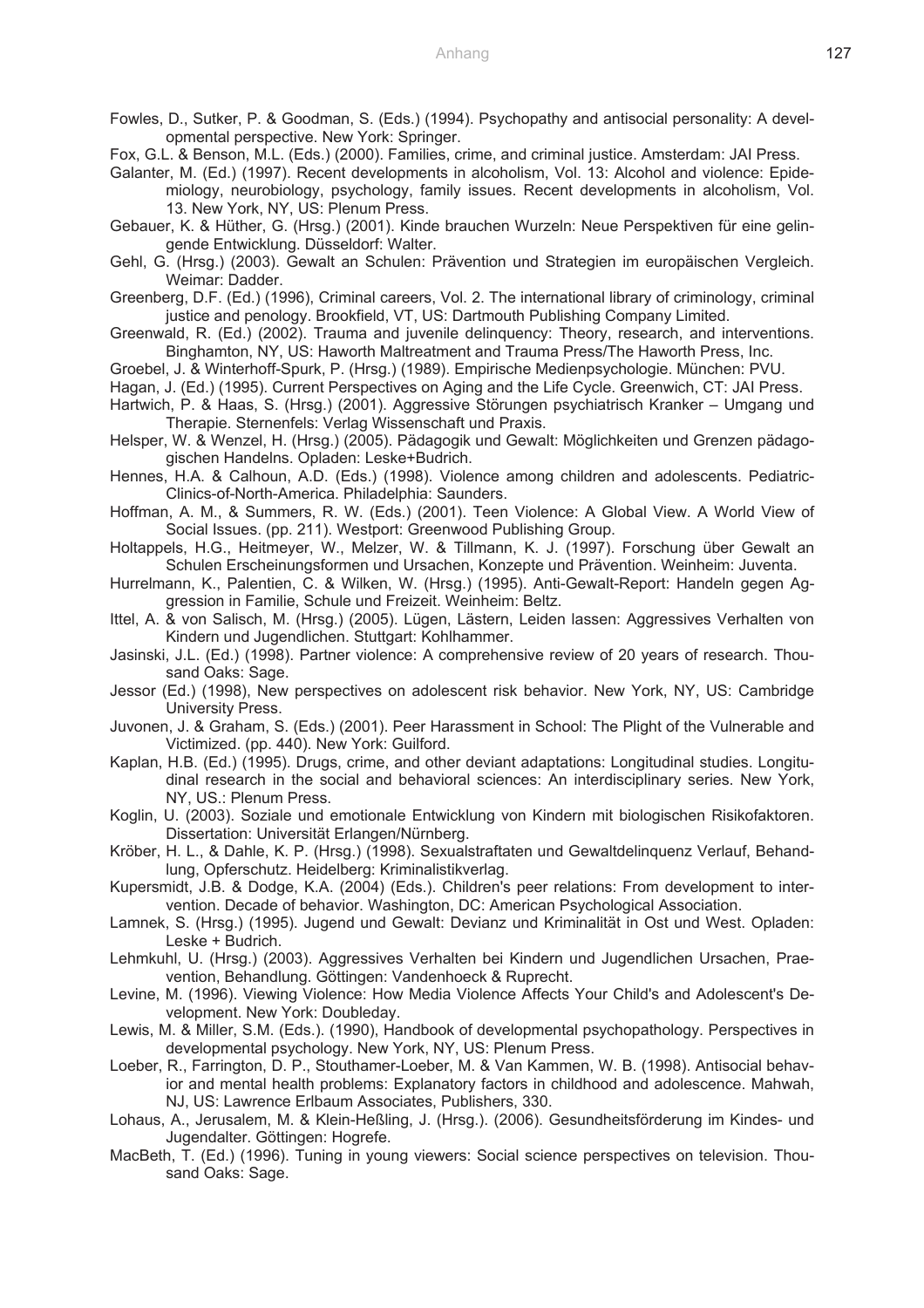Fowles, D., Sutker, P. & Goodman, S. (Eds.) (1994). Psychopathy and antisocial personality: A developmental perspective. New York: Springer.

Fox, G.L. & Benson, M.L. (Eds.) (2000). Families, crime, and criminal justice. Amsterdam: JAI Press.

Galanter, M. (Ed.) (1997). Recent developments in alcoholism, Vol. 13: Alcohol and violence: Epidemiology, neurobiology, psychology, family issues. Recent developments in alcoholism, Vol. 13. New York, NY, US: Plenum Press.

Gebauer, K. & Hüther, G. (Hrsg.) (2001). Kinde brauchen Wurzeln: Neue Perspektiven für eine gelingende Entwicklung. Düsseldorf: Walter.

Gehl, G. (Hrsg.) (2003). Gewalt an Schulen: Prävention und Strategien im europäischen Vergleich. Weimar: Dadder.

Greenberg, D.F. (Ed.) (1996), Criminal careers, Vol. 2. The international library of criminology, criminal justice and penology. Brookfield, VT, US: Dartmouth Publishing Company Limited.

Greenwald, R. (Ed.) (2002). Trauma and juvenile delinquency: Theory, research, and interventions. Binghamton, NY, US: Haworth Maltreatment and Trauma Press/The Haworth Press, Inc.

Groebel, J. & Winterhoff-Spurk, P. (Hrsg.) (1989). Empirische Medienpsychologie. München: PVU.

Hagan, J. (Ed.) (1995). Current Perspectives on Aging and the Life Cycle. Greenwich, CT: JAI Press.

- Hartwich, P. & Haas, S. (Hrsg.) (2001). Aggressive Störungen psychiatrisch Kranker Umgang und Therapie. Sternenfels: Verlag Wissenschaft und Praxis.
- Helsper, W. & Wenzel, H. (Hrsg.) (2005). Pädagogik und Gewalt: Möglichkeiten und Grenzen pädagogischen Handelns. Opladen: Leske+Budrich.
- Hennes, H.A. & Calhoun, A.D. (Eds.) (1998). Violence among children and adolescents. Pediatric-Clinics-of-North-America. Philadelphia: Saunders.
- Hoffman, A. M., & Summers, R. W. (Eds.) (2001). Teen Violence: A Global View. A World View of Social Issues. (pp. 211). Westport: Greenwood Publishing Group.

Holtappels, H.G., Heitmeyer, W., Melzer, W. & Tillmann, K. J. (1997). Forschung über Gewalt an Schulen Erscheinungsformen und Ursachen, Konzepte und Prävention. Weinheim: Juventa.

Hurrelmann, K., Palentien, C. & Wilken, W. (Hrsg.) (1995). Anti-Gewalt-Report: Handeln gegen Aggression in Familie, Schule und Freizeit. Weinheim: Beltz.

Ittel, A. & von Salisch, M. (Hrsg.) (2005). Lügen, Lästern, Leiden lassen: Aggressives Verhalten von Kindern und Jugendlichen. Stuttgart: Kohlhammer.

Jasinski, J.L. (Ed.) (1998). Partner violence: A comprehensive review of 20 years of research. Thousand Oaks: Sage.

Jessor (Ed.) (1998), New perspectives on adolescent risk behavior. New York, NY, US: Cambridge University Press.

Juvonen, J. & Graham, S. (Eds.) (2001). Peer Harassment in School: The Plight of the Vulnerable and Victimized. (pp. 440). New York: Guilford.

Kaplan, H.B. (Ed.) (1995). Drugs, crime, and other deviant adaptations: Longitudinal studies. Longitudinal research in the social and behavioral sciences: An interdisciplinary series. New York, NY, US.: Plenum Press.

Koglin, U. (2003). Soziale und emotionale Entwicklung von Kindern mit biologischen Risikofaktoren. Dissertation: Universität Erlangen/Nürnberg.

Kröber, H. L., & Dahle, K. P. (Hrsg.) (1998). Sexualstraftaten und Gewaltdelinquenz Verlauf, Behandlung, Opferschutz. Heidelberg: Kriminalistikverlag.

Kupersmidt, J.B. & Dodge, K.A. (2004) (Eds.). Children's peer relations: From development to intervention. Decade of behavior. Washington, DC: American Psychological Association.

Lamnek, S. (Hrsg.) (1995). Jugend und Gewalt: Devianz und Kriminalität in Ost und West. Opladen: Leske + Budrich.

Lehmkuhl, U. (Hrsg.) (2003). Aggressives Verhalten bei Kindern und Jugendlichen Ursachen, Praevention, Behandlung. Göttingen: Vandenhoeck & Ruprecht.

Levine, M. (1996). Viewing Violence: How Media Violence Affects Your Child's and Adolescent's Development. New York: Doubleday.

Lewis, M. & Miller, S.M. (Eds.). (1990), Handbook of developmental psychopathology. Perspectives in developmental psychology. New York, NY, US: Plenum Press.

Loeber, R., Farrington, D. P., Stouthamer-Loeber, M. & Van Kammen, W. B. (1998). Antisocial behavior and mental health problems: Explanatory factors in childhood and adolescence. Mahwah, NJ, US: Lawrence Erlbaum Associates, Publishers, 330.

Lohaus, A., Jerusalem, M. & Klein-Heßling, J. (Hrsg.). (2006). Gesundheitsförderung im Kindes- und Jugendalter. Göttingen: Hogrefe.

MacBeth, T. (Ed.) (1996). Tuning in young viewers: Social science perspectives on television. Thousand Oaks: Sage.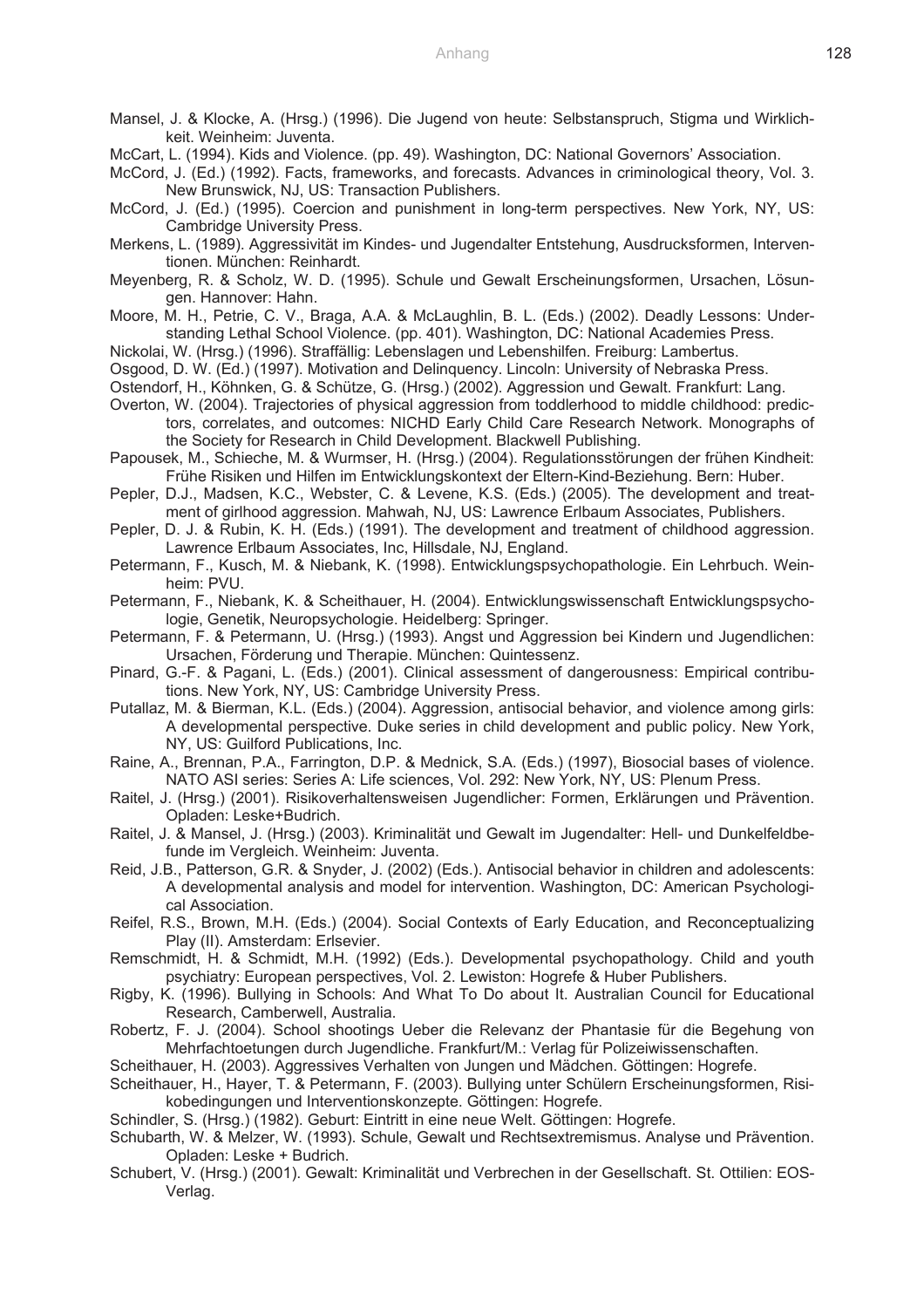- Mansel, J. & Klocke, A. (Hrsg.) (1996). Die Jugend von heute: Selbstanspruch, Stigma und Wirklichkeit. Weinheim: Juventa.
- McCart, L. (1994). Kids and Violence. (pp. 49). Washington, DC: National Governors' Association.
- McCord, J. (Ed.) (1992). Facts, frameworks, and forecasts. Advances in criminological theory, Vol. 3. New Brunswick, NJ, US: Transaction Publishers.
- McCord, J. (Ed.) (1995). Coercion and punishment in long-term perspectives. New York, NY, US: Cambridge University Press.
- Merkens, L. (1989). Aggressivität im Kindes- und Jugendalter Entstehung, Ausdrucksformen, Interventionen. München: Reinhardt.
- Meyenberg, R. & Scholz, W. D. (1995). Schule und Gewalt Erscheinungsformen, Ursachen, Lösungen. Hannover: Hahn.
- Moore, M. H., Petrie, C. V., Braga, A.A. & McLaughlin, B. L. (Eds.) (2002). Deadly Lessons: Understanding Lethal School Violence. (pp. 401). Washington, DC: National Academies Press.
- Nickolai, W. (Hrsg.) (1996). Straffällig: Lebenslagen und Lebenshilfen. Freiburg: Lambertus.
- Osgood, D. W. (Ed.) (1997). Motivation and Delinquency. Lincoln: University of Nebraska Press.
- Ostendorf, H., Köhnken, G. & Schütze, G. (Hrsg.) (2002). Aggression und Gewalt. Frankfurt: Lang.
- Overton, W. (2004). Trajectories of physical aggression from toddlerhood to middle childhood: predictors, correlates, and outcomes: NICHD Early Child Care Research Network. Monographs of the Society for Research in Child Development. Blackwell Publishing.
- Papousek, M., Schieche, M. & Wurmser, H. (Hrsg.) (2004). Regulationsstörungen der frühen Kindheit: Frühe Risiken und Hilfen im Entwicklungskontext der Eltern-Kind-Beziehung. Bern: Huber.
- Pepler, D.J., Madsen, K.C., Webster, C. & Levene, K.S. (Eds.) (2005). The development and treatment of girlhood aggression. Mahwah, NJ, US: Lawrence Erlbaum Associates, Publishers.
- Pepler, D. J. & Rubin, K. H. (Eds.) (1991). The development and treatment of childhood aggression. Lawrence Erlbaum Associates, Inc, Hillsdale, NJ, England.
- Petermann, F., Kusch, M. & Niebank, K. (1998). Entwicklungspsychopathologie. Ein Lehrbuch. Weinheim: PVU.
- Petermann, F., Niebank, K. & Scheithauer, H. (2004). Entwicklungswissenschaft Entwicklungspsychologie, Genetik, Neuropsychologie. Heidelberg: Springer.
- Petermann, F. & Petermann, U. (Hrsg.) (1993). Angst und Aggression bei Kindern und Jugendlichen: Ursachen, Förderung und Therapie. München: Quintessenz.
- Pinard, G.-F. & Pagani, L. (Eds.) (2001). Clinical assessment of dangerousness: Empirical contributions. New York, NY, US: Cambridge University Press.
- Putallaz, M. & Bierman, K.L. (Eds.) (2004). Aggression, antisocial behavior, and violence among girls: A developmental perspective. Duke series in child development and public policy. New York, NY, US: Guilford Publications, Inc.
- Raine, A., Brennan, P.A., Farrington, D.P. & Mednick, S.A. (Eds.) (1997), Biosocial bases of violence. NATO ASI series: Series A: Life sciences, Vol. 292: New York, NY, US: Plenum Press.
- Raitel, J. (Hrsg.) (2001). Risikoverhaltensweisen Jugendlicher: Formen, Erklärungen und Prävention. Opladen: Leske+Budrich.
- Raitel, J. & Mansel, J. (Hrsg.) (2003). Kriminalität und Gewalt im Jugendalter: Hell- und Dunkelfeldbefunde im Vergleich. Weinheim: Juventa.
- Reid, J.B., Patterson, G.R. & Snyder, J. (2002) (Eds.). Antisocial behavior in children and adolescents: A developmental analysis and model for intervention. Washington, DC: American Psychological Association.
- Reifel, R.S., Brown, M.H. (Eds.) (2004). Social Contexts of Early Education, and Reconceptualizing Play (II). Amsterdam: Erlsevier.
- Remschmidt, H. & Schmidt, M.H. (1992) (Eds.). Developmental psychopathology. Child and youth psychiatry: European perspectives, Vol. 2. Lewiston: Hogrefe & Huber Publishers.
- Rigby, K. (1996). Bullying in Schools: And What To Do about It. Australian Council for Educational Research, Camberwell, Australia.
- Robertz, F. J. (2004). School shootings Ueber die Relevanz der Phantasie für die Begehung von Mehrfachtoetungen durch Jugendliche. Frankfurt/M.: Verlag für Polizeiwissenschaften.
- Scheithauer, H. (2003). Aggressives Verhalten von Jungen und Mädchen. Göttingen: Hogrefe.
- Scheithauer, H., Hayer, T. & Petermann, F. (2003). Bullying unter Schülern Erscheinungsformen, Risikobedingungen und Interventionskonzepte. Göttingen: Hogrefe.
- Schindler, S. (Hrsg.) (1982). Geburt: Eintritt in eine neue Welt. Göttingen: Hogrefe.
- Schubarth, W. & Melzer, W. (1993). Schule, Gewalt und Rechtsextremismus. Analyse und Prävention. Opladen: Leske + Budrich.
- Schubert, V. (Hrsg.) (2001). Gewalt: Kriminalität und Verbrechen in der Gesellschaft. St. Ottilien: EOS-Verlag.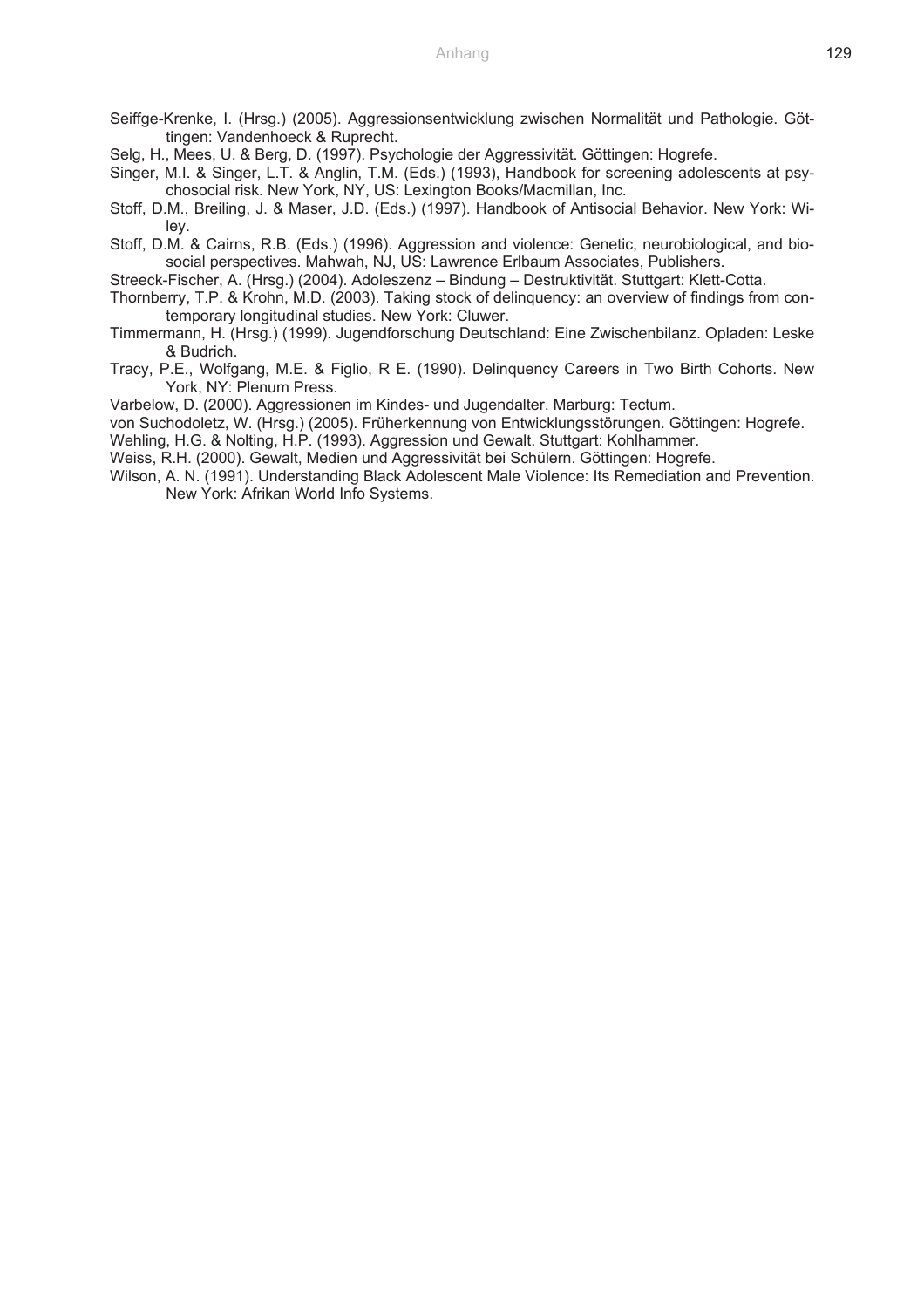- Seiffge-Krenke, I. (Hrsg.) (2005). Aggressionsentwicklung zwischen Normalität und Pathologie. Göttingen: Vandenhoeck & Ruprecht.
- Selg, H., Mees, U. & Berg, D. (1997). Psychologie der Aggressivität. Göttingen: Hogrefe.
- Singer, M.I. & Singer, L.T. & Anglin, T.M. (Eds.) (1993), Handbook for screening adolescents at psychosocial risk. New York, NY, US: Lexington Books/Macmillan, Inc.
- Stoff, D.M., Breiling, J. & Maser, J.D. (Eds.) (1997). Handbook of Antisocial Behavior. New York: Wiley.
- Stoff, D.M. & Cairns, R.B. (Eds.) (1996). Aggression and violence: Genetic, neurobiological, and biosocial perspectives. Mahwah, NJ, US: Lawrence Erlbaum Associates, Publishers.
- Streeck-Fischer, A. (Hrsg.) (2004). Adoleszenz Bindung Destruktivität. Stuttgart: Klett-Cotta.
- Thornberry, T.P. & Krohn, M.D. (2003). Taking stock of delinquency: an overview of findings from contemporary longitudinal studies. New York: Cluwer.
- Timmermann, H. (Hrsg.) (1999). Jugendforschung Deutschland: Eine Zwischenbilanz. Opladen: Leske & Budrich.
- Tracy, P.E., Wolfgang, M.E. & Figlio, R E. (1990). Delinquency Careers in Two Birth Cohorts. New York, NY: Plenum Press.
- Varbelow, D. (2000). Aggressionen im Kindes- und Jugendalter. Marburg: Tectum.
- von Suchodoletz, W. (Hrsg.) (2005). Früherkennung von Entwicklungsstörungen. Göttingen: Hogrefe.
- Wehling, H.G. & Nolting, H.P. (1993). Aggression und Gewalt. Stuttgart: Kohlhammer.
- Weiss, R.H. (2000). Gewalt, Medien und Aggressivität bei Schülern. Göttingen: Hogrefe.
- Wilson, A. N. (1991). Understanding Black Adolescent Male Violence: Its Remediation and Prevention. New York: Afrikan World Info Systems.